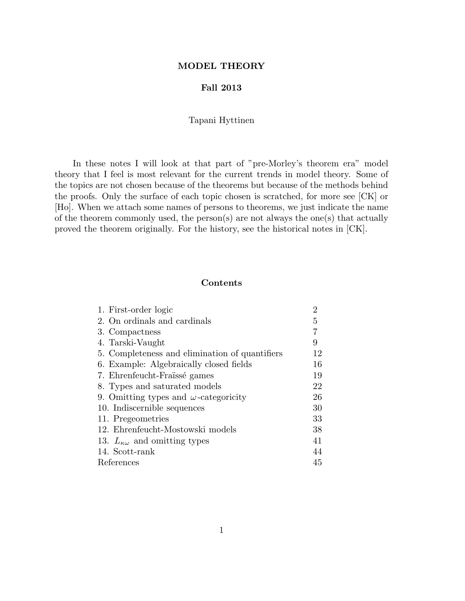## MODEL THEORY

# Fall 2013

# Tapani Hyttinen

In these notes I will look at that part of "pre-Morley's theorem era" model theory that I feel is most relevant for the current trends in model theory. Some of the topics are not chosen because of the theorems but because of the methods behind the proofs. Only the surface of each topic chosen is scratched, for more see [CK] or [Ho]. When we attach some names of persons to theorems, we just indicate the name of the theorem commonly used, the person(s) are not always the one(s) that actually proved the theorem originally. For the history, see the historical notes in [CK].

### Contents

| 1. First-order logic                           | $\overline{2}$ |
|------------------------------------------------|----------------|
| 2. On ordinals and cardinals                   | 5              |
| 3. Compactness                                 |                |
| 4. Tarski-Vaught                               | 9              |
| 5. Completeness and elimination of quantifiers | 12             |
| 6. Example: Algebraically closed fields        | 16             |
| 7. Ehrenfeucht-Fraïssé games                   | 19             |
| 8. Types and saturated models                  | 22             |
| 9. Omitting types and $\omega$ -categoricity   | 26             |
| 10. Indiscernible sequences                    | 30             |
| 11. Pregeometries                              | 33             |
| 12. Ehrenfeucht-Mostowski models               | 38             |
| 13. $L_{\kappa\omega}$ and omitting types      | 41             |
| 14. Scott-rank                                 | 44             |
| References                                     | 45             |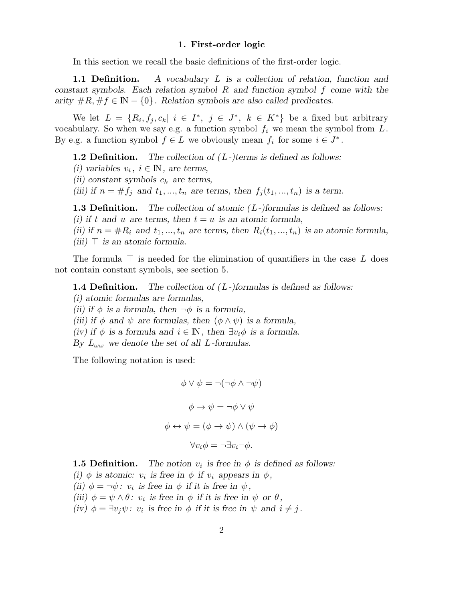### 1. First-order logic

In this section we recall the basic definitions of the first-order logic.

1.1 Definition. A vocabulary L is a collection of relation, function and constant symbols. Each relation symbol  $R$  and function symbol  $f$  come with the arity  $\#R, \#f \in \mathbb{N} - \{0\}$ . Relation symbols are also called predicates.

We let  $L = \{R_i, f_j, c_k | i \in I^*, j \in J^*, k \in K^*\}$  be a fixed but arbitrary vocabulary. So when we say e.g. a function symbol  $f_i$  we mean the symbol from  $L$ . By e.g. a function symbol  $f \in L$  we obviously mean  $f_i$  for some  $i \in J^*$ .

**1.2 Definition.** The collection of  $(L-)$  terms is defined as follows:

(i) variables  $v_i, i \in \mathbb{N}$ , are terms,

(ii) constant symbols  $c_k$  are terms,

(iii) if  $n = #f_j$  and  $t_1, ..., t_n$  are terms, then  $f_j(t_1, ..., t_n)$  is a term.

**1.3 Definition.** The collection of atomic  $(L-)$  formulas is defined as follows: (i) if t and u are terms, then  $t = u$  is an atomic formula, (ii) if  $n = \#R_i$  and  $t_1, ..., t_n$  are terms, then  $R_i(t_1, ..., t_n)$  is an atomic formula, (iii)  $\top$  is an atomic formula.

The formula  $\top$  is needed for the elimination of quantifiers in the case L does not contain constant symbols, see section 5.

**1.4 Definition.** The collection of  $(L-)$  formulas is defined as follows: (i) atomic formulas are formulas,

(ii) if  $\phi$  is a formula, then  $\neg \phi$  is a formula,

(iii) if  $\phi$  and  $\psi$  are formulas, then  $(\phi \land \psi)$  is a formula,

(iv) if  $\phi$  is a formula and  $i \in \mathbb{N}$ , then  $\exists v_i \phi$  is a formula.

By  $L_{\omega\omega}$  we denote the set of all L-formulas.

The following notation is used:

$$
\phi \lor \psi = \neg(\neg \phi \land \neg \psi)
$$

$$
\phi \to \psi = \neg \phi \lor \psi
$$

$$
\phi \leftrightarrow \psi = (\phi \to \psi) \land (\psi \to \phi)
$$

$$
\forall v_i \phi = \neg \exists v_i \neg \phi.
$$

**1.5 Definition.** The notion  $v_i$  is free in  $\phi$  is defined as follows:

(i)  $\phi$  is atomic:  $v_i$  is free in  $\phi$  if  $v_i$  appears in  $\phi$ ,

(ii)  $\phi = \neg \psi : v_i$  is free in  $\phi$  if it is free in  $\psi$ ,

(iii)  $\phi = \psi \wedge \theta$ :  $v_i$  is free in  $\phi$  if it is free in  $\psi$  or  $\theta$ ,

(iv)  $\phi = \exists v_j \psi : v_i$  is free in  $\phi$  if it is free in  $\psi$  and  $i \neq j$ .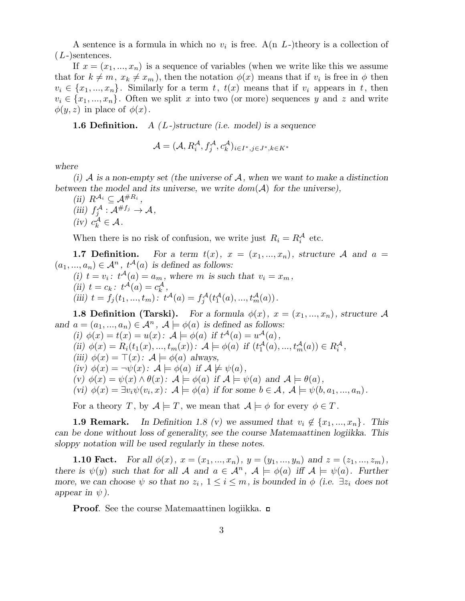A sentence is a formula in which no  $v_i$  is free. A(n L-)theory is a collection of  $(L-)$ sentences.

If  $x = (x_1, ..., x_n)$  is a sequence of variables (when we write like this we assume that for  $k \neq m$ ,  $x_k \neq x_m$ , then the notation  $\phi(x)$  means that if  $v_i$  is free in  $\phi$  then  $v_i \in \{x_1, ..., x_n\}$ . Similarly for a term t,  $t(x)$  means that if  $v_i$  appears in t, then  $v_i \in \{x_1, ..., x_n\}$ . Often we split x into two (or more) sequences y and z and write  $\phi(y, z)$  in place of  $\phi(x)$ .

**1.6 Definition.** A  $(L$ -)structure (i.e. model) is a sequence

$$
\mathcal{A} = (\mathcal{A}, R_i^{\mathcal{A}}, f_j^{\mathcal{A}}, c_k^{\mathcal{A}})_{i \in I^*, j \in J^*, k \in K^*}
$$

where

(i) A is a non-empty set (the universe of  $A$ , when we want to make a distinction between the model and its universe, we write  $dom(\mathcal{A})$  for the universe),

(ii)  $R^{\mathcal{A}_i} \subseteq \mathcal{A}^{\#R_i}$ , (iii)  $f_j^{\mathcal{A}} : \mathcal{A}^{\#f_j} \to \mathcal{A},$ (iv)  $c_k^{\mathcal{A}} \in \mathcal{A}$ .

When there is no risk of confusion, we write just  $R_i = R_i^{\mathcal{A}}$  etc.

**1.7 Definition.** For a term  $t(x)$ ,  $x = (x_1, ..., x_n)$ , structure A and  $a =$  $(a_1, ..., a_n) \in \mathcal{A}^n$ ,  $t^{\mathcal{A}}(a)$  is defined as follows:

(i)  $t = v_i$ :  $t^{\mathcal{A}}(a) = a_m$ , where m is such that  $v_i = x_m$ , (ii)  $t = c_k : t^{\mathcal{A}}(a) = c_k^{\mathcal{A}}$ , (iii)  $t = f_j(t_1, ..., t_m)$ :  $t^{\mathcal{A}}(a) = f_j^{\mathcal{A}}(t_1^{\mathcal{A}}(a), ..., t_m^{\mathcal{A}}(a))$ .

**1.8 Definition (Tarski).** For a formula  $\phi(x)$ ,  $x = (x_1, ..., x_n)$ , structure A and  $a = (a_1, ..., a_n) \in \mathcal{A}^n$ ,  $\mathcal{A} \models \phi(a)$  is defined as follows:

(i)  $\phi(x) = t(x) = u(x)$ :  $\mathcal{A} \models \phi(a)$  if  $t^{\mathcal{A}}(a) = u^{\mathcal{A}}(a)$ , (ii)  $\phi(x) = R_i(t_1(x), ..., t_m(x))$ :  $\mathcal{A} \models \phi(a)$  if  $(t_1^{\mathcal{A}}(a), ..., t_m^{\mathcal{A}}(a)) \in R_i^{\mathcal{A}}$ , (iii)  $\phi(x) = \top(x)$ :  $\mathcal{A} \models \phi(a)$  always, (iv)  $\phi(x) = \neg \psi(x) : A \models \phi(a)$  if  $A \not\models \psi(a)$ , (v)  $\phi(x) = \psi(x) \wedge \theta(x)$ :  $\mathcal{A} \models \phi(a)$  if  $\mathcal{A} \models \psi(a)$  and  $\mathcal{A} \models \theta(a)$ , (vi)  $\phi(x) = \exists v_i \psi(v_i, x) : A \models \phi(a)$  if for some  $b \in A$ ,  $A \models \psi(b, a_1, ..., a_n)$ .

For a theory T, by  $\mathcal{A} \models T$ , we mean that  $\mathcal{A} \models \phi$  for every  $\phi \in T$ .

**1.9 Remark.** In Definition 1.8 (v) we assumed that  $v_i \notin \{x_1, ..., x_n\}$ . This can be done without loss of generality, see the course Matemaattinen logiikka. This sloppy notation will be used regularly in these notes.

**1.10 Fact.** For all  $\phi(x)$ ,  $x = (x_1, ..., x_n)$ ,  $y = (y_1, ..., y_n)$  and  $z = (z_1, ..., z_m)$ , there is  $\psi(y)$  such that for all A and  $a \in \mathcal{A}^n$ ,  $\mathcal{A} \models \phi(a)$  iff  $\mathcal{A} \models \psi(a)$ . Further more, we can choose  $\psi$  so that no  $z_i$ ,  $1 \leq i \leq m$ , is bounded in  $\phi$  (i.e.  $\exists z_i$  does not appear in  $\psi$ ).

Proof. See the course Matemaattinen logiikka.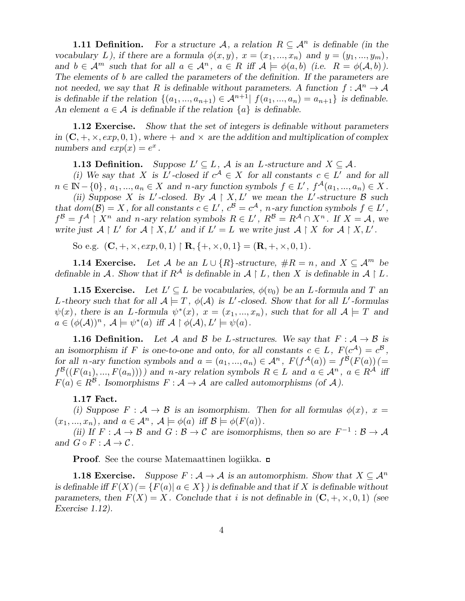**1.11 Definition.** For a structure A, a relation  $R \subseteq \mathcal{A}^n$  is definable (in the vocabulary L), if there are a formula  $\phi(x, y)$ ,  $x = (x_1, ..., x_n)$  and  $y = (y_1, ..., y_m)$ , and  $b \in \mathcal{A}^m$  such that for all  $a \in \mathcal{A}^n$ ,  $a \in R$  iff  $\mathcal{A} \models \phi(a, b)$  (i.e.  $R = \phi(\mathcal{A}, b)$ ). The elements of b are called the parameters of the definition. If the parameters are not needed, we say that R is definable without parameters. A function  $f: \mathcal{A}^n \to \mathcal{A}$ is definable if the relation  $\{(a_1, ..., a_{n+1}) \in \mathcal{A}^{n+1} | f(a_1, ..., a_n) = a_{n+1}\}\$ is definable. An element  $a \in \mathcal{A}$  is definable if the relation  $\{a\}$  is definable.

**1.12 Exercise.** Show that the set of integers is definable without parameters in  $(C, +, \times, exp, 0, 1)$ , where  $+$  and  $\times$  are the addition and multiplication of complex numbers and  $exp(x) = e^x$ .

**1.13 Definition.** Suppose  $L' \subseteq L$ , A is an L-structure and  $X \subseteq A$ .

(i) We say that X is L'-closed if  $c^A \in X$  for all constants  $c \in L'$  and for all  $n \in \mathbb{N} - \{0\}, a_1, ..., a_n \in X$  and n-ary function symbols  $f \in L'$ ,  $f^{\mathcal{A}}(a_1, ..., a_n) \in X$ .

(ii) Suppose X is L'-closed. By  $A \restriction X, L'$  we mean the L'-structure B such that  $dom(\mathcal{B}) = X$ , for all constants  $c \in L'$ ,  $c^{\mathcal{B}} = c^{\mathcal{A}}$ , *n*-ary function symbols  $f \in L'$ ,  $f^{\mathcal{B}} = f^{\mathcal{A}} \restriction X^{n}$  and n-ary relation symbols  $R \in L'$ ,  $R^{\mathcal{B}} = R^{\mathcal{A}} \cap X^{n}$ . If  $X = A$ , we write just  $A \restriction L'$  for  $A \restriction X, L'$  and if  $L' = L$  we write just  $A \restriction X$  for  $A \restriction X, L'$ .

So e.g.  $(C, +, \times, exp, 0, 1) \upharpoonright R, \{+, \times, 0, 1\} = (R, +, \times, 0, 1).$ 

**1.14 Exercise.** Let A be an  $L \cup \{R\}$ -structure,  $\#R = n$ , and  $X \subseteq \mathcal{A}^m$  be definable in A. Show that if  $R^{\mathcal{A}}$  is definable in  $\mathcal{A} \restriction L$ , then X is definable in  $\mathcal{A} \restriction L$ .

**1.15 Exercise.** Let  $L' \subseteq L$  be vocabularies,  $\phi(v_0)$  be an L-formula and T an L-theory such that for all  $\mathcal{A} \models T$ ,  $\phi(\mathcal{A})$  is L'-closed. Show that for all L'-formulas  $\psi(x)$ , there is an L-formula  $\psi^*(x)$ ,  $x = (x_1, ..., x_n)$ , such that for all  $\mathcal{A} \models T$  and  $a \in (\phi(\mathcal{A}))^n$ ,  $\mathcal{A} \models \psi^*(a)$  iff  $\mathcal{A} \restriction \phi(\mathcal{A}), L' \models \psi(a)$ .

**1.16 Definition.** Let A and B be L-structures. We say that  $F : A \rightarrow B$  is an isomorphism if F is one-to-one and onto, for all constants  $c \in L$ ,  $F(c^{\mathcal{A}}) = c^{\mathcal{B}}$ , for all *n*-ary function symbols and  $a = (a_1, ..., a_n) \in \mathcal{A}^n$ ,  $F(f^{\mathcal{A}}(a)) = f^{\mathcal{B}}(F(a))$  (=  $f^{\mathcal{B}}((F(a_1),...,F(a_n))))$  and n-ary relation symbols  $R \in L$  and  $a \in \mathcal{A}^n$ ,  $a \in \mathbb{R}^{\mathcal{A}}$  iff  $F(a) \in R^{\mathcal{B}}$ . Isomorphisms  $F : \mathcal{A} \to \mathcal{A}$  are called automorphisms (of  $\mathcal{A}$ ).

1.17 Fact.

(i) Suppose  $F : A \rightarrow B$  is an isomorphism. Then for all formulas  $\phi(x)$ ,  $x =$  $(x_1, ..., x_n)$ , and  $a \in \mathcal{A}^n$ ,  $\mathcal{A} \models \phi(a)$  iff  $\mathcal{B} \models \phi(F(a))$ .

(ii) If  $F: A \to B$  and  $G: B \to C$  are isomorphisms, then so are  $F^{-1}: B \to A$ and  $G \circ F : \mathcal{A} \to \mathcal{C}$ .

Proof. See the course Matemaattinen logiikka. □

**1.18 Exercise.** Suppose  $F : A \to A$  is an automorphism. Show that  $X \subseteq A^n$ is definable iff  $F(X)$  (= { $F(a) | a \in X$ }) is definable and that if X is definable without parameters, then  $F(X) = X$ . Conclude that i is not definable in  $(C, +, \times, 0, 1)$  (see Exercise 1.12).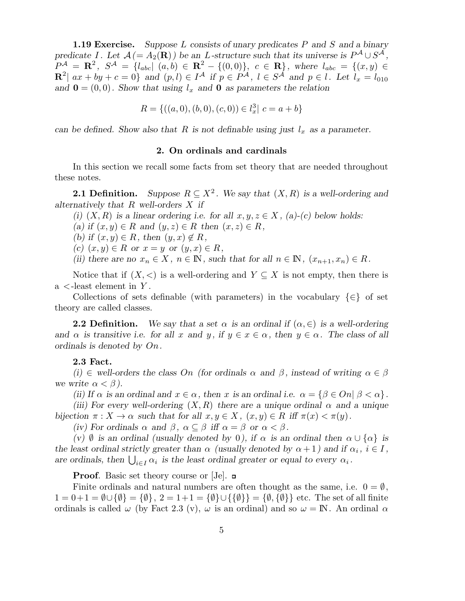**1.19 Exercise.** Suppose L consists of unary predicates  $P$  and  $S$  and a binary predicate I. Let  $\mathcal{A} (= A_2(\mathbf{R}))$  be an L-structure such that its universe is  $P^{\mathcal{A}} \cup S^{\mathcal{A}}$ ,  $P^{\mathcal{A}} = \mathbb{R}^{2}$ ,  $S^{\mathcal{A}} = \{l_{abc} | (a, b) \in \mathbb{R}^{2} - \{(0, 0)\}, c \in \mathbb{R}\},\$  where  $l_{abc} = \{(x, y) \in \mathbb{R}^{2} - \{(0, 0)\}\}\$  $\mathbf{R}^2 \vert \; ax + by + c = 0$  and  $(p, l) \in I^{\mathcal{A}}$  if  $p \in P^{\mathcal{A}}$ ,  $l \in S^{\mathcal{A}}$  and  $p \in l$ . Let  $l_x = l_{010}$ and  $\mathbf{0} = (0, 0)$ . Show that using  $l_x$  and  $\mathbf{0}$  as parameters the relation

$$
R = \{((a, 0), (b, 0), (c, 0)) \in l_x^3 | c = a + b\}
$$

can be defined. Show also that R is not definable using just  $l_x$  as a parameter.

# 2. On ordinals and cardinals

In this section we recall some facts from set theory that are needed throughout these notes.

**2.1 Definition.** Suppose  $R \subseteq X^2$ . We say that  $(X, R)$  is a well-ordering and alternatively that  $R$  well-orders  $X$  if

(i)  $(X, R)$  is a linear ordering i.e. for all  $x, y, z \in X$ , (a)-(c) below holds:

(a) if  $(x, y) \in R$  and  $(y, z) \in R$  then  $(x, z) \in R$ ,

(b) if  $(x, y) \in R$ , then  $(y, x) \notin R$ ,

(c)  $(x, y) \in R$  or  $x = y$  or  $(y, x) \in R$ ,

(ii) there are no  $x_n \in X$ ,  $n \in \mathbb{N}$ , such that for all  $n \in \mathbb{N}$ ,  $(x_{n+1}, x_n) \in R$ .

Notice that if  $(X, \leq)$  is a well-ordering and  $Y \subseteq X$  is not empty, then there is  $a \leq$ -least element in Y.

Collections of sets definable (with parameters) in the vocabulary  $\{\in\}$  of set theory are called classes.

**2.2 Definition.** We say that a set  $\alpha$  is an ordinal if  $(\alpha, \in)$  is a well-ordering and  $\alpha$  is transitive i.e. for all x and y, if  $y \in x \in \alpha$ , then  $y \in \alpha$ . The class of all ordinals is denoted by On.

### 2.3 Fact.

(i)  $\in$  well-orders the class On (for ordinals  $\alpha$  and  $\beta$ , instead of writing  $\alpha \in \beta$ we write  $\alpha < \beta$ ).

(ii) If  $\alpha$  is an ordinal and  $x \in \alpha$ , then x is an ordinal i.e.  $\alpha = {\beta \in On | \beta < \alpha}$ .

(iii) For every well-ordering  $(X, R)$  there are a unique ordinal  $\alpha$  and a unique bijection  $\pi: X \to \alpha$  such that for all  $x, y \in X$ ,  $(x, y) \in R$  iff  $\pi(x) < \pi(y)$ .

(iv) For ordinals  $\alpha$  and  $\beta$ ,  $\alpha \subseteq \beta$  iff  $\alpha = \beta$  or  $\alpha < \beta$ .

(v)  $\emptyset$  is an ordinal (usually denoted by 0), if  $\alpha$  is an ordinal then  $\alpha \cup {\alpha}$  is the least ordinal strictly greater than  $\alpha$  (usually denoted by  $\alpha + 1$ ) and if  $\alpha_i$ ,  $i \in I$ , are ordinals, then  $\bigcup_{i \in I} \alpha_i$  is the least ordinal greater or equal to every  $\alpha_i$ .

**Proof.** Basic set theory course or  $\left[ \text{Je} \right]$ .  $\Box$ 

Finite ordinals and natural numbers are often thought as the same, i.e.  $0 = \emptyset$ ,  $1 = 0 + 1 = \emptyset \cup {\emptyset} = {\emptyset}, 2 = 1 + 1 = {\emptyset} \cup {\{\emptyset\}} = {\emptyset}, {\{\emptyset\}}$  etc. The set of all finite ordinals is called  $\omega$  (by Fact 2.3 (v),  $\omega$  is an ordinal) and so  $\omega = \mathbb{N}$ . An ordinal  $\alpha$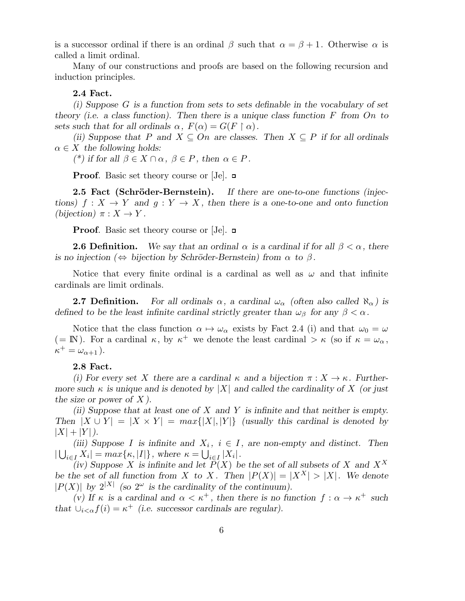is a successor ordinal if there is an ordinal  $\beta$  such that  $\alpha = \beta + 1$ . Otherwise  $\alpha$  is called a limit ordinal.

Many of our constructions and proofs are based on the following recursion and induction principles.

# 2.4 Fact.

(i) Suppose G is a function from sets to sets definable in the vocabulary of set theory (i.e. a class function). Then there is a unique class function  $F$  from  $On$  to sets such that for all ordinals  $\alpha$ ,  $F(\alpha) = G(F \restriction \alpha)$ .

(ii) Suppose that P and  $X \subseteq On$  are classes. Then  $X \subseteq P$  if for all ordinals  $\alpha \in X$  the following holds:

(\*) if for all  $\beta \in X \cap \alpha$ ,  $\beta \in P$ , then  $\alpha \in P$ .

**Proof.** Basic set theory course or [Je].  $\Box$ 

**2.5 Fact (Schröder-Bernstein).** If there are one-to-one functions (injections)  $f: X \to Y$  and  $g: Y \to X$ , then there is a one-to-one and onto function (bijection)  $\pi: X \to Y$ .

**Proof.** Basic set theory course or [Je].  $\Box$ 

**2.6 Definition.** We say that an ordinal  $\alpha$  is a cardinal if for all  $\beta < \alpha$ , there is no injection ( $\Leftrightarrow$  bijection by Schröder-Bernstein) from  $\alpha$  to  $\beta$ .

Notice that every finite ordinal is a cardinal as well as  $\omega$  and that infinite cardinals are limit ordinals.

**2.7 Definition.** For all ordinals  $\alpha$ , a cardinal  $\omega_{\alpha}$  (often also called  $\aleph_{\alpha}$ ) is defined to be the least infinite cardinal strictly greater than  $\omega_{\beta}$  for any  $\beta < \alpha$ .

Notice that the class function  $\alpha \mapsto \omega_{\alpha}$  exists by Fact 2.4 (i) and that  $\omega_0 = \omega$ (= IN). For a cardinal  $\kappa$ , by  $\kappa^+$  we denote the least cardinal  $>\kappa$  (so if  $\kappa = \omega_\alpha$ ,  $\kappa^+ = \omega_{\alpha+1}$ ).

### 2.8 Fact.

(i) For every set X there are a cardinal  $\kappa$  and a bijection  $\pi: X \to \kappa$ . Furthermore such  $\kappa$  is unique and is denoted by |X| and called the cardinality of X (or just the size or power of  $X$ ).

(ii) Suppose that at least one of X and Y is infinite and that neither is empty. Then  $|X \cup Y| = |X \times Y| = max\{|X|, |Y|\}$  (usually this cardinal is denoted by  $|X| + |Y|$ .

(iii) Suppose I is infinite and  $X_i$ ,  $i \in I$ , are non-empty and distinct. Then  $|\bigcup_{i\in I} X_i| = max\{\kappa, |I|\},\$  where  $\kappa = \bigcup_{i\in I} |X_i|$ .

(iv) Suppose X is infinite and let  $\overline{P}(X)$  be the set of all subsets of X and  $X^X$ be the set of all function from X to X. Then  $|P(X)| = |X^X| > |X|$ . We denote  $|P(X)|$  by  $2^{|X|}$  (so  $2^{\omega}$  is the cardinality of the continuum).

(v) If  $\kappa$  is a cardinal and  $\alpha < \kappa^+$ , then there is no function  $f : \alpha \to \kappa^+$  such that  $\bigcup_{i \leq \alpha} f(i) = \kappa^+$  (i.e. successor cardinals are regular).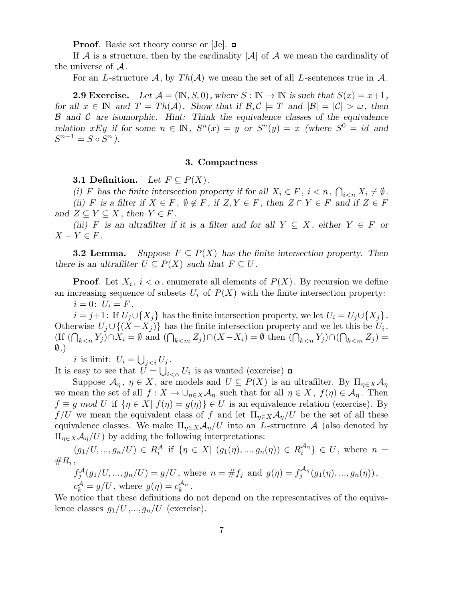**Proof.** Basic set theory course or  $|Je|$ .  $\Box$ 

If A is a structure, then by the cardinality  $|\mathcal{A}|$  of A we mean the cardinality of the universe of  $A$ .

For an L-structure A, by  $Th(A)$  we mean the set of all L-sentences true in A.

**2.9 Exercise.** Let  $\mathcal{A} = (\mathbb{N}, S, 0)$ , where  $S : \mathbb{N} \to \mathbb{N}$  is such that  $S(x) = x+1$ , for all  $x \in \mathbb{N}$  and  $T = Th(\mathcal{A})$ . Show that if  $\mathcal{B}, \mathcal{C} \models T$  and  $|\mathcal{B}| = |\mathcal{C}| > \omega$ , then  $\beta$  and  $\beta$  are isomorphic. Hint: Think the equivalence classes of the equivalence relation xEy if for some  $n \in \mathbb{N}$ ,  $S^n(x) = y$  or  $S^n(y) = x$  (where  $S^0 = id$  and  $S^{n+1} = S \circ S^n$ ).

### 3. Compactness

**3.1 Definition.** Let  $F \subset P(X)$ .

(i) F has the finite intersection property if for all  $X_i \in F$ ,  $i < n$ ,  $\bigcap_{i < n} X_i \neq \emptyset$ . (ii) F is a filter if  $X \in F$ ,  $\emptyset \notin F$ , if  $Z, Y \in F$ , then  $Z \cap Y \in F$  and if  $Z \in F$ and  $Z \subseteq Y \subseteq X$ , then  $Y \in F$ .

(iii) F is an ultrafilter if it is a filter and for all  $Y \subseteq X$ , either  $Y \in F$  or  $X - Y \in F$ .

**3.2 Lemma.** Suppose  $F \subseteq P(X)$  has the finite intersection property. Then there is an ultrafilter  $U \subset P(X)$  such that  $F \subset U$ .

**Proof.** Let  $X_i$ ,  $i < \alpha$ , enumerate all elements of  $P(X)$ . By recursion we define an increasing sequence of subsets  $U_i$  of  $P(X)$  with the finite intersection property:  $i = 0: U_i = F$ .

 $i = j+1$ : If  $U_j \cup \{X_j\}$  has the finite intersection property, we let  $U_i = U_j \cup \{X_j\}$ . Otherwise  $U_j \cup \{(X - X_j)\}\)$  has the finite intersection property and we let this be  $U_i$ .  $(\text{If } (\bigcap_{k\leq n} Y_j)\cap X_i=\emptyset \text{ and } (\bigcap_{k\leq m} Z_j)\cap (X-X_i)=\emptyset \text{ then } (\bigcap_{k\leq n} Y_j)\cap (\bigcap_{k\leq m} Z_j)=$  $\emptyset$ .)

i is limit:  $U_i = \bigcup_{j.$ 

It is easy to see that  $U = \bigcup_{i < \alpha} U_i$  is as wanted (exercise)

Suppose  $\mathcal{A}_{\eta}$ ,  $\eta \in X$ , are models and  $U \subseteq P(X)$  is an ultrafilter. By  $\Pi_{\eta \in X} \mathcal{A}_{\eta}$ we mean the set of all  $f: X \to \bigcup_{\eta \in X} A_{\eta}$  such that for all  $\eta \in X$ ,  $f(\eta) \in A_{\eta}$ . Then  $f \equiv g \mod U$  if  $\{\eta \in X | f(\eta) = g(\eta)\}\in U$  is an equivalence relation (exercise). By  $f/U$  we mean the equivalent class of f and let  $\Pi_{\eta \in X}{\cal A}_{\eta}/U$  be the set of all these equivalence classes. We make  $\Pi_{n\in X}\mathcal{A}_n/U$  into an L-structure  $\mathcal A$  (also denoted by  $\Pi_{\eta \in X} \mathcal{A}_{\eta}/U$  by adding the following interpretations:

 $(g_1/U, ..., g_n/U) \in R_i^{\mathcal{A}}$  if  $\{\eta \in X \mid (g_1(\eta), ..., g_n(\eta)) \in R_i^{\mathcal{A}_{\eta}}\}$  $\{ \xi^{A\eta} \} \in U$ , where  $n =$  $\#R_i$  ,

$$
f_j^{\mathcal{A}}(g_1/U, ..., g_n/U) = g/U
$$
, where  $n = #f_j$  and  $g(\eta) = f_j^{\mathcal{A}_{\eta}}(g_1(\eta), ..., g_n(\eta))$ ,  
 $c_k^{\mathcal{A}} = g/U$ , where  $g(\eta) = c_k^{\mathcal{A}_n}$ .

We notice that these definitions do not depend on the representatives of the equivalence classes  $g_1/U, ..., g_n/U$  (exercise).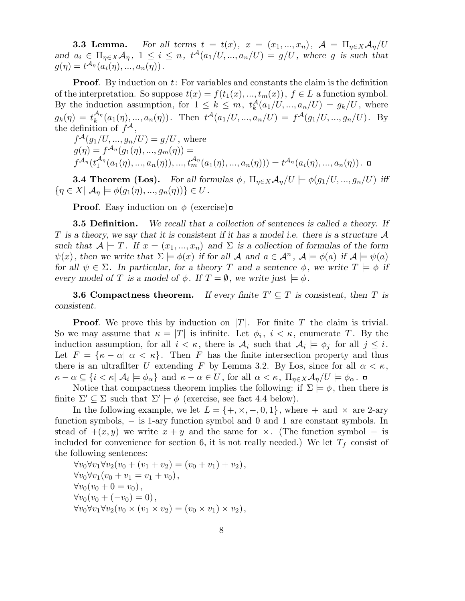**3.3 Lemma.** For all terms  $t = t(x)$ ,  $x = (x_1, ..., x_n)$ ,  $\mathcal{A} = \Pi_{n \in X} \mathcal{A}_n / U$ and  $a_i \in \Pi_{\eta \in X} A_{\eta}$ ,  $1 \leq i \leq n$ ,  $t^{\mathcal{A}}(a_1/U, ..., a_n/U) = g/U$ , where g is such that  $g(\eta) = t^{\mathcal{A}_{\eta}}(a_i(\eta),...,a_n(\eta)).$ 

**Proof.** By induction on  $t$ : For variables and constants the claim is the definition of the interpretation. So suppose  $t(x) = f(t_1(x),..., t_m(x))$ ,  $f \in L$  a function symbol. By the induction assumption, for  $1 \leq k \leq m$ ,  $t_k^{\mathcal{A}}(a_1/U, ..., a_n/U) = g_k/U$ , where  $g_k(\eta) \, = \, t_k^{\mathcal{A}_{\eta}}$  $\kappa^{A_n}(a_1(\eta),...,a_n(\eta))$ . Then  $t^{\mathcal{A}}(a_1/U,...,a_n/U) = f^{\mathcal{A}}(g_1/U,...,g_n/U)$ . By the definition of  $f^{\mathcal{A}}$ ,

 $f^{\mathcal{A}}(g_1/U,...,g_n/U) = g/U$ , where  $g(\eta) = f^{\mathcal{A}_{\eta}}(g_1(\eta),...,g_m(\eta)) =$ f <sup>A</sup><sup>η</sup> (t A<sup>η</sup>  $t_1^{\mathcal{A}_{\eta}}(a_1(\eta),...,a_n(\eta)),...,t_m^{\mathcal{A}_{\eta}}(a_1(\eta),...,a_n(\eta)))=t^{\mathcal{A}_{\eta}}(a_i(\eta),...,a_n(\eta)).$ 

**3.4 Theorem (Los).** For all formulas  $\phi$ ,  $\Pi_{\eta \in X} A_{\eta}/U \models \phi(g_1/U, ..., g_n/U)$  iff  $\{\eta \in X | \mathcal{A}_{\eta} \models \phi(g_1(\eta), ..., g_n(\eta))\} \in U$ .

**Proof.** Easy induction on  $\phi$  (exercise)

**3.5 Definition.** We recall that a collection of sentences is called a theory. If T is a theory, we say that it is consistent if it has a model i.e. there is a structure  $\mathcal A$ such that  $A \models T$ . If  $x = (x_1, ..., x_n)$  and  $\Sigma$  is a collection of formulas of the form  $\psi(x)$ , then we write that  $\Sigma \models \phi(x)$  if for all A and  $a \in \mathcal{A}^n$ ,  $\mathcal{A} \models \phi(a)$  if  $\mathcal{A} \models \psi(a)$ for all  $\psi \in \Sigma$ . In particular, for a theory T and a sentence  $\phi$ , we write  $T \models \phi$  if every model of T is a model of  $\phi$ . If  $T = \emptyset$ , we write just  $\models \phi$ .

3.6 Compactness theorem. If every finite  $T' \subseteq T$  is consistent, then T is consistent.

**Proof.** We prove this by induction on  $|T|$ . For finite T the claim is trivial. So we may assume that  $\kappa = |T|$  is infinite. Let  $\phi_i, i \lt \kappa$ , enumerate T. By the induction assumption, for all  $i < \kappa$ , there is  $\mathcal{A}_i$  such that  $\mathcal{A}_i \models \phi_j$  for all  $j \leq i$ . Let  $F = \{\kappa - \alpha | \alpha < \kappa\}.$  Then F has the finite intersection property and thus there is an ultrafilter U extending F by Lemma 3.2. By Los, since for all  $\alpha < \kappa$ ,  $\kappa - \alpha \subseteq \{i < \kappa \vert \mathcal{A}_i \models \phi_\alpha\}$  and  $\kappa - \alpha \in U$ , for all  $\alpha < \kappa$ ,  $\Pi_{\eta \in X} \mathcal{A}_{\eta} / U \models \phi_\alpha$ .

Notice that compactness theorem implies the following: if  $\Sigma \models \phi$ , then there is finite  $\Sigma' \subseteq \Sigma$  such that  $\Sigma' \models \phi$  (exercise, see fact 4.4 below).

In the following example, we let  $L = \{+, \times, -, 0, 1\}$ , where  $+$  and  $\times$  are 2-ary function symbols, – is 1-ary function symbol and 0 and 1 are constant symbols. In stead of  $+(x, y)$  we write  $x + y$  and the same for  $\times$ . (The function symbol – is included for convenience for section 6, it is not really needed.) We let  $T_f$  consist of the following sentences:

 $\forall v_0 \forall v_1 \forall v_2(v_0 + (v_1 + v_2) = (v_0 + v_1) + v_2),$  $\forall v_0 \forall v_1(v_0 + v_1 = v_1 + v_0),$  $\forall v_0(v_0 + 0 = v_0),$  $\forall v_0(v_0 + (-v_0) = 0),$  $\forall v_0 \forall v_1 \forall v_2 (v_0 \times (v_1 \times v_2) = (v_0 \times v_1) \times v_2),$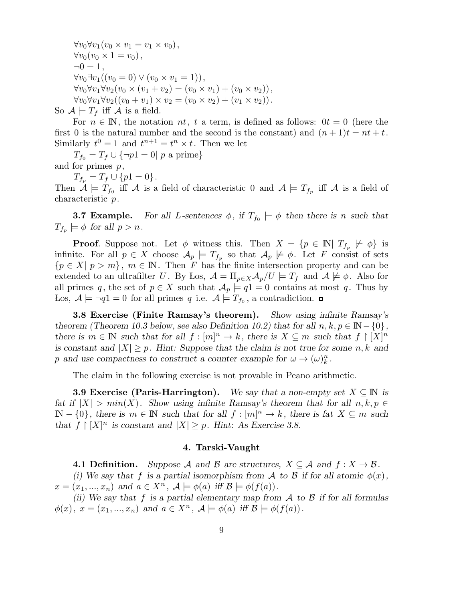$\forall v_0 \forall v_1 (v_0 \times v_1 = v_1 \times v_0),$  $\forall v_0(v_0 \times 1 = v_0),$  $\neg 0 = 1,$  $\forall v_0 \exists v_1((v_0 = 0) \vee (v_0 \times v_1 = 1)),$  $\forall v_0 \forall v_1 \forall v_2 (v_0 \times (v_1 + v_2) = (v_0 \times v_1) + (v_0 \times v_2)),$  $\forall v_0 \forall v_1 \forall v_2 ((v_0 + v_1) \times v_2 = (v_0 \times v_2) + (v_1 \times v_2)).$ So  $\mathcal{A} \models T_f$  iff  $\mathcal A$  is a field.

For  $n \in \mathbb{N}$ , the notation nt, t a term, is defined as follows:  $0t = 0$  (here the first 0 is the natural number and the second is the constant) and  $(n + 1)t = nt + t$ . Similarly  $t^0 = 1$  and  $t^{n+1} = t^n \times t$ . Then we let

 $T_{f_0} = T_f \cup {\neg p1 = 0}$  p a prime} and for primes  $p$ ,

 $T_{f_p} = T_f \cup \{p1 = 0\}.$ 

Then  $\mathcal{A} \models T_{f_0}$  iff  $\mathcal{A}$  is a field of characteristic 0 and  $\mathcal{A} \models T_{f_p}$  iff  $\mathcal{A}$  is a field of characteristic p.

**3.7 Example.** For all L-sentences  $\phi$ , if  $T_{f_0} \models \phi$  then there is n such that  $T_{f_p} \models \phi$  for all  $p > n$ .

**Proof.** Suppose not. Let  $\phi$  witness this. Then  $X = \{p \in \mathbb{N} | T_{f_p} \not\models \phi\}$  is infinite. For all  $p \in X$  choose  $\mathcal{A}_p \models T_{f_p}$  so that  $\mathcal{A}_p \not\models \phi$ . Let F consist of sets  ${p \in X | p > m}, m \in \mathbb{N}$ . Then F has the finite intersection property and can be extended to an ultrafilter U. By Los,  $\mathcal{A} = \Pi_{p \in X} \mathcal{A}_p / U \models T_f$  and  $\mathcal{A} \not\models \phi$ . Also for all primes q, the set of  $p \in X$  such that  $\mathcal{A}_p \models q1 = 0$  contains at most q. Thus by Los,  $\mathcal{A} \models \neg q1 = 0$  for all primes q i.e.  $\mathcal{A} \models T_{f_0}$ , a contradiction.

3.8 Exercise (Finite Ramsay's theorem). Show using infinite Ramsay's theorem (Theorem 10.3 below, see also Definition 10.2) that for all  $n, k, p \in \mathbb{N} - \{0\}$ , there is  $m \in \mathbb{N}$  such that for all  $f : [m]^n \to k$ , there is  $X \subseteq m$  such that  $f \upharpoonright [X]^n$ is constant and  $|X| \geq p$ . Hint: Suppose that the claim is not true for some n, k and p and use compactness to construct a counter example for  $\omega \to (\omega)_k^n$ .

The claim in the following exercise is not provable in Peano arithmetic.

**3.9 Exercise (Paris-Harrington).** We say that a non-empty set  $X \subseteq \mathbb{N}$  is fat if  $|X| > min(X)$ . Show using infinite Ramsay's theorem that for all  $n, k, p \in$  $\mathbb{N} - \{0\}$ , there is  $m \in \mathbb{N}$  such that for all  $f : [m]^n \to k$ , there is fat  $X \subseteq m$  such that  $f \restriction [X]^n$  is constant and  $|X| \geq p$ . Hint: As Exercise 3.8.

# 4. Tarski-Vaught

**4.1 Definition.** Suppose A and B are structures,  $X \subseteq \mathcal{A}$  and  $f : X \to \mathcal{B}$ .

(i) We say that f is a partial isomorphism from A to B if for all atomic  $\phi(x)$ ,  $x = (x_1, ..., x_n)$  and  $a \in X^n$ ,  $\mathcal{A} \models \phi(a)$  iff  $\mathcal{B} \models \phi(f(a))$ .

(ii) We say that f is a partial elementary map from  $A$  to  $B$  if for all formulas  $\phi(x), x = (x_1, ..., x_n)$  and  $a \in X^n$ ,  $\mathcal{A} \models \phi(a)$  iff  $\mathcal{B} \models \phi(f(a))$ .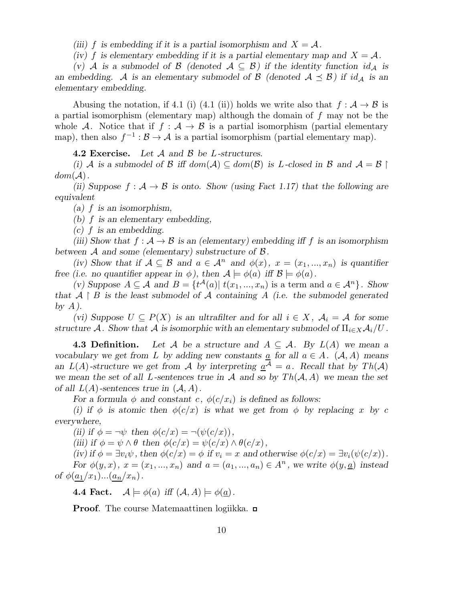(iii) f is embedding if it is a partial isomorphism and  $X = A$ .

(iv) f is elementary embedding if it is a partial elementary map and  $X = A$ .

(v) A is a submodel of B (denoted  $A \subseteq B$ ) if the identity function  $id_A$  is an embedding. A is an elementary submodel of B (denoted  $A \preceq B$ ) if  $id_A$  is an elementary embedding.

Abusing the notation, if 4.1 (i) (4.1 (ii)) holds we write also that  $f : A \rightarrow B$  is a partial isomorphism (elementary map) although the domain of f may not be the whole A. Notice that if  $f : A \to B$  is a partial isomorphism (partial elementary map), then also  $f^{-1}: \mathcal{B} \to \mathcal{A}$  is a partial isomorphism (partial elementary map).

**4.2 Exercise.** Let  $A$  and  $B$  be  $L$ -structures.

(i) A is a submodel of B iff  $dom(\mathcal{A}) \subseteq dom(\mathcal{B})$  is L-closed in B and  $\mathcal{A} = \mathcal{B}$  $dom(\mathcal{A})$ .

(ii) Suppose  $f : A \rightarrow B$  is onto. Show (using Fact 1.17) that the following are equivalent

(a)  $f$  is an isomorphism,

(b)  $f$  is an elementary embedding,

 $(c)$  f is an embedding.

(iii) Show that  $f : \mathcal{A} \to \mathcal{B}$  is an (elementary) embedding iff f is an isomorphism between  $A$  and some (elementary) substructure of  $B$ .

(iv) Show that if  $A \subseteq B$  and  $a \in A^n$  and  $\phi(x)$ ,  $x = (x_1, ..., x_n)$  is quantifier free (i.e. no quantifier appear in  $\phi$ ), then  $\mathcal{A} \models \phi(a)$  iff  $\mathcal{B} \models \phi(a)$ .

(v) Suppose  $A \subseteq \mathcal{A}$  and  $B = \{t^{\mathcal{A}}(a)| t(x_1, ..., x_n)$  is a term and  $a \in \mathcal{A}^n\}$ . Show that  $A \upharpoonright B$  is the least submodel of A containing A (i.e. the submodel generated by  $A$ ).

(vi) Suppose  $U \subseteq P(X)$  is an ultrafilter and for all  $i \in X$ ,  $\mathcal{A}_i = \mathcal{A}$  for some structure A. Show that A is isomorphic with an elementary submodel of  $\Pi_{i\in X}A_i/U$ .

**4.3 Definition.** Let A be a structure and  $A \subseteq \mathcal{A}$ . By  $L(A)$  we mean a vocabulary we get from L by adding new constants  $\underline{a}$  for all  $a \in A$ .  $(A, A)$  means an  $L(A)$ -structure we get from A by interpreting  $\underline{a}^{\mathcal{A}} = a$ . Recall that by  $Th(A)$ we mean the set of all L-sentences true in A and so by  $Th(A, A)$  we mean the set of all  $L(A)$ -sentences true in  $(A, A)$ .

For a formula  $\phi$  and constant c,  $\phi(c/x_i)$  is defined as follows:

(i) if  $\phi$  is atomic then  $\phi(c/x)$  is what we get from  $\phi$  by replacing x by c everywhere,

(ii) if  $\phi = \neg \psi$  then  $\phi(c/x) = \neg(\psi(c/x))$ ,

(iii) if  $\phi = \psi \wedge \theta$  then  $\phi(c/x) = \psi(c/x) \wedge \theta(c/x)$ ,

(iv) if  $\phi = \exists v_i \psi$ , then  $\phi(c/x) = \phi$  if  $v_i = x$  and otherwise  $\phi(c/x) = \exists v_i(\psi(c/x))$ .

For  $\phi(y, x)$ ,  $x = (x_1, ..., x_n)$  and  $a = (a_1, ..., a_n) \in A^n$ , we write  $\phi(y, a)$  instead of  $\phi(a_1/x_1)...(a_n/x_n)$ .

**4.4 Fact.**  $\mathcal{A} \models \phi(a)$  iff  $(\mathcal{A}, A) \models \phi(\underline{a})$ .

**Proof.** The course Matemaattinen logiikka. □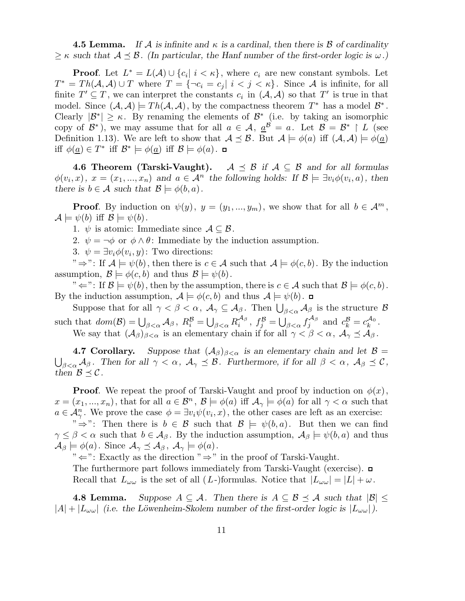**4.5 Lemma.** If A is infinite and  $\kappa$  is a cardinal, then there is B of cardinality  $\geq \kappa$  such that  $\mathcal{A} \preceq \mathcal{B}$ . (In particular, the Hanf number of the first-order logic is  $\omega$ .)

**Proof.** Let  $L^* = L(\mathcal{A}) \cup \{c_i | i \leq \kappa\}$ , where  $c_i$  are new constant symbols. Let  $T^* = Th(\mathcal{A}, \mathcal{A}) \cup T$  where  $T = \{\neg c_i = c_j | i < j < \kappa\}$ . Since  $\mathcal{A}$  is infinite, for all finite  $T' \subseteq T$ , we can interpret the constants  $c_i$  in  $(\mathcal{A}, \mathcal{A})$  so that  $T'$  is true in that model. Since  $(A, A) \models Th(A, A)$ , by the compactness theorem  $T^*$  has a model  $\mathcal{B}^*$ . Clearly  $|\mathcal{B}^*| \geq \kappa$ . By renaming the elements of  $\mathcal{B}^*$  (i.e. by taking an isomorphic copy of  $\mathcal{B}^*$ ), we may assume that for all  $a \in \mathcal{A}$ ,  $\underline{a}^{\mathcal{B}} = a$ . Let  $\mathcal{B} = \mathcal{B}^* \restriction L$  (see Definition 1.13). We are left to show that  $A \prec B$ . But  $A \models \phi(a)$  iff  $(A, A) \models \phi(a)$ iff  $\phi(\underline{a}) \in T^*$  iff  $\mathcal{B}^* \models \phi(\underline{a})$  iff  $\mathcal{B} \models \phi(a)$ .

4.6 Theorem (Tarski-Vaught).  $A \preceq B$  if  $A \subseteq B$  and for all formulas  $\phi(v_i, x), x = (x_1, ..., x_n)$  and  $a \in \mathcal{A}^n$  the following holds: If  $\mathcal{B} \models \exists v_i \phi(v_i, a)$ , then there is  $b \in \mathcal{A}$  such that  $\mathcal{B} \models \phi(b, a)$ .

**Proof.** By induction on  $\psi(y)$ ,  $y = (y_1, ..., y_m)$ , we show that for all  $b \in \mathcal{A}^m$ ,  $\mathcal{A} \models \psi(b)$  iff  $\mathcal{B} \models \psi(b)$ .

1.  $\psi$  is atomic: Immediate since  $\mathcal{A} \subseteq \mathcal{B}$ .

2.  $\psi = \neg \phi$  or  $\phi \wedge \theta$ : Immediate by the induction assumption.

3.  $\psi = \exists v_i \phi(v_i, y)$ : Two directions:

" $\Rightarrow$ ": If  $\mathcal{A} \models \psi(b)$ , then there is  $c \in \mathcal{A}$  such that  $\mathcal{A} \models \phi(c, b)$ . By the induction assumption,  $\mathcal{B} \models \phi(c, b)$  and thus  $\mathcal{B} \models \psi(b)$ .

" $\Leftarrow$ ": If  $\mathcal{B} \models \psi(b)$ , then by the assumption, there is  $c \in \mathcal{A}$  such that  $\mathcal{B} \models \phi(c, b)$ . By the induction assumption,  $\mathcal{A} \models \phi(c, b)$  and thus  $\mathcal{A} \models \psi(b)$ .

Suppose that for all  $\gamma < \beta < \alpha$ ,  $\mathcal{A}_{\gamma} \subseteq \mathcal{A}_{\beta}$ . Then  $\bigcup_{\beta < \alpha} \mathcal{A}_{\beta}$  is the structure  $\beta$ such that  $dom(\mathcal{B}) = \bigcup_{\beta < \alpha} A_{\beta}, R_i^{\mathcal{B}} = \bigcup_{\beta < \alpha} R_i^{\mathcal{A}_{\beta}}$  $i^{\mathcal{A}_{\beta}}$  ,  $f_j^{\mathcal{B}} = \bigcup_{\beta < \alpha} f_j^{\mathcal{A}_{\beta}}$  $c_k^{\mathcal{A}_\beta}$  and  $c_k^{\mathcal{B}} = c_k^{\mathcal{A}_0}$  $\frac{\mathcal{A}_0}{k}$  . We say that  $(\mathcal{A}_{\beta})_{\beta<\alpha}$  is an elementary chain if for all  $\gamma<\beta<\alpha$ ,  $\mathcal{A}_{\gamma}\preceq\mathcal{A}_{\beta}$ .

**4.7 Corollary.** Suppose that  $(A_\beta)_{\beta<\alpha}$  is an elementary chain and let  $\beta=$  $\bigcup_{\beta<\alpha}\mathcal{A}_\beta$ . Then for all  $\gamma<\alpha$ ,  $\mathcal{A}_\gamma\preceq\mathcal{B}$ . Furthermore, if for all  $\beta<\alpha$ ,  $\mathcal{A}_\beta\preceq\mathcal{C}$ , then  $\mathcal{B} \preceq \mathcal{C}$ .

**Proof.** We repeat the proof of Tarski-Vaught and proof by induction on  $\phi(x)$ ,  $x = (x_1, ..., x_n)$ , that for all  $a \in \mathcal{B}^n$ ,  $\mathcal{B} \models \phi(a)$  iff  $\mathcal{A}_{\gamma} \models \phi(a)$  for all  $\gamma < \alpha$  such that  $a \in \mathcal{A}_{\gamma}^n$ . We prove the case  $\phi = \exists v_i \psi(v_i, x)$ , the other cases are left as an exercise:

" $\Rightarrow$ ": Then there is  $b \in \mathcal{B}$  such that  $\mathcal{B} \models \psi(b, a)$ . But then we can find  $\gamma \leq \beta < \alpha$  such that  $b \in A_{\beta}$ . By the induction assumption,  $A_{\beta} \models \psi(b, a)$  and thus  $\mathcal{A}_{\beta} \models \phi(a)$ . Since  $\mathcal{A}_{\gamma} \preceq \mathcal{A}_{\beta}$ ,  $\mathcal{A}_{\gamma} \models \phi(a)$ .

" $\Leftarrow$ ": Exactly as the direction " $\Rightarrow$ " in the proof of Tarski-Vaught.

The furthermore part follows immediately from Tarski-Vaught (exercise). Recall that  $L_{\omega\omega}$  is the set of all  $(L-)$  formulas. Notice that  $|L_{\omega\omega}| = |L| + \omega$ .

**4.8 Lemma.** Suppose  $A \subseteq \mathcal{A}$ . Then there is  $A \subseteq \mathcal{B} \preceq \mathcal{A}$  such that  $|\mathcal{B}| \leq$  $|A| + |L_{\omega \omega}|$  (i.e. the Löwenheim-Skolem number of the first-order logic is  $|L_{\omega \omega}|$ ).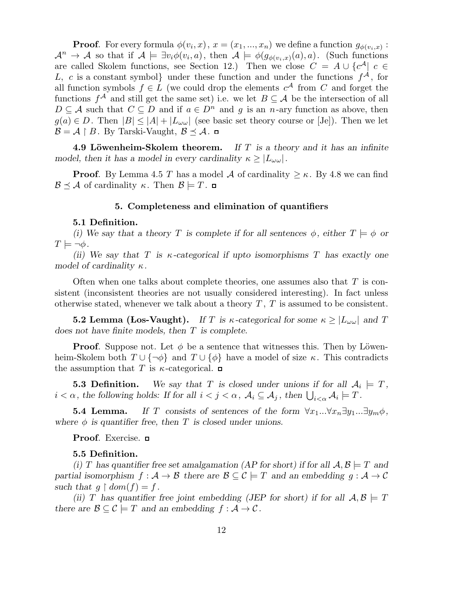**Proof.** For every formula  $\phi(v_i, x)$ ,  $x = (x_1, ..., x_n)$  we define a function  $g_{\phi(v_i, x)}$ :  $\mathcal{A}^n \to \mathcal{A}$  so that if  $\mathcal{A} \models \exists v_i \phi(v_i, a)$ , then  $\mathcal{A} \models \phi(g_{\phi(v_i, x)}(a), a)$ . (Such functions are called Skolem functions, see Section 12.) Then we close  $C = A \cup \{c^{\mathcal{A}}| c \in$ L, c is a constant symbol under these function and under the functions  $f^{\mathcal{A}}$ , for all function symbols  $f \in L$  (we could drop the elements  $c^{\mathcal{A}}$  from C and forget the functions  $f^{\mathcal{A}}$  and still get the same set) i.e. we let  $B \subseteq \mathcal{A}$  be the intersection of all  $D \subseteq A$  such that  $C \subseteq D$  and if  $a \in D^n$  and g is an n-ary function as above, then  $g(a) \in D$ . Then  $|B| \leq |A| + |L_{\omega}(\omega)|$  (see basic set theory course or [Je]). Then we let  $\mathcal{B} = \mathcal{A} \restriction B$ . By Tarski-Vaught,  $\mathcal{B} \preceq \mathcal{A}$ .  $\Box$ 

4.9 Löwenheim-Skolem theorem. If T is a theory and it has an infinite model, then it has a model in every cardinality  $\kappa \geq |L_{\omega \omega}|$ .

**Proof.** By Lemma 4.5 T has a model A of cardinality  $\geq \kappa$ . By 4.8 we can find  $\mathcal{B} \preceq \mathcal{A}$  of cardinality κ. Then  $\mathcal{B} \models T$ .  $\Box$ 

### 5. Completeness and elimination of quantifiers

#### 5.1 Definition.

(i) We say that a theory T is complete if for all sentences  $\phi$ , either  $T \models \phi$  or  $T \models \neg \phi$ .

(ii) We say that T is  $\kappa$ -categorical if upto isomorphisms T has exactly one model of cardinality  $\kappa$ .

Often when one talks about complete theories, one assumes also that T is consistent (inconsistent theories are not usually considered interesting). In fact unless otherwise stated, whenever we talk about a theory  $T, T$  is assumed to be consistent.

**5.2 Lemma (Los-Vaught).** If T is  $\kappa$ -categorical for some  $\kappa \geq |L_{\omega \omega}|$  and T does not have finite models, then T is complete.

**Proof.** Suppose not. Let  $\phi$  be a sentence that witnesses this. Then by Löwenheim-Skolem both  $T \cup {\neg \phi}$  and  $T \cup {\phi}$  have a model of size  $\kappa$ . This contradicts the assumption that T is  $\kappa$ -categorical.  $\Box$ 

**5.3 Definition.** We say that T is closed under unions if for all  $A_i \models T$ ,  $i < \alpha$ , the following holds: If for all  $i < j < \alpha$ ,  $\mathcal{A}_i \subseteq \mathcal{A}_j$ , then  $\bigcup_{i < \alpha} \mathcal{A}_i \models T$ .

**5.4 Lemma.** If T consists of sentences of the form  $\forall x_1...\forall x_n \exists y_1...\exists y_m \phi$ , where  $\phi$  is quantifier free, then T is closed under unions.

Proof. Exercise. □

### 5.5 Definition.

(i) T has quantifier free set amalgamation (AP for short) if for all  $\mathcal{A}, \mathcal{B} \models T$  and partial isomorphism  $f : A \to B$  there are  $B \subseteq C \models T$  and an embedding  $g : A \to C$ such that  $q \restriction dom(f) = f$ .

(ii) T has quantifier free joint embedding (JEP for short) if for all  $A, B \models T$ there are  $\mathcal{B} \subseteq \mathcal{C} \models T$  and an embedding  $f : \mathcal{A} \to \mathcal{C}$ .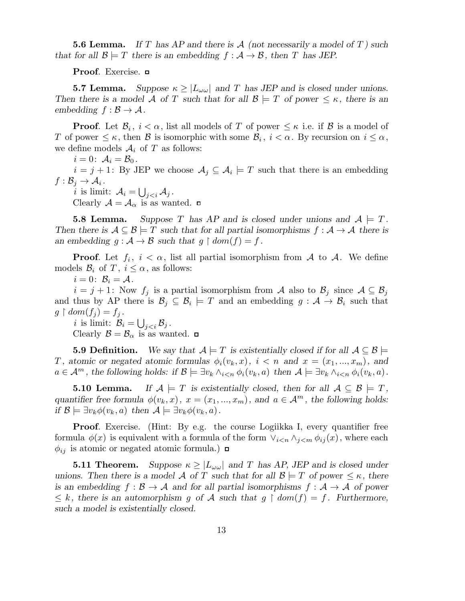**5.6 Lemma.** If T has AP and there is A (not necessarily a model of T) such that for all  $\mathcal{B} \models T$  there is an embedding  $f : \mathcal{A} \to \mathcal{B}$ , then T has JEP.

Proof. Exercise.

**5.7 Lemma.** Suppose  $\kappa \geq |L_{\omega \omega}|$  and T has JEP and is closed under unions. Then there is a model A of T such that for all  $\mathcal{B} \models T$  of power  $\leq \kappa$ , there is an embedding  $f : \mathcal{B} \to \mathcal{A}$ .

**Proof.** Let  $\mathcal{B}_i$ ,  $i < \alpha$ , list all models of T of power  $\leq \kappa$  i.e. if  $\beta$  is a model of T of power  $\leq \kappa$ , then B is isomorphic with some  $\mathcal{B}_i$ ,  $i < \alpha$ . By recursion on  $i \leq \alpha$ , we define models  $\mathcal{A}_i$  of T as follows:

 $i=0$ :  $\mathcal{A}_i=\mathcal{B}_0$ .

 $i = j + 1$ : By JEP we choose  $\mathcal{A}_j \subseteq \mathcal{A}_i \models T$  such that there is an embedding  $f: \mathcal{B}_j \to \mathcal{A}_i$  .

*i* is limit:  $A_i = \bigcup_{j.$ Clearly  $A = A_{\alpha}$  is as wanted.

**5.8 Lemma.** Suppose T has AP and is closed under unions and  $A \models T$ . Then there is  $A \subseteq B \models T$  such that for all partial isomorphisms  $f : A \rightarrow A$  there is an embedding  $g : A \rightarrow B$  such that  $g \restriction dom(f) = f$ .

**Proof.** Let  $f_i$ ,  $i < \alpha$ , list all partial isomorphism from A to A. We define models  $\mathcal{B}_i$  of  $T, i \leq \alpha$ , as follows:

 $i = 0$ :  $\mathcal{B}_i = \mathcal{A}$ .

 $i = j + 1$ : Now  $f_j$  is a partial isomorphism from A also to  $\mathcal{B}_j$  since  $\mathcal{A} \subseteq \mathcal{B}_j$ and thus by AP there is  $\mathcal{B}_j \subseteq \mathcal{B}_i \models T$  and an embedding  $g: \mathcal{A} \to \mathcal{B}_i$  such that  $g \restriction dom(f_j) = f_j$ .

i is limit:  $\mathcal{B}_i = \bigcup_{j.$ Clearly  $\mathcal{B} = \mathcal{B}_{\alpha}$  is as wanted.  $\Box$ 

**5.9 Definition.** We say that  $\mathcal{A} \models T$  is existentially closed if for all  $\mathcal{A} \subseteq \mathcal{B} \models$ T, atomic or negated atomic formulas  $\phi_i(v_k, x)$ ,  $i < n$  and  $x = (x_1, ..., x_m)$ , and  $a \in \mathcal{A}^m$ , the following holds: if  $\mathcal{B} \models \exists v_k \wedge_{i \leq n} \phi_i(v_k, a)$  then  $\mathcal{A} \models \exists v_k \wedge_{i \leq n} \phi_i(v_k, a)$ .

**5.10 Lemma.** If  $\mathcal{A} \models T$  is existentially closed, then for all  $\mathcal{A} \subseteq \mathcal{B} \models T$ , quantifier free formula  $\phi(v_k, x)$ ,  $x = (x_1, ..., x_m)$ , and  $a \in \mathcal{A}^m$ , the following holds: if  $\mathcal{B} \models \exists v_k \phi(v_k, a)$  then  $\mathcal{A} \models \exists v_k \phi(v_k, a)$ .

**Proof.** Exercise. (Hint: By e.g. the course Logiikka I, every quantifier free formula  $\phi(x)$  is equivalent with a formula of the form  $\vee_{i\leq n}\wedge_{j\leq m}\phi_{ij}(x)$ , where each  $\phi_{ij}$  is atomic or negated atomic formula.)  $\Box$ 

**5.11 Theorem.** Suppose  $\kappa \geq |L_{\omega \omega}|$  and T has AP, JEP and is closed under unions. Then there is a model A of T such that for all  $\mathcal{B} \models T$  of power  $\leq \kappa$ , there is an embedding  $f : \mathcal{B} \to \mathcal{A}$  and for all partial isomorphisms  $f : \mathcal{A} \to \mathcal{A}$  of power  $\leq k$ , there is an automorphism g of A such that  $g \restriction dom(f) = f$ . Furthermore, such a model is existentially closed.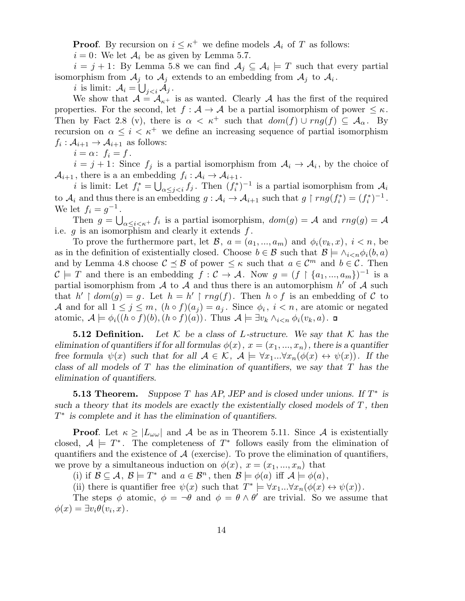**Proof.** By recursion on  $i \leq \kappa^+$  we define models  $\mathcal{A}_i$  of T as follows:

 $i = 0$ : We let  $\mathcal{A}_i$  be as given by Lemma 5.7.

 $i = j + 1$ : By Lemma 5.8 we can find  $\mathcal{A}_j \subseteq \mathcal{A}_i \models T$  such that every partial isomorphism from  $A_j$  to  $A_j$  extends to an embedding from  $A_j$  to  $A_i$ .

i is limit:  $A_i = \bigcup_{j.$ 

We show that  $A = A_{\kappa^+}$  is as wanted. Clearly A has the first of the required properties. For the second, let  $f : A \to A$  be a partial isomorphism of power  $\leq \kappa$ . Then by Fact 2.8 (v), there is  $\alpha < \kappa^+$  such that  $dom(f) \cup rng(f) \subseteq \mathcal{A}_{\alpha}$ . By recursion on  $\alpha \leq i \leq \kappa^+$  we define an increasing sequence of partial isomorphism  $f_i: \mathcal{A}_{i+1} \to \mathcal{A}_{i+1}$  as follows:

 $i = \alpha$ :  $f_i = f$ .

 $i = j + 1$ : Since  $f_j$  is a partial isomorphism from  $A_i \rightarrow A_i$ , by the choice of  $\mathcal{A}_{i+1}$ , there is a an embedding  $f_i: \mathcal{A}_i \to \mathcal{A}_{i+1}$ .

*i* is limit: Let  $f_i^* = \bigcup_{\alpha \leq j < i} f_j$ . Then  $(f_i^*)^{-1}$  is a partial isomorphism from  $\mathcal{A}_i$ to  $\mathcal{A}_i$  and thus there is an embedding  $g : \mathcal{A}_i \to \mathcal{A}_{i+1}$  such that  $g \restriction rng(f_i^*) = (f_i^*)^{-1}$ . We let  $f_i = g^{-1}$ .

Then  $g = \bigcup_{\alpha \leq i < \kappa^+} f_i$  is a partial isomorphism,  $dom(g) = A$  and  $rng(g) = A$ i.e.  $g$  is an isomorphism and clearly it extends  $f$ .

To prove the furthermore part, let  $\mathcal{B}, a = (a_1, ..., a_m)$  and  $\phi_i(v_k, x), i < n$ , be as in the definition of existentially closed. Choose  $b \in \mathcal{B}$  such that  $\mathcal{B} \models \wedge_{i \leq n} \phi_i(b, a)$ and by Lemma 4.8 choose  $\mathcal{C} \preceq \mathcal{B}$  of power  $\leq \kappa$  such that  $a \in \mathcal{C}^m$  and  $b \in \mathcal{C}$ . Then  $\mathcal{C} \models T$  and there is an embedding  $f: \mathcal{C} \to \mathcal{A}$ . Now  $g = (f \restriction \{a_1, ..., a_m\})^{-1}$  is a partial isomorphism from  $\mathcal A$  to  $\mathcal A$  and thus there is an automorphism  $h'$  of  $\mathcal A$  such that  $h' \restriction dom(g) = g$ . Let  $h = h' \restriction rng(f)$ . Then  $h \circ f$  is an embedding of C to A and for all  $1 \leq j \leq m$ ,  $(h \circ f)(a_j) = a_j$ . Since  $\phi_i$ ,  $i < n$ , are atomic or negated atomic,  $\mathcal{A} \models \phi_i((h \circ f)(b), (h \circ f)(a))$ . Thus  $\mathcal{A} \models \exists v_k \wedge_{i \leq n} \phi_i(v_k, a)$ . □

**5.12 Definition.** Let K be a class of L-structure. We say that K has the elimination of quantifiers if for all formulas  $\phi(x)$ ,  $x = (x_1, ..., x_n)$ , there is a quantifier free formula  $\psi(x)$  such that for all  $\mathcal{A} \in \mathcal{K}$ ,  $\mathcal{A} \models \forall x_1...\forall x_n(\phi(x) \leftrightarrow \psi(x))$ . If the class of all models of  $T$  has the elimination of quantifiers, we say that  $T$  has the elimination of quantifiers.

**5.13 Theorem.** Suppose  $T$  has  $AP$ , JEP and is closed under unions. If  $T^*$  is such a theory that its models are exactly the existentially closed models of  $T$ , then T ∗ is complete and it has the elimination of quantifiers.

**Proof.** Let  $\kappa \geq |L_{\omega \omega}|$  and A be as in Theorem 5.11. Since A is existentially closed,  $A \models T^*$ . The completeness of  $T^*$  follows easily from the elimination of quantifiers and the existence of  $A$  (exercise). To prove the elimination of quantifiers, we prove by a simultaneous induction on  $\phi(x)$ ,  $x = (x_1, ..., x_n)$  that

(i) if  $\mathcal{B} \subseteq \mathcal{A}, \mathcal{B} \models T^*$  and  $a \in \mathcal{B}^n$ , then  $\mathcal{B} \models \phi(a)$  iff  $\mathcal{A} \models \phi(a)$ ,

(ii) there is quantifier free  $\psi(x)$  such that  $T^* \models \forall x_1...\forall x_n(\phi(x) \leftrightarrow \psi(x)).$ 

The steps  $\phi$  atomic,  $\phi = \neg \theta$  and  $\phi = \theta \wedge \theta'$  are trivial. So we assume that  $\phi(x) = \exists v_i \theta(v_i, x).$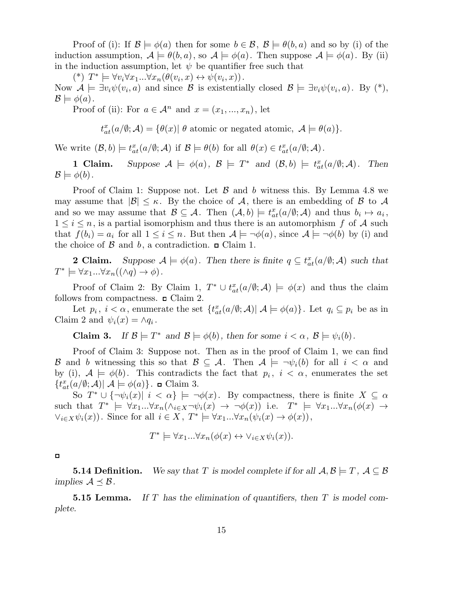Proof of (i): If  $\mathcal{B} \models \phi(a)$  then for some  $b \in \mathcal{B}$ ,  $\mathcal{B} \models \theta(b, a)$  and so by (i) of the induction assumption,  $A \models \theta(b, a)$ , so  $A \models \phi(a)$ . Then suppose  $A \models \phi(a)$ . By (ii) in the induction assumption, let  $\psi$  be quantifier free such that

(\*)  $T^* \models \forall v_i \forall x_1 ... \forall x_n (\theta(v_i, x) \leftrightarrow \psi(v_i, x)).$ Now  $\mathcal{A} \models \exists v_i \psi(v_i, a)$  and since  $\mathcal{B}$  is existentially closed  $\mathcal{B} \models \exists v_i \psi(v_i, a)$ . By  $(*)$ ,  $\mathcal{B} \models \phi(a)$ .

Proof of (ii): For  $a \in \mathcal{A}^n$  and  $x = (x_1, ..., x_n)$ , let

 $t_{at}^x(a/\emptyset; \mathcal{A}) = \{\theta(x) | \theta \text{ atomic or negated atomic}, \mathcal{A} \models \theta(a)\}.$ 

We write  $(\mathcal{B},b) \models t_{at}^{x}(a/\emptyset;\mathcal{A})$  if  $\mathcal{B} \models \theta(b)$  for all  $\theta(x) \in t_{at}^{x}(a/\emptyset;\mathcal{A})$ .

**1 Claim.** Suppose  $A \models \phi(a)$ ,  $B \models T^*$  and  $(B, b) \models t_{at}^x(a/\emptyset; A)$ . Then  $\mathcal{B} \models \phi(b)$ .

Proof of Claim 1: Suppose not. Let  $\beta$  and b witness this. By Lemma 4.8 we may assume that  $|\mathcal{B}| \leq \kappa$ . By the choice of A, there is an embedding of B to A and so we may assume that  $\mathcal{B} \subseteq \mathcal{A}$ . Then  $(\mathcal{A}, b) \models t_{at}^x(a/\emptyset; \mathcal{A})$  and thus  $b_i \mapsto a_i$ ,  $1 \leq i \leq n$ , is a partial isomorphism and thus there is an automorphism f of A such that  $f(b_i) = a_i$  for all  $1 \leq i \leq n$ . But then  $\mathcal{A} \models \neg \phi(a)$ , since  $\mathcal{A} \models \neg \phi(b)$  by (i) and the choice of  $\beta$  and b, a contradiction.  $\Box$  Claim 1.

**2 Claim.** Suppose  $\mathcal{A} \models \phi(a)$ . Then there is finite  $q \subseteq t_{at}^x(a/\emptyset; \mathcal{A})$  such that  $T^* \models \forall x_1...\forall x_n((\land q) \rightarrow \phi).$ 

Proof of Claim 2: By Claim 1,  $T^* \cup t^x_{at}(a/\emptyset; \mathcal{A}) \models \phi(x)$  and thus the claim follows from compactness.  $\Box$  Claim 2.

Let  $p_i$ ,  $i < \alpha$ , enumerate the set  $\{t_{at}^x(a/\emptyset; \mathcal{A}) | \mathcal{A} \models \phi(a)\}\.$  Let  $q_i \subseteq p_i$  be as in Claim 2 and  $\psi_i(x) = \wedge q_i$ .

**Claim 3.** If  $\mathcal{B} \models T^*$  and  $\mathcal{B} \models \phi(b)$ , then for some  $i < \alpha$ ,  $\mathcal{B} \models \psi_i(b)$ .

Proof of Claim 3: Suppose not. Then as in the proof of Claim 1, we can find B and b witnessing this so that  $\mathcal{B} \subseteq \mathcal{A}$ . Then  $\mathcal{A} \models \neg \psi_i(b)$  for all  $i < \alpha$  and by (i),  $A \models \phi(b)$ . This contradicts the fact that  $p_i, i < \alpha$ , enumerates the set  ${t_{at}^x(a/\emptyset; \mathcal{A}) | \mathcal{A} \models \phi(a)}$ .  $\Box$  Claim 3.

So  $T^* \cup {\neg \psi_i(x)} \mid i < \alpha$   $\models \neg \phi(x)$ . By compactness, there is finite  $X \subseteq \alpha$ such that  $T^* \models \forall x_1...\forall x_n(\wedge_{i\in X}\neg\psi_i(x) \rightarrow \neg\phi(x))$  i.e.  $T^* \models \forall x_1...\forall x_n(\phi(x) \rightarrow \phi(x))$  $\forall_{i\in X}\psi_i(x)$ . Since for all  $i\in X$ ,  $T^* \models \forall x_1...\forall x_n(\psi_i(x) \rightarrow \phi(x)),$ 

$$
T^* \models \forall x_1...\forall x_n(\phi(x) \leftrightarrow \vee_{i \in X}\psi_i(x)).
$$

### $\Box$

**5.14 Definition.** We say that T is model complete if for all  $\mathcal{A}, \mathcal{B} \models T, \ \mathcal{A} \subseteq \mathcal{B}$ implies  $A \preceq B$ .

**5.15 Lemma.** If T has the elimination of quantifiers, then T is model complete.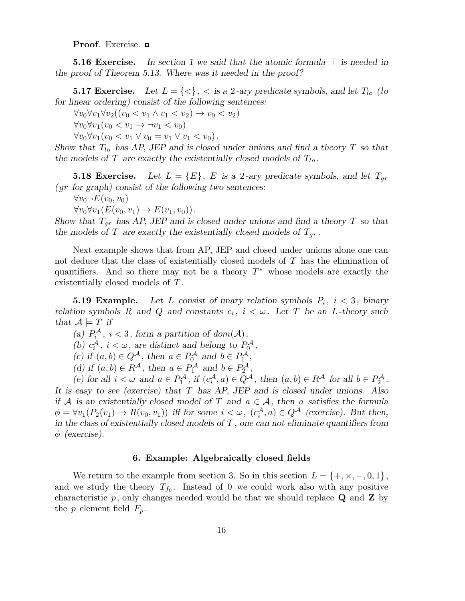Proof. Exercise.

**5.16 Exercise.** In section 1 we said that the atomic formula  $\top$  is needed in the proof of Theorem 5.13. Where was it needed in the proof?

**5.17 Exercise.** Let  $L = \{ \langle \rangle, \langle \rangle \}$  is a 2-ary predicate symbols, and let  $T_{lo}$  (lo for linear ordering) consist of the following sentences:

 $\forall v_0 \forall v_1 \forall v_2 ((v_0 < v_1 \land v_1 < v_2) \rightarrow v_0 < v_2)$ 

 $\forall v_0 \forall v_1(v_0 \langle v_1 \rightarrow \neg v_1 \langle v_0 \rangle)$ 

 $\forall v_0 \forall v_1(v_0 < v_1 \lor v_0 = v_1 \lor v_1 < v_0).$ 

Show that  $T_{lo}$  has AP, JEP and is closed under unions and find a theory T so that the models of T are exactly the existentially closed models of  $T_{lo}$ .

**5.18 Exercise.** Let  $L = \{E\}$ , E is a 2-ary predicate symbols, and let  $T_{qr}$  $gr$  for graph) consist of the following two sentences:

 $\forall v_0 \neg E(v_0, v_0)$ 

 $\forall v_0 \forall v_1 (E(v_0, v_1) \rightarrow E(v_1, v_0)).$ 

Show that  $T_{qr}$  has AP, JEP and is closed under unions and find a theory T so that the models of T are exactly the existentially closed models of  $T_{qr}$ .

Next example shows that from AP, JEP and closed under unions alone one can not deduce that the class of existentially closed models of T has the elimination of quantifiers. And so there may not be a theory  $T^*$  whose models are exactly the existentially closed models of T .

**5.19 Example.** Let L consist of unary relation symbols  $P_i$ ,  $i < 3$ , binary relation symbols R and Q and constants  $c_i$ ,  $i < \omega$ . Let T be an L-theory such that  $\mathcal{A} \models T$  if

(a)  $P_i^{\mathcal{A}}$ ,  $i < 3$ , form a partition of  $dom(\mathcal{A})$ ,

(b)  $c_i^{\mathcal{A}}$ ,  $i < \omega$ , are distinct and belong to  $P_0^{\mathcal{A}}$ ,

(c) if  $(a, b) \in Q^{\mathcal{A}}$ , then  $a \in P_0^{\mathcal{A}}$  and  $b \in P_1^{\mathcal{A}}$ ,

(d) if  $(a, b) \in R^{\mathcal{A}}$ , then  $a \in P_1^{\mathcal{A}}$  and  $b \in P_2^{\mathcal{A}}$ ,

(e) for all  $i < \omega$  and  $a \in P_1^{\mathcal{A}}$ , if  $(c_i^{\mathcal{A}}, a) \in Q^{\mathcal{A}}$ , then  $(a, b) \in R^{\mathcal{A}}$  for all  $b \in P_2^{\mathcal{A}}$ . It is easy to see (exercise) that T has AP, JEP and is closed under unions. Also if A is an existentially closed model of T and  $a \in \mathcal{A}$ , then a satisfies the formula  $\phi = \forall v_1(P_2(v_1) \to R(v_0, v_1))$  iff for some  $i < \omega$ ,  $(c_i^{\mathcal{A}}, a) \in Q^{\mathcal{A}}$  (exercise). But then, in the class of existentially closed models of  $T$ , one can not eliminate quantifiers from  $\phi$  (exercise).

### 6. Example: Algebraically closed fields

We return to the example from section 3. So in this section  $L = \{+, \times, -, 0, 1\}$ , and we study the theory  $T_{f_0}$ . Instead of 0 we could work also with any positive characteristic p, only changes needed would be that we should replace  $\bf{Q}$  and  $\bf{Z}$  by the p element field  $F_p$ .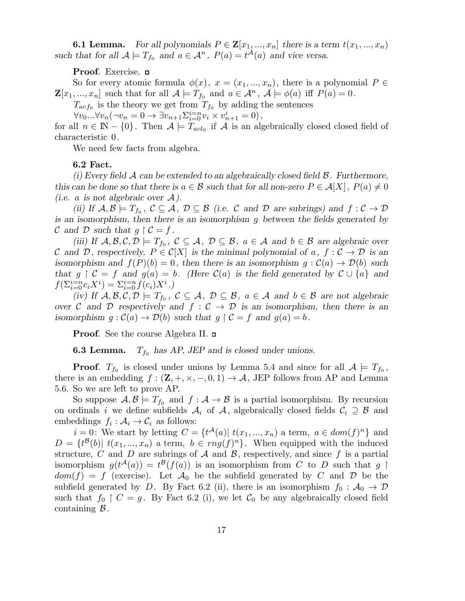**6.1 Lemma.** For all polynomials  $P \in \mathbf{Z}[x_1, ..., x_n]$  there is a term  $t(x_1, ..., x_n)$ such that for all  $\mathcal{A} \models T_{f_0}$  and  $a \in \mathcal{A}^n$ ,  $P(a) = t^{\mathcal{A}}(a)$  and vice versa.

Proof. Exercise. □

So for every atomic formula  $\phi(x)$ ,  $x = (x_1, ..., x_n)$ , there is a polynomial  $P \in$  $\mathbf{Z}[x_1, ..., x_n]$  such that for all  $\mathcal{A} \models T_{f_0}$  and  $a \in \mathcal{A}^n$ ,  $\mathcal{A} \models \phi(a)$  iff  $P(a) = 0$ .

 $T_{act_0}$  is the theory we get from  $T_{f_0}$  by adding the sentences

 $\forall v_0...\forall v_n (\neg v_n = 0 \to \exists v_{n+1} \sum_{i=0}^{i=n} v_i \times v_{n+1}^i = 0),$ 

for all  $n \in \mathbb{N} - \{0\}$ . Then  $\mathcal{A} \models T_{acl_0}$  if  $\mathcal{A}$  is an algebraically closed closed field of characteristic 0.

We need few facts from algebra.

### 6.2 Fact.

(i) Every field  $\mathcal A$  can be extended to an algebraically closed field  $\mathcal B$ . Furthermore, this can be done so that there is  $a \in \mathcal{B}$  such that for all non-zero  $P \in \mathcal{A}[X], P(a) \neq 0$ (i.e. a is not algebraic over  $A$ ).

(ii) If  $A, B \models T_{f_0}, C \subseteq A, D \subseteq B$  (i.e. C and D are subrings) and  $f: C \to D$ is an isomorphism, then there is an isomorphism  $q$  between the fields generated by C and D such that  $q \restriction C = f$ .

(iii) If  $A, B, C, D \models T_{f_0}, C \subseteq A, D \subseteq B, a \in A$  and  $b \in B$  are algebraic over C and D, respectively,  $P \in C[X]$  is the minimal polynomial of a,  $f : C \to D$  is an isomorphism and  $f(P)(b) = 0$ , then there is an isomorphism  $g: C(a) \to \mathcal{D}(b)$  such that  $g \restriction C = f$  and  $g(a) = b$ . (Here  $C(a)$  is the field generated by  $C \cup \{a\}$  and  $f(\sum_{i=0}^{i=n} c_i X^i) = \sum_{i=0}^{i=n} f(c_i) X^i$ .)

(iv) If  $A, B, C, D \models T_{f_0}, C \subseteq A, D \subseteq B, a \in A$  and  $b \in B$  are not algebraic over C and D respectively and  $f: C \to D$  is an isomorphism, then there is an isomorphism  $g: \mathcal{C}(a) \to \mathcal{D}(b)$  such that  $g \restriction \mathcal{C} = f$  and  $g(a) = b$ .

Proof. See the course Algebra II.

**6.3 Lemma.**  $T_{f_0}$  has AP, JEP and is closed under unions.

**Proof.**  $T_{f_0}$  is closed under unions by Lemma 5.4 and since for all  $\mathcal{A} \models T_{f_0}$ , there is an embedding  $f : (\mathbf{Z}, +, \times, -, 0, 1) \to A$ , JEP follows from AP and Lemma 5.6. So we are left to prove AP.

So suppose  $\mathcal{A}, \mathcal{B} \models T_{f_0}$  and  $f : \mathcal{A} \to \mathcal{B}$  is a partial isomorphism. By recursion on ordinals i we define subfields  $A_i$  of A, algebraically closed fields  $C_i \supseteq \mathcal{B}$  and embeddings  $f_i: \mathcal{A}_i \to \mathcal{C}_i$  as follows:

 $i = 0$ : We start by letting  $C = \{t^{\mathcal{A}}(a) | t(x_1, ..., x_n) \text{ a term}, a \in dom(f)^n\}$  and  $D = \{t^{\mathcal{B}}(b)| t(x_1,...,x_n)$  a term,  $b \in rng(f)^n\}$ . When equipped with the induced structure, C and D are subrings of A and B, respectively, and since f is a partial isomorphism  $g(t^{\mathcal{A}}(a)) = t^{\mathcal{B}}(f(a))$  is an isomorphism from C to D such that  $g \upharpoonright$  $dom(f) = f$  (exercise). Let  $\mathcal{A}_0$  be the subfield generated by C and D be the subfield generated by D. By Fact 6.2 (ii), there is an isomorphism  $f_0 : A_0 \to \mathcal{D}$ such that  $f_0 \restriction C = g$ . By Fact 6.2 (i), we let  $C_0$  be any algebraically closed field containing  $\beta$ .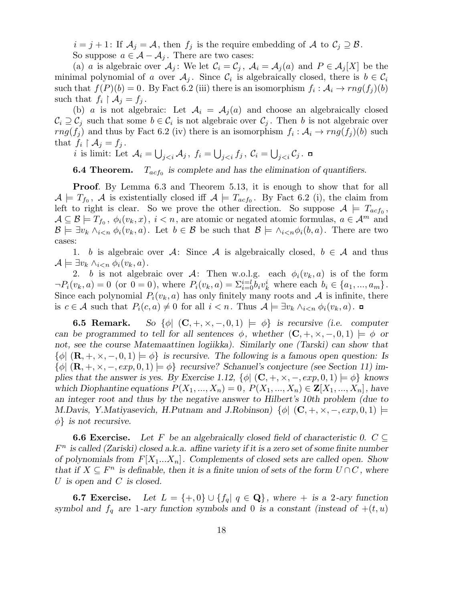$i = j + 1$ : If  $\mathcal{A}_j = \mathcal{A}$ , then  $f_j$  is the require embedding of  $\mathcal A$  to  $\mathcal{C}_j \supseteq \mathcal{B}$ . So suppose  $a \in \mathcal{A} - \mathcal{A}_j$ . There are two cases:

(a) a is algebraic over  $\mathcal{A}_j$ : We let  $\mathcal{C}_i = \mathcal{C}_j$ ,  $\mathcal{A}_i = \mathcal{A}_j(a)$  and  $P \in \mathcal{A}_j[X]$  be the minimal polynomial of a over  $A_j$ . Since  $C_i$  is algebraically closed, there is  $b \in C_i$ such that  $f(P)(b) = 0$ . By Fact 6.2 (iii) there is an isomorphism  $f_i : \mathcal{A}_i \to rng(f_j)(b)$ such that  $f_i \restriction A_j = f_j$ .

(b) a is not algebraic: Let  $A_i = A_j(a)$  and choose an algebraically closed  $\mathcal{C}_i \supseteq \mathcal{C}_j$  such that some  $b \in \mathcal{C}_i$  is not algebraic over  $\mathcal{C}_j$ . Then b is not algebraic over  $rng(f_j)$  and thus by Fact 6.2 (iv) there is an isomorphism  $f_i: \mathcal{A}_i \to rng(f_j)(b)$  such that  $f_i \upharpoonright A_j = f_j$ .

i is limit: Let  $\mathcal{A}_i = \bigcup_{j,  $f_i = \bigcup_{j,  $\mathcal{C}_i = \bigcup_{j.$$$ 

**6.4 Theorem.**  $T_{acf_0}$  is complete and has the elimination of quantifiers.

Proof. By Lemma 6.3 and Theorem 5.13, it is enough to show that for all  $\mathcal{A} \models T_{f_0}, \mathcal{A}$  is existentially closed iff  $\mathcal{A} \models T_{acf_0}$ . By Fact 6.2 (i), the claim from left to right is clear. So we prove the other direction. So suppose  $\mathcal{A} \models T_{act_0},$  $\mathcal{A} \subseteq \mathcal{B} \models T_{f_0}, \ \phi_i(v_k, x), \ i < n$ , are atomic or negated atomic formulas,  $a \in \mathcal{A}^m$  and  $\mathcal{B} \models \exists v_k \wedge_{i \leq n} \phi_i(v_k, a)$ . Let  $b \in \mathcal{B}$  be such that  $\mathcal{B} \models \wedge_{i \leq n} \phi_i(b, a)$ . There are two cases:

1. b is algebraic over A: Since A is algebraically closed,  $b \in A$  and thus  $\mathcal{A} \models \exists v_k \wedge_{i \leq n} \phi_i(v_k, a).$ 

2. b is not algebraic over A: Then w.o.l.g. each  $\phi_i(v_k, a)$  is of the form  $\neg P_i(v_k, a) = 0$  (or  $0 = 0$ ), where  $P_i(v_k, a) = \sum_{i=0}^{i=l} b_i v_k^i$  where each  $b_i \in \{a_1, ..., a_m\}$ . Since each polynomial  $P_i(v_k, a)$  has only finitely many roots and A is infinite, there is  $c \in \mathcal{A}$  such that  $P_i(c, a) \neq 0$  for all  $i < n$ . Thus  $\mathcal{A} \models \exists v_k \wedge_{i \leq n} \phi_i(v_k, a)$ . □

**6.5 Remark.** So  $\{\phi \mid (\mathbf{C}, +, \times, -, 0, 1) \models \phi\}$  is recursive (i.e. computer can be programmed to tell for all sentences  $\phi$ , whether  $(C, +, \times, -, 0, 1) \models \phi$  or not, see the course Matemaattinen logiikka). Similarly one (Tarski) can show that  $\{\phi \mid (\mathbf{R}, +, \times, -, 0, 1) \models \phi\}$  is recursive. The following is a famous open question: Is  $\{\phi \mid (\mathbf{R}, +, \times, -, exp, 0, 1) \models \phi\}$  recursive? Schanuel's conjecture (see Section 11) implies that the answer is yes. By Exercise 1.12,  $\{\phi \mid (\mathbf{C}, +, \times, -, exp, 0, 1) \models \phi\}$  knows which Diophantine equations  $P(X_1, ..., X_n) = 0$ ,  $P(X_1, ..., X_n) \in \mathbf{Z}[X_1, ..., X_n]$ , have an integer root and thus by the negative answer to Hilbert's 10th problem (due to M.Davis, Y.Matiyasevich, H.Putnam and J.Robinson)  $\{\phi \mid (\mathbf{C}, +, \times, -, exp, 0, 1) \models$  $\phi$ } is not recursive.

**6.6 Exercise.** Let F be an algebraically closed field of characteristic 0.  $C \subseteq$  $F<sup>n</sup>$  is called (Zariski) closed a.k.a. affine variety if it is a zero set of some finite number of polynomials from  $F[X_1...X_n]$ . Complements of closed sets are called open. Show that if  $X \subseteq F^n$  is definable, then it is a finite union of sets of the form  $U \cap C$ , where U is open and C is closed.

**6.7 Exercise.** Let  $L = \{+, 0\} \cup \{f_q | q \in \mathbf{Q}\}\$ , where  $+$  is a 2-ary function symbol and  $f_q$  are 1-ary function symbols and 0 is a constant (instead of  $+(t, u)$ )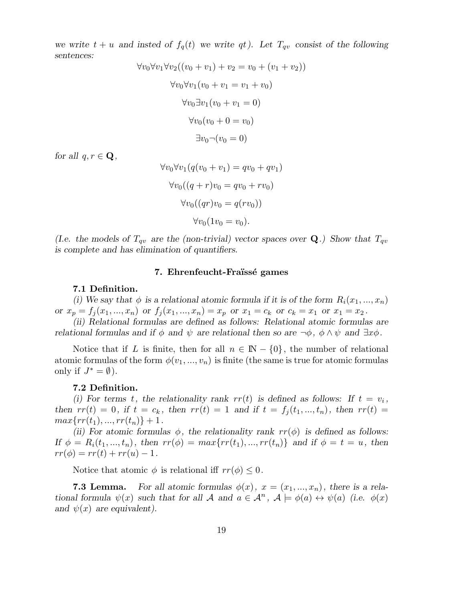we write  $t + u$  and insted of  $f_q(t)$  we write qt). Let  $T_{qv}$  consist of the following sentences:

$$
\forall v_0 \forall v_1 \forall v_2 ((v_0 + v_1) + v_2 = v_0 + (v_1 + v_2))
$$

$$
\forall v_0 \forall v_1 (v_0 + v_1 = v_1 + v_0)
$$

$$
\forall v_0 \exists v_1 (v_0 + v_1 = 0)
$$

$$
\forall v_0 (v_0 + 0 = v_0)
$$

$$
\exists v_0 \neg (v_0 = 0)
$$

for all  $q, r \in \mathbf{Q}$ ,

$$
\forall v_0 \forall v_1 (q(v_0 + v_1) = qv_0 + qv_1)
$$

$$
\forall v_0 ((q + r)v_0 = qv_0 + rv_0)
$$

$$
\forall v_0 ((qr)v_0 = q(rv_0))
$$

$$
\forall v_0 (1v_0 = v_0).
$$

(I.e. the models of  $T_{qv}$  are the (non-trivial) vector spaces over Q.) Show that  $T_{qv}$ is complete and has elimination of quantifiers.

### 7. Ehrenfeucht-Fraïssé games

### 7.1 Definition.

(i) We say that  $\phi$  is a relational atomic formula if it is of the form  $R_i(x_1, ..., x_n)$ or  $x_p = f_i(x_1, ..., x_n)$  or  $f_i(x_1, ..., x_n) = x_p$  or  $x_1 = c_k$  or  $c_k = x_1$  or  $x_1 = x_2$ .

(ii) Relational formulas are defined as follows: Relational atomic formulas are relational formulas and if  $\phi$  and  $\psi$  are relational then so are  $\neg \phi$ ,  $\phi \wedge \psi$  and  $\exists x \phi$ .

Notice that if L is finite, then for all  $n \in \mathbb{N} - \{0\}$ , the number of relational atomic formulas of the form  $\phi(v_1, ..., v_n)$  is finite (the same is true for atomic formulas only if  $J^* = \emptyset$ ).

#### 7.2 Definition.

(i) For terms t, the relationality rank  $rr(t)$  is defined as follows: If  $t = v_i$ , then  $rr(t) = 0$ , if  $t = c_k$ , then  $rr(t) = 1$  and if  $t = f_j(t_1, ..., t_n)$ , then  $rr(t) =$  $max\{rr(t_1), ..., rr(t_n)\} + 1.$ 

(ii) For atomic formulas  $\phi$ , the relationality rank  $rr(\phi)$  is defined as follows: If  $\phi = R_i(t_1, ..., t_n)$ , then  $rr(\phi) = max\{rr(t_1), ..., rr(t_n)\}$  and if  $\phi = t = u$ , then  $rr(\phi) = rr(t) + rr(u) - 1.$ 

Notice that atomic  $\phi$  is relational iff  $rr(\phi) \leq 0$ .

**7.3 Lemma.** For all atomic formulas  $\phi(x)$ ,  $x = (x_1, ..., x_n)$ , there is a relational formula  $\psi(x)$  such that for all A and  $a \in \mathcal{A}^n$ ,  $\mathcal{A} \models \phi(a) \leftrightarrow \psi(a)$  (i.e.  $\phi(x)$ ) and  $\psi(x)$  are equivalent).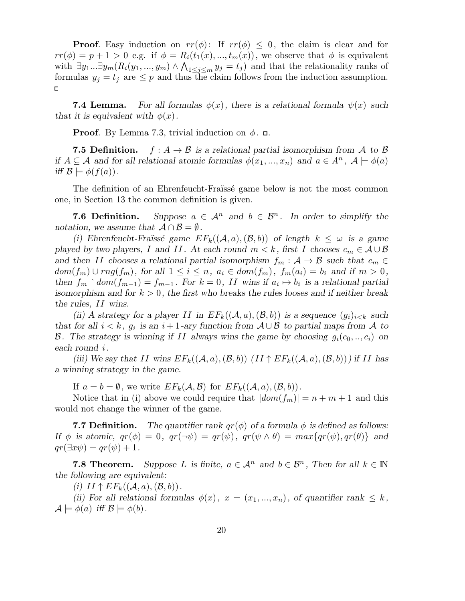**Proof.** Easy induction on  $rr(\phi)$ : If  $rr(\phi) \leq 0$ , the claim is clear and for  $rr(\phi) = p + 1 > 0$  e.g. if  $\phi = R_i(t_1(x), ..., t_m(x))$ , we observe that  $\phi$  is equivalent with  $\exists y_1...\exists y_m(R_i(y_1,...,y_m) \wedge \bigwedge_{1\leq j\leq m} y_j = t_j)$  and that the relationality ranks of formulas  $y_j = t_j$  are  $\leq p$  and thus the claim follows from the induction assumption.

**7.4 Lemma.** For all formulas  $\phi(x)$ , there is a relational formula  $\psi(x)$  such that it is equivalent with  $\phi(x)$ .

**Proof.** By Lemma 7.3, trivial induction on  $\phi$ .  $\Box$ .

**7.5 Definition.**  $f : A \rightarrow B$  is a relational partial isomorphism from A to B if  $A \subseteq \mathcal{A}$  and for all relational atomic formulas  $\phi(x_1, ..., x_n)$  and  $a \in A^n$ ,  $\mathcal{A} \models \phi(a)$ iff  $\mathcal{B} \models \phi(f(a))$ .

The definition of an Ehrenfeucht-Fraïssé game below is not the most common one, in Section 13 the common definition is given.

**7.6 Definition.** Suppose  $a \in \mathcal{A}^n$  and  $b \in \mathcal{B}^n$ . In order to simplify the notation, we assume that  $\mathcal{A} \cap \mathcal{B} = \emptyset$ .

(i) Ehrenfeucht-Fraüssé game  $EF_k((A, a), (B, b))$  of length  $k \leq \omega$  is a game played by two players, I and II. At each round  $m < k$ , first I chooses  $c_m \in \mathcal{A} \cup \mathcal{B}$ and then II chooses a relational partial isomorphism  $f_m : A \rightarrow B$  such that  $c_m \in$  $dom(f_m) \cup rng(f_m)$ , for all  $1 \leq i \leq n$ ,  $a_i \in dom(f_m)$ ,  $f_m(a_i) = b_i$  and if  $m > 0$ , then  $f_m \restriction dom(f_{m-1}) = f_{m-1}$ . For  $k = 0$ , II wins if  $a_i \mapsto b_i$  is a relational partial isomorphism and for  $k > 0$ , the first who breaks the rules looses and if neither break the rules, II wins.

(ii) A strategy for a player II in  $EF_k((\mathcal{A},a),(\mathcal{B},b))$  is a sequence  $(g_i)_{i\leq k}$  such that for all  $i < k$ ,  $g_i$  is an  $i + 1$ -ary function from  $\mathcal{A} \cup \mathcal{B}$  to partial maps from  $\mathcal{A}$  to B. The strategy is winning if II always wins the game by choosing  $g_i(c_0, \ldots, c_i)$  on each round i.

(iii) We say that II wins  $EF_k((\mathcal{A},a),(\mathcal{B},b))$  (II  $\uparrow EF_k((\mathcal{A},a),(\mathcal{B},b))$ ) if II has a winning strategy in the game.

If  $a = b = \emptyset$ , we write  $EF_k(\mathcal{A}, \mathcal{B})$  for  $EF_k((\mathcal{A}, a), (\mathcal{B}, b))$ .

Notice that in (i) above we could require that  $|dom(f_m)| = n + m + 1$  and this would not change the winner of the game.

**7.7 Definition.** The quantifier rank  $qr(\phi)$  of a formula  $\phi$  is defined as follows: If  $\phi$  is atomic,  $qr(\phi) = 0$ ,  $qr(\neg \psi) = qr(\psi)$ ,  $qr(\psi \wedge \theta) = max\{qr(\psi), qr(\theta)\}\$ and  $qr(\exists x\psi) = qr(\psi) + 1.$ 

**7.8 Theorem.** Suppose L is finite,  $a \in \mathcal{A}^n$  and  $b \in \mathcal{B}^n$ , Then for all  $k \in \mathbb{N}$ the following are equivalent:

(i)  $II \uparrow EF_k((\mathcal{A}, a),(\mathcal{B}, b))$ .

(ii) For all relational formulas  $\phi(x)$ ,  $x = (x_1, ..., x_n)$ , of quantifier rank  $\leq k$ ,  $\mathcal{A} \models \phi(a)$  iff  $\mathcal{B} \models \phi(b)$ .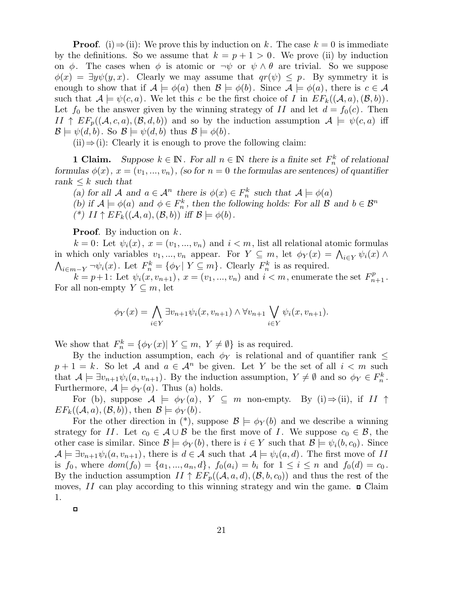**Proof.** (i)  $\Rightarrow$  (ii): We prove this by induction on k. The case  $k = 0$  is immediate by the definitions. So we assume that  $k = p + 1 > 0$ . We prove (ii) by induction on  $\phi$ . The cases when  $\phi$  is atomic or  $\neg \psi$  or  $\psi \wedge \theta$  are trivial. So we suppose  $\phi(x) = \exists y \psi(y, x)$ . Clearly we may assume that  $qr(\psi) \leq p$ . By symmetry it is enough to show that if  $\mathcal{A} \models \phi(a)$  then  $\mathcal{B} \models \phi(b)$ . Since  $\mathcal{A} \models \phi(a)$ , there is  $c \in \mathcal{A}$ such that  $\mathcal{A} \models \psi(c, a)$ . We let this c be the first choice of I in  $EF_k((\mathcal{A}, a),(\mathcal{B}, b))$ . Let  $f_0$  be the answer given by the winning strategy of II and let  $d = f_0(c)$ . Then  $II \uparrow EF_p((\mathcal{A}, c, a), (\mathcal{B}, d, b))$  and so by the induction assumption  $\mathcal{A} \models \psi(c, a)$  iff  $\mathcal{B} \models \psi(d, b)$ . So  $\mathcal{B} \models \psi(d, b)$  thus  $\mathcal{B} \models \phi(b)$ .

 $(ii) \Rightarrow (i)$ : Clearly it is enough to prove the following claim:

**1 Claim.** Suppose  $k \in \mathbb{N}$ . For all  $n \in \mathbb{N}$  there is a finite set  $F_n^k$  of relational formulas  $\phi(x)$ ,  $x = (v_1, ..., v_n)$ , (so for  $n = 0$  the formulas are sentences) of quantifier rank  $\leq k$  such that

(a) for all A and  $a \in \mathcal{A}^n$  there is  $\phi(x) \in F_n^k$  such that  $\mathcal{A} \models \phi(a)$ (b) if  $\mathcal{A} \models \phi(a)$  and  $\phi \in F_n^k$ , then the following holds: For all  $\mathcal{B}$  and  $b \in \mathcal{B}^n$ (\*)  $II \uparrow EF_k((\mathcal{A}, a), (\mathcal{B}, b))$  iff  $\mathcal{B} \models \phi(b)$ .

**Proof.** By induction on  $k$ .

 $k = 0$ : Let  $\psi_i(x)$ ,  $x = (v_1, ..., v_n)$  and  $i < m$ , list all relational atomic formulas in which only variables  $v_1, ..., v_n$  appear. For  $Y \subseteq m$ , let  $\phi_Y(x) = \bigwedge_{i \in Y} \psi_i(x) \wedge$  $\bigwedge_{i \in m-Y} \neg \psi_i(x)$ . Let  $F_n^k = \{\phi_Y | Y \subseteq m\}$ . Clearly  $F_n^k$  is as required.

 $k = p+1$ : Let  $\psi_i(x, v_{n+1}), x = (v_1, ..., v_n)$  and  $i < m$ , enumerate the set  $F_{n+1}^p$ . For all non-empty  $Y \subseteq m$ , let

$$
\phi_Y(x) = \bigwedge_{i \in Y} \exists v_{n+1} \psi_i(x, v_{n+1}) \land \forall v_{n+1} \bigvee_{i \in Y} \psi_i(x, v_{n+1}).
$$

We show that  $F_n^k = \{ \phi_Y(x) | Y \subseteq m, Y \neq \emptyset \}$  is as required.

By the induction assumption, each  $\phi_Y$  is relational and of quantifier rank  $\leq$  $p+1 = k$ . So let A and  $a \in \mathcal{A}^n$  be given. Let Y be the set of all  $i < m$  such that  $\mathcal{A} \models \exists v_{n+1} \psi_i(a, v_{n+1})$ . By the induction assumption,  $Y \neq \emptyset$  and so  $\phi_Y \in F_n^k$ . Furthermore,  $A \models \phi_Y(a)$ . Thus (a) holds.

For (b), suppose  $\mathcal{A} \models \phi_Y(a)$ ,  $Y \subseteq m$  non-empty. By (i)  $\Rightarrow$  (ii), if II  $\uparrow$  $EF_k((\mathcal{A}, a), (\mathcal{B}, b))$ , then  $\mathcal{B} \models \phi_Y(b)$ .

For the other direction in (\*), suppose  $\mathcal{B} \models \phi_Y(b)$  and we describe a winning strategy for II. Let  $c_0 \in \mathcal{A} \cup \mathcal{B}$  be the first move of I. We suppose  $c_0 \in \mathcal{B}$ , the other case is similar. Since  $\mathcal{B} \models \phi_Y(b)$ , there is  $i \in Y$  such that  $\mathcal{B} \models \psi_i(b, c_0)$ . Since  $\mathcal{A} \models \exists v_{n+1} \psi_i(a, v_{n+1}),$  there is  $d \in \mathcal{A}$  such that  $\mathcal{A} \models \psi_i(a, d)$ . The first move of II is  $f_0$ , where  $dom(f_0) = \{a_1, ..., a_n, d\}$ ,  $f_0(a_i) = b_i$  for  $1 \le i \le n$  and  $f_0(d) = c_0$ . By the induction assumption  $II \uparrow EF_p((\mathcal{A}, a, d),(\mathcal{B}, b, c_0))$  and thus the rest of the moves, II can play according to this winning strategy and win the game.  $\Box$  Claim 1.

 $\Box$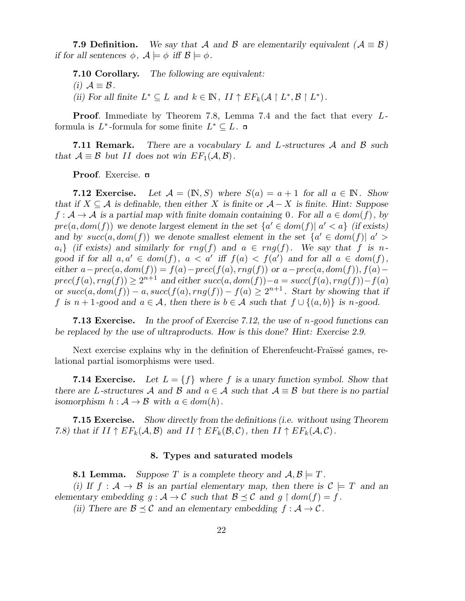**7.9 Definition.** We say that A and B are elementarily equivalent  $(A \equiv B)$ if for all sentences  $\phi$ ,  $\mathcal{A} \models \phi$  iff  $\mathcal{B} \models \phi$ .

7.10 Corollary. The following are equivalent:

(i)  $A \equiv B$ .

(ii) For all finite  $L^* \subseteq L$  and  $k \in \mathbb{N}$ ,  $II \uparrow EF_k(\mathcal{A} \upharpoonright L^*, \mathcal{B} \upharpoonright L^*)$ .

Proof. Immediate by Theorem 7.8, Lemma 7.4 and the fact that every Lformula is  $L^*$ -formula for some finite  $L^* \subseteq L$ .

**7.11 Remark.** There are a vocabulary L and L-structures  $\mathcal A$  and  $\mathcal B$  such that  $\mathcal{A} \equiv \mathcal{B}$  but II does not win  $EF_1(\mathcal{A}, \mathcal{B})$ .

Proof. Exercise.  $\Box$ 

**7.12 Exercise.** Let  $\mathcal{A} = (\mathbb{N}, S)$  where  $S(a) = a + 1$  for all  $a \in \mathbb{N}$ . Show that if  $X \subseteq \mathcal{A}$  is definable, then either X is finite or  $\mathcal{A} - X$  is finite. Hint: Suppose  $f: \mathcal{A} \to \mathcal{A}$  is a partial map with finite domain containing 0. For all  $a \in dom(f)$ , by  $pre(a, dom(f))$  we denote largest element in the set  $\{a' \in dom(f) | a' < a\}$  (if exists) and by  $succ(a, dom(f))$  we denote smallest element in the set  $\{a' \in dom(f) | a' > a\}$  $a_i$  (if exists) and similarly for  $rng(f)$  and  $a \in rng(f)$ . We say that f is ngood if for all  $a, a' \in dom(f)$ ,  $a < a'$  iff  $f(a) < f(a')$  and for all  $a \in dom(f)$ , either  $a-prec(a, dom(f)) = f(a)-prec(f(a), rng(f))$  or  $a-prec(a, dom(f)), f(a)$  $prec(f(a), rng(f)) \geq 2^{n+1}$  and either  $succ(a, dom(f)) - a = succ(f(a), rng(f)) - f(a)$ or  $succ(a, dom(f)) - a, succ(f(a), rng(f)) - f(a) \geq 2^{n+1}$ . Start by showing that if f is  $n+1$ -good and  $a \in \mathcal{A}$ , then there is  $b \in \mathcal{A}$  such that  $f \cup \{(a, b)\}\$ is n-good.

**7.13 Exercise.** In the proof of Exercise 7.12, the use of *n*-good functions can be replaced by the use of ultraproducts. How is this done? Hint: Exercise 2.9.

Next exercise explains why in the definition of Eherenfeucht-Fraïssé games, relational partial isomorphisms were used.

**7.14 Exercise.** Let  $L = \{f\}$  where f is a unary function symbol. Show that there are L-structures A and B and  $a \in A$  such that  $A \equiv B$  but there is no partial isomorphism  $h : \mathcal{A} \to \mathcal{B}$  with  $a \in dom(h)$ .

**7.15 Exercise.** Show directly from the definitions (i.e. without using Theorem 7.8) that if  $II \uparrow EF_k(\mathcal{A}, \mathcal{B})$  and  $II \uparrow EF_k(\mathcal{B}, \mathcal{C})$ , then  $II \uparrow EF_k(\mathcal{A}, \mathcal{C})$ .

# 8. Types and saturated models

**8.1 Lemma.** Suppose T is a complete theory and  $A, B \models T$ .

(i) If  $f : \mathcal{A} \to \mathcal{B}$  is an partial elementary map, then there is  $\mathcal{C} \models T$  and an elementary embedding  $g : A \to C$  such that  $B \preceq C$  and  $g \restriction dom(f) = f$ .

(ii) There are  $\mathcal{B} \preceq \mathcal{C}$  and an elementary embedding  $f : \mathcal{A} \to \mathcal{C}$ .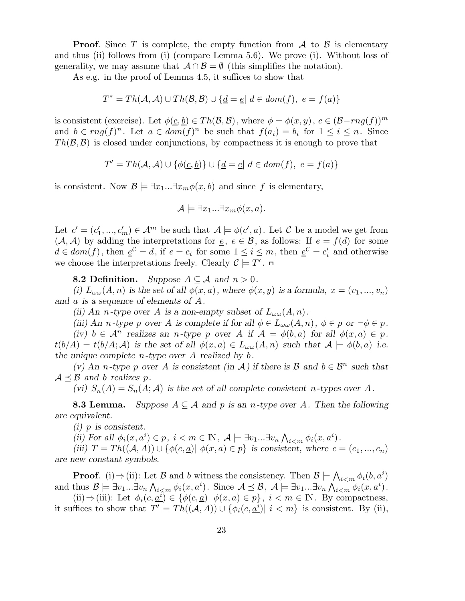**Proof.** Since T is complete, the empty function from  $\mathcal A$  to  $\mathcal B$  is elementary and thus (ii) follows from (i) (compare Lemma 5.6). We prove (i). Without loss of generality, we may assume that  $\mathcal{A} \cap \mathcal{B} = \emptyset$  (this simplifies the notation).

As e.g. in the proof of Lemma 4.5, it suffices to show that

$$
T^* = Th(\mathcal{A}, \mathcal{A}) \cup Th(\mathcal{B}, \mathcal{B}) \cup \{ \underline{d} = \underline{e} | d \in dom(f), e = f(a) \}
$$

is consistent (exercise). Let  $\phi(\underline{c}, \underline{b}) \in Th(\mathcal{B}, \mathcal{B})$ , where  $\phi = \phi(x, y)$ ,  $c \in (\mathcal{B} - rng(f))^m$ and  $b \in rng(f)^n$ . Let  $a \in dom(f)^n$  be such that  $f(a_i) = b_i$  for  $1 \leq i \leq n$ . Since  $Th(\mathcal{B}, \mathcal{B})$  is closed under conjunctions, by compactness it is enough to prove that

 $T' = Th(\mathcal{A}, \mathcal{A}) \cup \{\phi(\underline{c}, \underline{b})\} \cup \{\underline{d} = \underline{e} | d \in dom(f), e = f(a)\}\$ 

is consistent. Now  $\mathcal{B} = \exists x_1...\exists x_m \phi(x, b)$  and since f is elementary,

$$
\mathcal{A} \models \exists x_1...\exists x_m \phi(x,a).
$$

Let  $c' = (c'_1, ..., c'_m) \in \mathcal{A}^m$  be such that  $\mathcal{A} \models \phi(c', a)$ . Let C be a model we get from  $(A, \mathcal{A})$  by adding the interpretations for  $\underline{e}$ ,  $e \in \mathcal{B}$ , as follows: If  $e = f(d)$  for some  $d \in dom(f)$ , then  $\underline{e}^{\mathcal{C}} = d$ , if  $e = c_i$  for some  $1 \leq i \leq m$ , then  $\underline{e}^{\mathcal{C}} = c'_i$  and otherwise we choose the interpretations freely. Clearly  $\mathcal{C} \models T'$ .

**8.2 Definition.** Suppose  $A \subseteq \mathcal{A}$  and  $n > 0$ .

(i)  $L_{\omega\omega}(A, n)$  is the set of all  $\phi(x, a)$ , where  $\phi(x, y)$  is a formula,  $x = (v_1, ..., v_n)$ and a is a sequence of elements of A.

(ii) An n-type over A is a non-empty subset of  $L_{\omega \omega}(A, n)$ .

(iii) An n-type p over A is complete if for all  $\phi \in L_{\omega \omega}(A,n)$ ,  $\phi \in p$  or  $\neg \phi \in p$ .

(iv)  $b \in A^n$  realizes an n-type p over A if  $A \models \phi(b, a)$  for all  $\phi(x, a) \in p$ .  $t(b/A) = t(b/A; A)$  is the set of all  $\phi(x, a) \in L_{\omega}(\mathcal{A}, n)$  such that  $A \models \phi(b, a)$  i.e. the unique complete  $n$ -type over A realized by  $b$ .

(v) An n-type p over A is consistent (in A) if there is B and  $b \in \mathcal{B}^n$  such that  $\mathcal{A} \prec \mathcal{B}$  and b realizes p.

(vi)  $S_n(A) = S_n(A; \mathcal{A})$  is the set of all complete consistent n-types over A.

**8.3 Lemma.** Suppose  $A \subseteq \mathcal{A}$  and p is an n-type over A. Then the following are equivalent.

(i) p is consistent.

(ii) For all  $\phi_i(x, a^i) \in p, i < m \in \mathbb{N}, \mathcal{A} \models \exists v_1 ... \exists v_n \bigwedge_{i < m} \phi_i(x, a^i)$ .

(iii)  $T = Th((A, A)) \cup \{\phi(c, \underline{a}) | \phi(x, a) \in p\}$  is consistent, where  $c = (c_1, ..., c_n)$ are new constant symbols.

**Proof.** (i)  $\Rightarrow$  (ii): Let B and b witness the consistency. Then  $B \models \bigwedge_{i \leq m} \phi_i(b, a^i)$ and thus  $\mathcal{B} \models \exists v_1...\exists v_n \bigwedge_{i\leq m} \phi_i(x,a^i)$ . Since  $\mathcal{A} \preceq \mathcal{B}$ ,  $\mathcal{A} \models \exists v_1...\exists v_n \bigwedge_{i\leq m} \phi_i(x,a^i)$ .

(ii)  $\Rightarrow$  (iii): Let  $\phi_i(c, \underline{a}^i) \in {\phi(c, \underline{a}) | \phi(x, a) \in p}, i < m \in \mathbb{N}$ . By compactness, it suffices to show that  $T' = Th((A, A)) \cup \{ \phi_i(c, \underline{a}^i) | i < m \}$  is consistent. By (ii),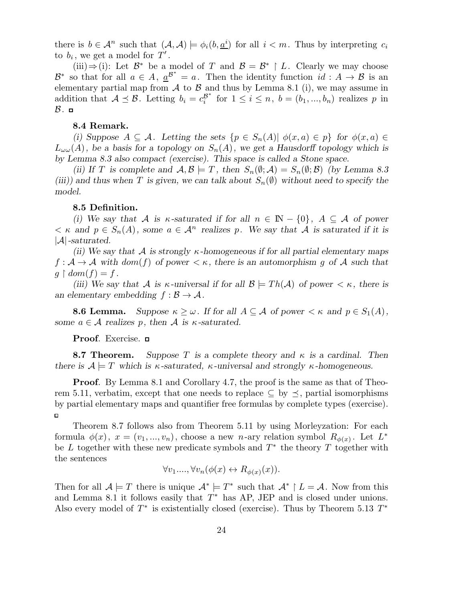there is  $b \in \mathcal{A}^n$  such that  $(\mathcal{A}, \mathcal{A}) \models \phi_i(b, \underline{a}^i)$  for all  $i < m$ . Thus by interpreting  $c_i$ to  $b_i$ , we get a model for  $T'$ .

(iii)  $\Rightarrow$  (i): Let  $\mathcal{B}^*$  be a model of T and  $\mathcal{B} = \mathcal{B}^*$  | L. Clearly we may choose  $\mathcal{B}^*$  so that for all  $a \in A$ ,  $\underline{a}^{\mathcal{B}^*} = a$ . Then the identity function  $id : A \to \mathcal{B}$  is an elementary partial map from  $A$  to  $B$  and thus by Lemma 8.1 (i), we may assume in addition that  $A \preceq B$ . Letting  $b_i = c_i^{\mathcal{B}^*}$  $i<sup>g</sup>$  for  $1 \leq i \leq n$ ,  $b = (b_1, ..., b_n)$  realizes p in  $\beta$ .  $\Box$ 

### 8.4 Remark.

(i) Suppose  $A \subseteq \mathcal{A}$ . Letting the sets  $\{p \in S_n(A) | \phi(x,a) \in p\}$  for  $\phi(x,a) \in$  $L_{\omega\omega}(A)$ , be a basis for a topology on  $S_n(A)$ , we get a Hausdorff topology which is by Lemma 8.3 also compact (exercise). This space is called a Stone space.

(ii) If T is complete and  $\mathcal{A}, \mathcal{B} \models T$ , then  $S_n(\emptyset; \mathcal{A}) = S_n(\emptyset; \mathcal{B})$  (by Lemma 8.3) (iii)) and thus when T is given, we can talk about  $S_n(\emptyset)$  without need to specify the model.

#### 8.5 Definition.

(i) We say that A is  $\kappa$ -saturated if for all  $n \in \mathbb{N} - \{0\}$ ,  $A \subseteq \mathcal{A}$  of power  $\langle K \rangle \in S_n(A)$ , some  $a \in \mathcal{A}^n$  realizes p. We say that A is saturated if it is  $|\mathcal{A}|$ -saturated.

(ii) We say that A is strongly  $\kappa$ -homogeneous if for all partial elementary maps  $f: \mathcal{A} \to \mathcal{A}$  with  $dom(f)$  of power  $\lt \kappa$ , there is an automorphism g of  $\mathcal{A}$  such that  $g \restriction dom(f) = f$ .

(iii) We say that A is  $\kappa$ -universal if for all  $\mathcal{B} \models Th(\mathcal{A})$  of power  $\lt \kappa$ , there is an elementary embedding  $f : \mathcal{B} \to \mathcal{A}$ .

**8.6 Lemma.** Suppose  $\kappa \geq \omega$ . If for all  $A \subseteq \mathcal{A}$  of power  $\lt \kappa$  and  $p \in S_1(A)$ , some  $a \in \mathcal{A}$  realizes p, then  $\mathcal{A}$  is  $\kappa$ -saturated.

Proof. Exercise. □

**8.7 Theorem.** Suppose T is a complete theory and  $\kappa$  is a cardinal. Then there is  $A \models T$  which is  $\kappa$ -saturated,  $\kappa$ -universal and strongly  $\kappa$ -homogeneous.

Proof. By Lemma 8.1 and Corollary 4.7, the proof is the same as that of Theorem 5.11, verbatim, except that one needs to replace  $\subseteq$  by  $\preceq$ , partial isomorphisms by partial elementary maps and quantifier free formulas by complete types (exercise).  $\blacksquare$ 

Theorem 8.7 follows also from Theorem 5.11 by using Morleyzation: For each formula  $\phi(x)$ ,  $x = (v_1, ..., v_n)$ , choose a new n-ary relation symbol  $R_{\phi(x)}$ . Let  $L^*$ be L together with these new predicate symbols and  $T^*$  the theory T together with the sentences

$$
\forall v_1,...,\forall v_n(\phi(x)\leftrightarrow R_{\phi(x)}(x)).
$$

Then for all  $\mathcal{A} \models T$  there is unique  $\mathcal{A}^* \models T^*$  such that  $\mathcal{A}^* \restriction L = \mathcal{A}$ . Now from this and Lemma 8.1 it follows easily that  $T^*$  has AP, JEP and is closed under unions. Also every model of  $T^*$  is existentially closed (exercise). Thus by Theorem 5.13  $T^*$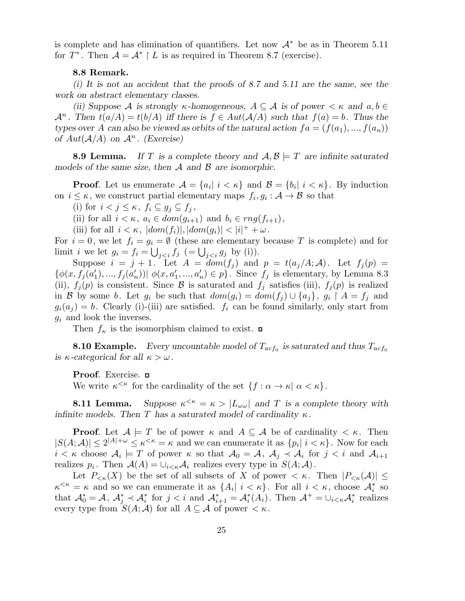is complete and has elimination of quantifiers. Let now  $A^*$  be as in Theorem 5.11 for  $T^*$ . Then  $\mathcal{A} = \mathcal{A}^* \restriction L$  is as required in Theorem 8.7 (exercise).

### 8.8 Remark.

(i) It is not an accident that the proofs of 8.7 and 5.11 are the same, see the work on abstract elementary classes.

(ii) Suppose A is strongly  $\kappa$ -homogeneous,  $A \subseteq \mathcal{A}$  is of power  $\lt \kappa$  and  $a, b \in \mathcal{A}$  $\mathcal{A}^n$ . Then  $t(a/A) = t(b/A)$  iff there is  $f \in Aut(\mathcal{A}/A)$  such that  $f(a) = b$ . Thus the types over A can also be viewed as orbits of the natural action  $fa = (f(a_1), ..., f(a_n))$ of  $Aut(A/A)$  on  $\mathcal{A}^n$ . (Exercise)

**8.9 Lemma.** If T is a complete theory and  $\mathcal{A}, \mathcal{B} \models T$  are infinite saturated models of the same size, then  $A$  and  $B$  are isomorphic.

**Proof.** Let us enumerate  $\mathcal{A} = \{a_i | i \leq \kappa\}$  and  $\mathcal{B} = \{b_i | i \leq \kappa\}$ . By induction on  $i \leq \kappa$ , we construct partial elementary maps  $f_i, g_i: \mathcal{A} \to \mathcal{B}$  so that

(i) for  $i < j \leq \kappa$ ,  $f_i \subseteq g_j \subseteq f_j$ ,

(ii) for all  $i < \kappa$ ,  $a_i \in dom(g_{i+1})$  and  $b_i \in rng(f_{i+1}),$ 

(iii) for all  $i < \kappa$ ,  $|dom(f_i)|, |dom(g_i)| < |i| + \omega$ .

For  $i = 0$ , we let  $f_i = g_i = \emptyset$  (these are elementary because T is complete) and for limit *i* we let  $g_i = f_i = \bigcup_{j < i} f_j \ (= \bigcup_{j < i} g_j \text{ by (i)}).$ 

Suppose  $i = j + 1$ . Let  $A = dom(f_j)$  and  $p = t(a_j/A; A)$ . Let  $f_j(p) =$  $\{\phi(x, f_j(a'_1), ..., f_j(a'_n))|\ \phi(x, a'_1, ..., a'_n) \in p\}$ . Since  $f_j$  is elementary, by Lemma 8.3 (ii),  $f_i(p)$  is consistent. Since  $\beta$  is saturated and  $f_i$  satisfies (iii),  $f_i(p)$  is realized in B by some b. Let  $g_i$  be such that  $dom(g_i) = dom(f_i) \cup \{a_i\}$ ,  $g_i \upharpoonright A = f_i$  and  $g_i(a_j) = b$ . Clearly (i)-(iii) are satisfied.  $f_i$  can be found similarly, only start from  $g_i$  and look the inverses.

Then  $f_{\kappa}$  is the isomorphism claimed to exist.  $\Box$ 

**8.10 Example.** Every uncountable model of  $T_{act_0}$  is saturated and thus  $T_{act_0}$ is  $\kappa$ -categorical for all  $\kappa > \omega$ .

# Proof. Exercise.  $\Box$

We write  $\kappa^{\leq \kappa}$  for the cardinality of the set  $\{f : \alpha \to \kappa | \alpha \leq \kappa\}.$ 

8.11 Lemma. Suppose  $\kappa^{\leq \kappa} = \kappa > |L_{\omega \omega}|$  and T is a complete theory with infinite models. Then T has a saturated model of cardinality  $\kappa$ .

**Proof.** Let  $A \models T$  be of power  $\kappa$  and  $A \subseteq A$  be of cardinality  $\lt \kappa$ . Then  $|S(A; A)| \leq 2^{|A| + \omega} \leq \kappa^{<\kappa} = \kappa$  and we can enumerate it as  $\{p_i | i < \kappa\}$ . Now for each  $i < \kappa$  choose  $\mathcal{A}_i \models T$  of power  $\kappa$  so that  $\mathcal{A}_0 = \mathcal{A}, \ \mathcal{A}_j \prec \mathcal{A}_i$  for  $j < i$  and  $\mathcal{A}_{i+1}$ realizes  $p_i$ . Then  $\mathcal{A}(A) = \cup_{i \leq \kappa} \mathcal{A}_i$  realizes every type in  $S(A; \mathcal{A})$ .

Let  $P_{\leq \kappa}(X)$  be the set of all subsets of X of power  $\leq \kappa$ . Then  $|P_{\leq \kappa}(A)| \leq$  $\kappa^{\leq \kappa} = \kappa$  and so we can enumerate it as  $\{A_i | i \leq \kappa\}$ . For all  $i \leq \kappa$ , choose  $\mathcal{A}_i^*$  so that  $\mathcal{A}_0^* = \mathcal{A}, \ \mathcal{A}_j^* \prec \mathcal{A}_i^*$  for  $j < i$  and  $\mathcal{A}_{i+1}^* = \mathcal{A}_i^*(A_i)$ . Then  $\mathcal{A}^+ = \cup_{i \leq \kappa} \mathcal{A}_i^*$  realizes every type from  $S(A; \mathcal{A})$  for all  $A \subseteq \mathcal{A}$  of power  $\lt \kappa$ .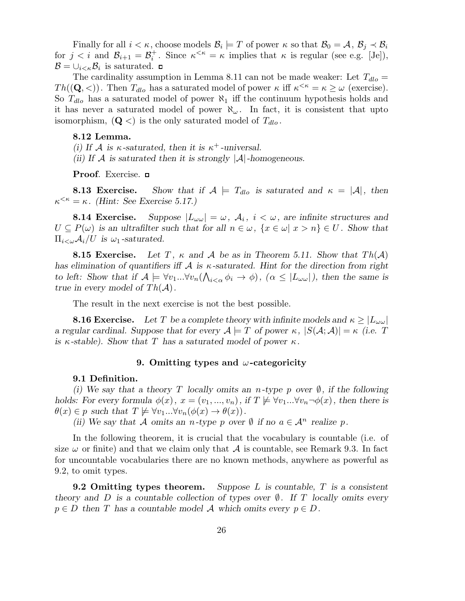Finally for all  $i < \kappa$ , choose models  $\mathcal{B}_i \models T$  of power  $\kappa$  so that  $\mathcal{B}_0 = \mathcal{A}, \ \mathcal{B}_j \prec \mathcal{B}_i$ for  $j < i$  and  $\mathcal{B}_{i+1} = \mathcal{B}_i^+$ <sup>+</sup>. Since  $\kappa^{\leq \kappa} = \kappa$  implies that  $\kappa$  is regular (see e.g. [Je]),  $\mathcal{B} = \cup_{i < \kappa} \mathcal{B}_i$  is saturated.

The cardinality assumption in Lemma 8.11 can not be made weaker: Let  $T_{dlo} =$  $Th((\mathbf{Q}, <))$ . Then  $T_{dlo}$  has a saturated model of power  $\kappa$  iff  $\kappa^{\leq \kappa} = \kappa \geq \omega$  (exercise). So  $T_{dlo}$  has a saturated model of power  $\aleph_1$  iff the continuum hypothesis holds and it has never a saturated model of power  $\aleph_{\omega}$ . In fact, it is consistent that upto isomorphism,  $(Q <)$  is the only saturated model of  $T_{dlo}$ .

## 8.12 Lemma.

(i) If A is  $\kappa$ -saturated, then it is  $\kappa^+$ -universal.

(ii) If  $\mathcal A$  is saturated then it is strongly  $|\mathcal A|$ -homogeneous.

Proof. Exercise. □

**8.13 Exercise.** Show that if  $A = T_{dlo}$  is saturated and  $\kappa = |A|$ , then  $\kappa^{\leq \kappa} = \kappa$ . (Hint: See Exercise 5.17.)

**8.14 Exercise.** Suppose  $|L_{\omega}\omega| = \omega$ ,  $\mathcal{A}_i$ ,  $i < \omega$ , are infinite structures and  $U \subseteq P(\omega)$  is an ultrafilter such that for all  $n \in \omega$ ,  $\{x \in \omega | x > n\} \in U$ . Show that  $\Pi_{i\leq \omega}\mathcal{A}_i/U$  is  $\omega_1$ -saturated.

**8.15 Exercise.** Let T,  $\kappa$  and A be as in Theorem 5.11. Show that  $Th(\mathcal{A})$ has elimination of quantifiers iff  $A$  is  $\kappa$ -saturated. Hint for the direction from right to left: Show that if  $\mathcal{A} \models \forall v_1...\forall v_n(\bigwedge_{i<\alpha}\phi_i \to \phi)$ ,  $(\alpha \leq |L_{\omega \omega}|)$ , then the same is true in every model of  $Th(A)$ .

The result in the next exercise is not the best possible.

**8.16 Exercise.** Let T be a complete theory with infinite models and  $\kappa \ge |L_{\omega \omega}|$ a regular cardinal. Suppose that for every  $\mathcal{A} \models T$  of power  $\kappa$ ,  $|S(\mathcal{A}; \mathcal{A})| = \kappa$  (i.e. T is  $\kappa$ -stable). Show that T has a saturated model of power  $\kappa$ .

### 9. Omitting types and  $\omega$ -categoricity

### 9.1 Definition.

(i) We say that a theory T locally omits an n-type p over  $\emptyset$ , if the following holds: For every formula  $\phi(x)$ ,  $x = (v_1, ..., v_n)$ , if  $T \not\models \forall v_1...\forall v_n \neg \phi(x)$ , then there is  $\theta(x) \in p$  such that  $T \not\models \forall v_1...\forall v_n(\phi(x) \rightarrow \theta(x)).$ 

(ii) We say that A omits an n-type p over  $\emptyset$  if no  $a \in \mathcal{A}^n$  realize p.

In the following theorem, it is crucial that the vocabulary is countable (i.e. of size  $\omega$  or finite) and that we claim only that A is countable, see Remark 9.3. In fact for uncountable vocabularies there are no known methods, anywhere as powerful as 9.2, to omit types.

**9.2 Omitting types theorem.** Suppose L is countable,  $T$  is a consistent theory and D is a countable collection of types over  $\emptyset$ . If T locally omits every  $p \in D$  then T has a countable model A which omits every  $p \in D$ .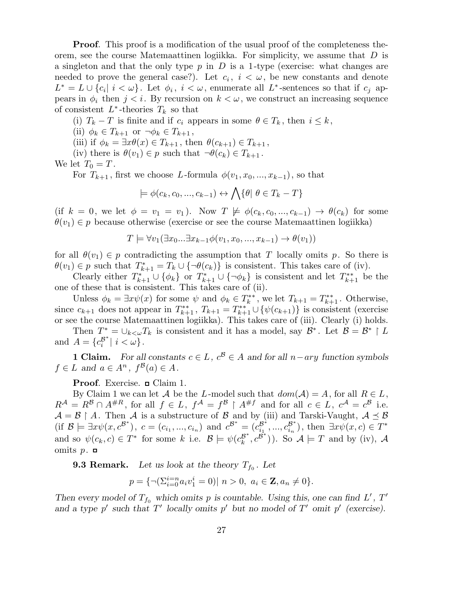**Proof.** This proof is a modification of the usual proof of the completeness theorem, see the course Matemaattinen logiikka. For simplicity, we assume that  $D$  is a singleton and that the only type  $p$  in  $D$  is a 1-type (exercise: what changes are needed to prove the general case?). Let  $c_i$ ,  $i < \omega$ , be new constants and denote  $L^* = L \cup \{c_i | i < \omega\}$ . Let  $\phi_i, i < \omega$ , enumerate all  $L^*$ -sentences so that if  $c_j$  appears in  $\phi_i$  then  $j < i$ . By recursion on  $k < \omega$ , we construct an increasing sequence of consistent  $L^*$ -theories  $T_k$  so that

(i)  $T_k - T$  is finite and if  $c_i$  appears in some  $\theta \in T_k$ , then  $i \leq k$ ,

(ii)  $\phi_k \in T_{k+1}$  or  $\neg \phi_k \in T_{k+1}$ ,

(iii) if  $\phi_k = \exists x \theta(x) \in T_{k+1}$ , then  $\theta(c_{k+1}) \in T_{k+1}$ ,

(iv) there is  $\theta(v_1) \in p$  such that  $\neg \theta(c_k) \in T_{k+1}$ .

We let  $T_0 = T$ .

For  $T_{k+1}$ , first we choose L-formula  $\phi(v_1, x_0, ..., x_{k-1})$ , so that

$$
\models \phi(c_k, c_0, ..., c_{k-1}) \leftrightarrow \bigwedge \{\theta \mid \theta \in T_k - T\}
$$

(if  $k = 0$ , we let  $\phi = v_1 = v_1$ ). Now  $T \not\models \phi(c_k, c_0, ..., c_{k-1}) \rightarrow \theta(c_k)$  for some  $\theta(v_1) \in p$  because otherwise (exercise or see the course Matemaattinen logiikka)

$$
T \models \forall v_1(\exists x_0...\exists x_{k-1}\phi(v_1,x_0,...,x_{k-1}) \rightarrow \theta(v_1))
$$

for all  $\theta(v_1) \in p$  contradicting the assumption that T locally omits p. So there is  $\theta(v_1) \in p$  such that  $T_{k+1}^* = T_k \cup {\lbrace \neg \theta(c_k) \rbrace}$  is consistent. This takes care of (iv).

Clearly either  $T_{k+1}^* \cup \{\phi_k\}$  or  $T_{k+1}^* \cup \{\neg \phi_k\}$  is consistent and let  $T_{k+1}^{**}$  be the one of these that is consistent. This takes care of (ii).

Unless  $\phi_k = \exists x \psi(x)$  for some  $\psi$  and  $\phi_k \in T_k^{**}$ , we let  $T_{k+1} = T_{k+1}^{**}$ . Otherwise, since  $c_{k+1}$  does not appear in  $T_{k+1}^{**}$ ,  $T_{k+1} = T_{k+1}^{**} \cup {\psi(c_{k+1})}$  is consistent (exercise or see the course Matemaattinen logiikka). This takes care of (iii). Clearly (i) holds.

Then  $T^* = \bigcup_{k < \omega} T_k$  is consistent and it has a model, say  $\mathcal{B}^*$ . Let  $\mathcal{B} = \mathcal{B}^* \upharpoonright L$ and  $A = \{c_i^{\mathcal{B}^*}\}$  $\left\vert i\right\rangle ^{B^{*}}\,i<\omega\}$ .

**1 Claim.** For all constants  $c \in L$ ,  $c^B \in A$  and for all  $n-ary$  function symbols  $f \in L$  and  $a \in A^n$ ,  $f^{\mathcal{B}}(a) \in A$ .

**Proof.** Exercise.  $\Box$  Claim 1.

By Claim 1 we can let A be the L-model such that  $dom(\mathcal{A}) = A$ , for all  $R \in L$ ,  $R^{\mathcal{A}} = R^{\mathcal{B}} \cap A^{\#R}$ , for all  $f \in L$ ,  $f^{\mathcal{A}} = f^{\mathcal{B}} \restriction A^{\#f}$  and for all  $c \in L$ ,  $c^{\mathcal{A}} = c^{\mathcal{B}}$  i.e.  $\mathcal{A} = \mathcal{B} \restriction A$ . Then A is a substructure of B and by (iii) and Tarski-Vaught,  $\mathcal{A} \preceq \mathcal{B}$ (if  $\mathcal{B} \models \exists x \psi(x, c^{\mathcal{B}^*}), c = (c_{i_1}, ..., c_{i_n})$  and  $c^{\mathcal{B}^*} = (c_{i_1}^{\mathcal{B}^*})$  $\overrightarrow{s_i}^*,...,\overrightarrow{c_{i_n}^{\mathcal{B}^*}}$  $\mathcal{B}_{i_n}^*$ ), then  $\exists x \psi(x,c) \in T^*$ and so  $\psi(c_k, c) \in T^*$  for some k i.e.  $\mathcal{B} \models \psi(c_k^{\mathcal{B}^*})$  $(\mathcal{B}^*, c^{\mathcal{B}^*})$ ). So  $\mathcal{A} \models T$  and by (iv),  $\mathcal{A}$ omits  $p. \square$ 

**9.3 Remark.** Let us look at the theory  $T_{f_0}$ . Let

$$
p = \{ \neg (\Sigma_{i=0}^{i=n} a_i v_1^i = 0) | n > 0, a_i \in \mathbf{Z}, a_n \neq 0 \}.
$$

Then every model of  $T_{f_0}$  which omits p is countable. Using this, one can find L', T' and a type p' such that T' locally omits p' but no model of T' omit p' (exercise).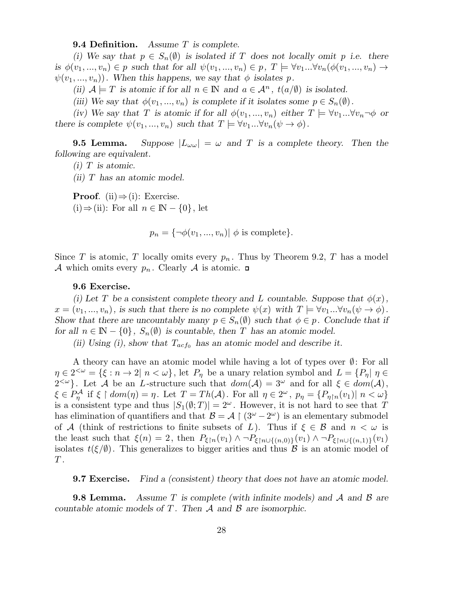**9.4 Definition.** Assume  $T$  is complete.

(i) We say that  $p \in S_n(\emptyset)$  is isolated if T does not locally omit p i.e. there is  $\phi(v_1, ..., v_n) \in p$  such that for all  $\psi(v_1, ..., v_n) \in p$ ,  $T \models \forall v_1 ... \forall v_n (\phi(v_1, ..., v_n) \rightarrow$  $\psi(v_1, ..., v_n)$ . When this happens, we say that  $\phi$  isolates p.

(ii)  $A \models T$  is atomic if for all  $n \in \mathbb{N}$  and  $a \in \mathcal{A}^n$ ,  $t(a/\emptyset)$  is isolated.

(iii) We say that  $\phi(v_1, ..., v_n)$  is complete if it isolates some  $p \in S_n(\emptyset)$ .

(iv) We say that T is atomic if for all  $\phi(v_1, ..., v_n)$  either  $T \models \forall v_1...\forall v_n \neg \phi$  or there is complete  $\psi(v_1, ..., v_n)$  such that  $T \models \forall v_1...\forall v_n(\psi \rightarrow \phi)$ .

**9.5 Lemma.** Suppose  $|L_{\omega \omega}| = \omega$  and T is a complete theory. Then the following are equivalent.

 $(i)$  T is atomic.

(ii)  $T$  has an atomic model.

**Proof.** (ii)  $\Rightarrow$  (i): Exercise. (i)⇒(ii): For all  $n \in \mathbb{N} - \{0\}$ , let

$$
p_n = {\neg \phi(v_1, ..., v_n) | \phi \text{ is complete}}.
$$

Since T is atomic, T locally omits every  $p_n$ . Thus by Theorem 9.2, T has a model A which omits every  $p_n$ . Clearly A is atomic.  $\Box$ 

### 9.6 Exercise.

(i) Let T be a consistent complete theory and L countable. Suppose that  $\phi(x)$ ,  $x = (v_1, ..., v_n)$ , is such that there is no complete  $\psi(x)$  with  $T \models \forall v_1 ... \forall v_n (\psi \rightarrow \phi)$ . Show that there are uncountably many  $p \in S_n(\emptyset)$  such that  $\phi \in p$ . Conclude that if for all  $n \in \mathbb{N} - \{0\}$ ,  $S_n(\emptyset)$  is countable, then T has an atomic model.

(ii) Using (i), show that  $T_{act_0}$  has an atomic model and describe it.

A theory can have an atomic model while having a lot of types over ∅: For all  $\eta \in 2^{<\omega} = \{\xi : n \to 2 | n < \omega\},\$ let  $P_\eta$  be a unary relation symbol and  $L = \{P_\eta | \eta \in$  $2^{<\omega}$ . Let A be an L-structure such that  $dom(\mathcal{A}) = 3^{\omega}$  and for all  $\xi \in dom(\mathcal{A}),$  $\xi \in P_{\eta}^{\mathcal{A}}$  if  $\xi \restriction dom(\eta) = \eta$ . Let  $T = Th(\mathcal{A})$ . For all  $\eta \in 2^{\omega}$ ,  $p_{\eta} = \{P_{\eta \restriction n}(v_1) | n < \omega\}$ is a consistent type and thus  $|S_1(\emptyset; T)| = 2^{\omega}$ . However, it is not hard to see that T has elimination of quantifiers and that  $\mathcal{B} = \mathcal{A} \restriction (3^{\omega} - 2^{\omega})$  is an elementary submodel of A (think of restrictions to finite subsets of L). Thus if  $\xi \in \mathcal{B}$  and  $n < \omega$  is the least such that  $\xi(n) = 2$ , then  $P_{\xi \upharpoonright n}(v_1) \wedge \neg P_{\xi \upharpoonright n \cup \{(n,0)\}}(v_1) \wedge \neg P_{\xi \upharpoonright n \cup \{(n,1)\}}(v_1)$ isolates  $t(\xi/\emptyset)$ . This generalizes to bigger arities and thus  $\mathcal B$  is an atomic model of  $T$  .

**9.7 Exercise.** Find a (consistent) theory that does not have an atomic model.

**9.8 Lemma.** Assume T is complete (with infinite models) and A and B are countable atomic models of  $T$ . Then  $A$  and  $B$  are isomorphic.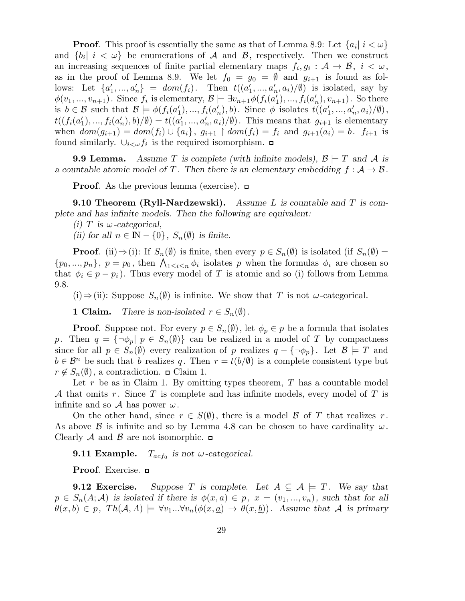**Proof.** This proof is essentially the same as that of Lemma 8.9: Let  $\{a_i | i < \omega\}$ and  $\{b_i \mid i < \omega\}$  be enumerations of A and B, respectively. Then we construct an increasing sequences of finite partial elementary maps  $f_i, g_i: \mathcal{A} \to \mathcal{B}, i < \omega$ , as in the proof of Lemma 8.9. We let  $f_0 = g_0 = \emptyset$  and  $g_{i+1}$  is found as follows: Let  $\{a'_1, ..., a'_n\} = dom(f_i)$ . Then  $t((a'_1, ..., a'_n, a_i)/\emptyset)$  is isolated, say by  $\phi(v_1, ..., v_{n+1})$ . Since  $f_i$  is elementary,  $\mathcal{B} \models \exists v_{n+1}\phi(f_i(a'_1), ..., f_i(a'_n), v_{n+1})$ . So there is  $b \in \mathcal{B}$  such that  $\mathcal{B} \models \phi(f_i(a'_1), ..., f_i(a'_n), b)$ . Since  $\phi$  isolates  $t((a'_1, ..., a'_n, a_i)/\emptyset)$ ,  $t((f_i(a'_1),...,f_i(a'_n),b)/\emptyset) = t((a'_1,...,a'_n,a_i)/\emptyset)$ . This means that  $g_{i+1}$  is elementary when  $dom(g_{i+1}) = dom(f_i) \cup \{a_i\}, g_{i+1} \restriction dom(f_i) = f_i$  and  $g_{i+1}(a_i) = b$ .  $f_{i+1}$  is found similarly.  $\bigcup_{i \leq \omega} f_i$  is the required isomorphism.

**9.9 Lemma.** Assume T is complete (with infinite models),  $\mathcal{B} \models T$  and A is a countable atomic model of T. Then there is an elementary embedding  $f: \mathcal{A} \to \mathcal{B}$ .

**Proof.** As the previous lemma (exercise).  $\Box$ 

**9.10 Theorem (Ryll-Nardzewski).** Assume L is countable and T is complete and has infinite models. Then the following are equivalent:

(i) T is  $\omega$ -categorical,

(ii) for all  $n \in \mathbb{N} - \{0\}$ ,  $S_n(\emptyset)$  is finite.

**Proof.** (ii)⇒(i): If  $S_n(\emptyset)$  is finite, then every  $p \in S_n(\emptyset)$  is isolated (if  $S_n(\emptyset)$  =  $\{p_0, ..., p_n\}, p = p_0$ , then  $\bigwedge_{1 \leq i \leq n} \phi_i$  isolates p when the formulas  $\phi_i$  are chosen so that  $\phi_i \in p - p_i$ ). Thus every model of T is atomic and so (i) follows from Lemma 9.8.

(i)  $\Rightarrow$  (ii): Suppose  $S_n(\emptyset)$  is infinite. We show that T is not  $\omega$ -categorical.

1 Claim. There is non-isolated  $r \in S_n(\emptyset)$ .

**Proof.** Suppose not. For every  $p \in S_n(\emptyset)$ , let  $\phi_p \in p$  be a formula that isolates p. Then  $q = \{\neg \phi_p | p \in S_n(\emptyset)\}\)$  can be realized in a model of T by compactness since for all  $p \in S_n(\emptyset)$  every realization of p realizes  $q - \{\neg \phi_p\}$ . Let  $\mathcal{B} \models T$  and  $b \in \mathcal{B}^n$  be such that b realizes q. Then  $r = t(b/\emptyset)$  is a complete consistent type but  $r \notin S_n(\emptyset)$ , a contradiction.  $\Box$  Claim 1.

Let r be as in Claim 1. By omitting types theorem,  $T$  has a countable model A that omits r. Since T is complete and has infinite models, every model of T is infinite and so  $A$  has power  $\omega$ .

On the other hand, since  $r \in S(\emptyset)$ , there is a model  $\beta$  of T that realizes r. As above  $\beta$  is infinite and so by Lemma 4.8 can be chosen to have cardinality  $\omega$ . Clearly A and B are not isomorphic.  $\Box$ 

9.11 Example.  $T_{act_0}$  is not  $\omega$ -categorical.

Proof. Exercise. □

**9.12 Exercise.** Suppose T is complete. Let  $A \subseteq \mathcal{A} \models T$ . We say that  $p \in S_n(A; \mathcal{A})$  is isolated if there is  $\phi(x, a) \in p$ ,  $x = (v_1, ..., v_n)$ , such that for all  $\theta(x, b) \in p$ ,  $Th(A, A) \models \forall v_1...\forall v_n(\phi(x, a) \rightarrow \theta(x, b))$ . Assume that A is primary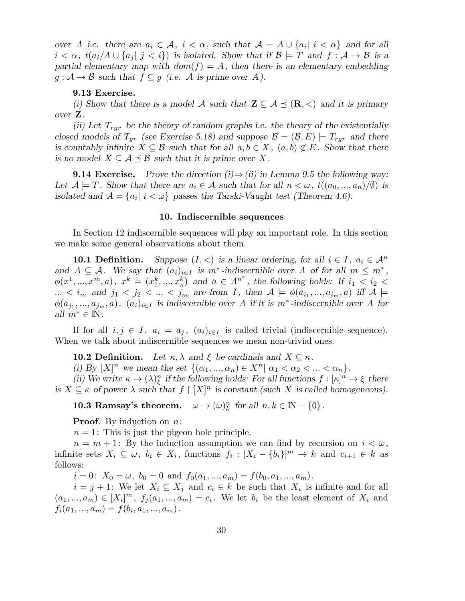over A i.e. there are  $a_i \in \mathcal{A}$ ,  $i < \alpha$ , such that  $\mathcal{A} = A \cup \{a_i | i < \alpha\}$  and for all  $i < \alpha$ ,  $t(a_i/A \cup \{a_j | j < i\})$  is isolated. Show that if  $\mathcal{B} \models T$  and  $f : A \rightarrow B$  is a partial elementary map with  $dom(f) = A$ , then there is an elementary embedding  $g: \mathcal{A} \to \mathcal{B}$  such that  $f \subseteq g$  (i.e. A is prime over A).

### 9.13 Exercise.

(i) Show that there is a model A such that  $\mathbf{Z} \subseteq \mathcal{A} \preceq (\mathbf{R}, \leq)$  and it is primary over Z.

(ii) Let  $T_{rqr}$  be the theory of random graphs i.e. the theory of the existentially closed models of  $T_{qr}$  (see Exercise 5.18) and suppose  $\mathcal{B} = (\mathcal{B}, E) \models T_{rqr}$  and there is countably infinite  $X \subseteq \mathcal{B}$  such that for all  $a, b \in X$ ,  $(a, b) \notin E$ . Show that there is no model  $X \subseteq A \preceq B$  such that it is prime over X.

**9.14 Exercise.** Prove the direction  $(i) \Rightarrow (ii)$  in Lemma 9.5 the following way: Let  $\mathcal{A} \models T$ . Show that there are  $a_i \in \mathcal{A}$  such that for all  $n < \omega$ ,  $t((a_0, ..., a_n)/\emptyset)$  is isolated and  $A = \{a_i | i < \omega\}$  passes the Tarski-Vaught test (Theorem 4.6).

### 10. Indiscernible sequences

In Section 12 indiscernible sequences will play an important role. In this section we make some general observations about them.

**10.1 Definition.** Suppose  $(I, \leq)$  is a linear ordering, for all  $i \in I$ ,  $a_i \in \mathcal{A}^n$ and  $A \subseteq \mathcal{A}$ . We say that  $(a_i)_{i \in I}$  is  $m^*$ -indiscernible over A of for all  $m \leq m^*$ ,  $\phi(x^1, \ldots, x^m, a)$ ,  $x^k = (x_1^k, \ldots, x_n^k)$  and  $a \in A^{n^*}$ , the following holds: If  $i_1 < i_2 <$  $\dots < i_m$  and  $j_1 < j_2 < \dots < j_m$  are from I, then  $\mathcal{A} \models \phi(a_{i_1},...,a_{i_m},a)$  iff  $\mathcal{A} \models$  $\phi(a_{j_1},...,a_{j_m},a)$ .  $(a_i)_{i\in I}$  is indiscernible over A if it is  $m^*$ -indiscernible over A for all  $m^* \in \mathbb{N}$  .

If for all  $i, j \in I$ ,  $a_i = a_j$ ,  $(a_i)_{i \in I}$  is called trivial (indiscernible sequence). When we talk about indiscernible sequences we mean non-trivial ones.

**10.2 Definition.** Let  $\kappa, \lambda$  and  $\xi$  be cardinals and  $X \subseteq \kappa$ .

(i) By  $[X]^n$  we mean the set  $\{(\alpha_1, ..., \alpha_n) \in X^n | \alpha_1 < \alpha_2 < ... < \alpha_n\}.$ 

(ii) We write  $\kappa \to (\lambda)^n_{\xi}$  if the following holds: For all functions  $f : [\kappa]^n \to \xi$  there is  $X \subseteq \kappa$  of power  $\lambda$  such that  $f \restriction [X]^n$  is constant (such X is called homogeneous).

**10.3 Ramsay's theorem.**  $\omega \to (\omega)_k^n$  for all  $n, k \in \mathbb{N} - \{0\}$ .

**Proof.** By induction on  $n$ :

 $n = 1$ : This is just the pigeon hole principle.

 $n = m + 1$ : By the induction assumption we can find by recursion on  $i < \omega$ , infinite sets  $X_i \subseteq \omega$ ,  $b_i \in X_i$ , functions  $f_i : [X_i - \{b_i\}]^m \to k$  and  $c_{i+1} \in k$  as follows:

 $i = 0: X_0 = \omega, b_0 = 0 \text{ and } f_0(a_1, ..., a_m) = f(b_0, a_1, ..., a_m).$ 

 $i = j + 1$ : We let  $X_i \subseteq X_j$  and  $c_i \in k$  be such that  $X_i$  is infinite and for all  $(a_1, ..., a_m) \in [X_i]^m$ ,  $f_j(a_1, ..., a_m) = c_i$ . We let  $b_i$  be the least element of  $X_i$  and  $f_i(a_1, ..., a_m) = f(b_i, a_1, ..., a_m).$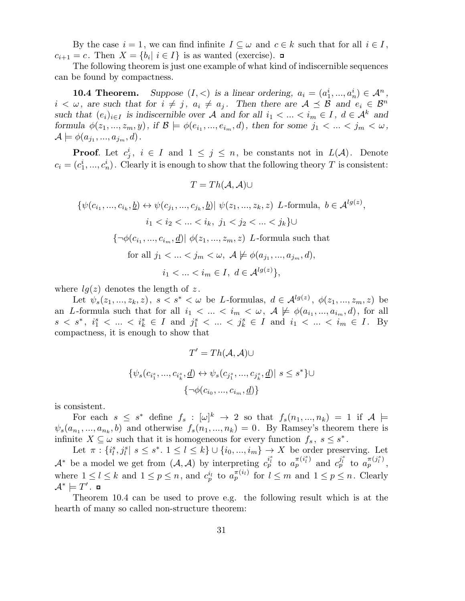By the case  $i = 1$ , we can find infinite  $I \subseteq \omega$  and  $c \in k$  such that for all  $i \in I$ ,  $c_{i+1} = c$ . Then  $X = \{b_i | i \in I\}$  is as wanted (exercise).

The following theorem is just one example of what kind of indiscernible sequences can be found by compactness.

**10.4 Theorem.** Suppose  $(I, <)$  is a linear ordering,  $a_i = (a_1^i, ..., a_n^i) \in \mathcal{A}^n$ ,  $i < \omega$ , are such that for  $i \neq j$ ,  $a_i \neq a_j$ . Then there are  $A \preceq B$  and  $e_i \in B^n$ such that  $(e_i)_{i\in I}$  is indiscernible over A and for all  $i_1 < ... < i_m \in I$ ,  $d \in A^k$  and formula  $\phi(z_1, ..., z_m, y)$ , if  $\mathcal{B} \models \phi(e_{i_1}, ..., e_{i_m}, d)$ , then for some  $j_1 < ... < j_m < \omega$ ,  $\mathcal{A} \models \phi(a_{j_1},...,a_{j_m},d)$  .

**Proof.** Let  $c_j^i$ ,  $i \in I$  and  $1 \leq j \leq n$ , be constants not in  $L(\mathcal{A})$ . Denote  $c_i = (c_1^i, ..., c_n^i)$ . Clearly it is enough to show that the following theory T is consistent:

 $T = Th(\mathcal{A}, \mathcal{A}) \cup$ 

$$
\{\psi(c_{i_1},...,c_{i_k},\underline{b}) \leftrightarrow \psi(c_{j_1},...,c_{j_k},\underline{b}) | \psi(z_1,...,z_k,z) \text{ L-formula, } b \in \mathcal{A}^{lg(z)},
$$
  
\n
$$
i_1 < i_2 < ... < i_k, j_1 < j_2 < ... < j_k\} \cup
$$
  
\n
$$
\{\neg \phi(c_{i_1},...,c_{i_m},\underline{d}) | \phi(z_1,...,z_m,z) \text{ L-formula such that}
$$
  
\nfor all  $j_1 < ... < j_m < \omega, \mathcal{A} \not\models \phi(a_{j_1},...,a_{j_m},d),$   
\n
$$
i_1 < ... < i_m \in I, d \in \mathcal{A}^{lg(z)}\},
$$

where  $lq(z)$  denotes the length of z.

Let  $\psi_s(z_1, ..., z_k, z)$ ,  $s < s^* < \omega$  be L-formulas,  $d \in \mathcal{A}^{lg(z)}$ ,  $\phi(z_1, ..., z_m, z)$  be an L-formula such that for all  $i_1 < \ldots < i_m < \omega$ ,  $A \not\models \phi(a_{i_1},...,a_{i_m},d)$ , for all  $s \leq s^*$ ,  $i_1^s \leq \ldots \leq i_k^s \in I$  and  $j_1^s \leq \ldots \leq j_k^s \in I$  and  $i_1 \leq \ldots \leq i_m \in I$ . By compactness, it is enough to show that

$$
T' = Th(\mathcal{A}, \mathcal{A}) \cup
$$
  

$$
\{\psi_s(c_{i_1^s}, ..., c_{i_k^s}, \underline{d}) \leftrightarrow \psi_s(c_{j_1^s}, ..., c_{j_k^s}, \underline{d}) \mid s \leq s^*\} \cup
$$
  

$$
\{\neg \phi(c_{i_0}, ..., c_{i_m}, \underline{d})\}
$$

is consistent.

For each  $s \leq s^*$  define  $f_s : [\omega]^k \to 2$  so that  $f_s(n_1, ..., n_k) = 1$  if  $\mathcal{A} \models$  $\psi_s(a_{n_1},...,a_{n_k},b)$  and otherwise  $f_s(n_1,...,n_k)=0$ . By Ramsey's theorem there is infinite  $X \subseteq \omega$  such that it is homogeneous for every function  $f_s, s \leq s^*$ .

Let  $\pi: \{i_l^s, j_l^s | s \leq s^*$ .  $1 \leq l \leq k\} \cup \{i_0, ..., i_m\} \rightarrow X$  be order preserving. Let  $\mathcal{A}^*$  be a model we get from  $(\mathcal{A}, \mathcal{A})$  by interpreting  $c_p^{i_1^s}$  to  $a_p^{\pi(i_1^s)}$  and  $c_p^{j_1^s}$  to  $a_p^{\pi(j_1^s)}$ , where  $1 \leq l \leq k$  and  $1 \leq p \leq n$ , and  $c_p^{i_l}$  to  $a_p^{\pi(i_l)}$  for  $l \leq m$  and  $1 \leq p \leq n$ . Clearly  $\mathcal{A}^* \models T'.$ 

Theorem 10.4 can be used to prove e.g. the following result which is at the hearth of many so called non-structure theorem: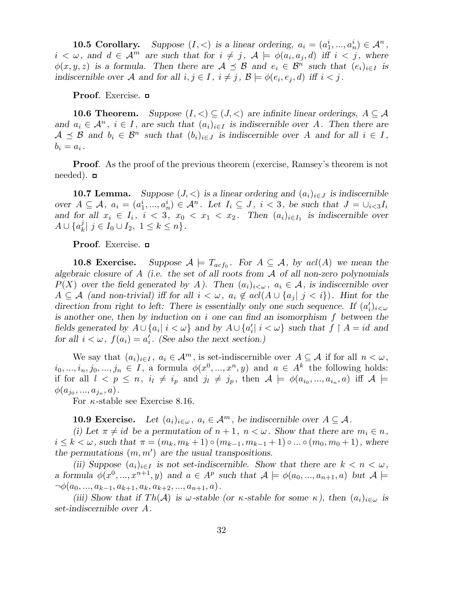**10.5 Corollary.** Suppose  $(I, <)$  is a linear ordering,  $a_i = (a_1^i, ..., a_n^i) \in \mathcal{A}^n$ ,  $i < \omega$ , and  $d \in \mathcal{A}^m$  are such that for  $i \neq j$ ,  $\mathcal{A} \models \phi(a_i, a_j, d)$  iff  $i < j$ , where  $\phi(x, y, z)$  is a formula. Then there are  $A \preceq B$  and  $e_i \in B^n$  such that  $(e_i)_{i \in I}$  is indiscernible over A and for all  $i, j \in I$ ,  $i \neq j$ ,  $\mathcal{B} \models \phi(e_i, e_j, d)$  iff  $i < j$ .

Proof. Exercise. □

**10.6 Theorem.** Suppose  $(I, \leq) \subseteq (J, \leq)$  are infinite linear orderings,  $A \subseteq \mathcal{A}$ and  $a_i \in \mathcal{A}^n$ ,  $i \in I$ , are such that  $(a_i)_{i \in I}$  is indiscernible over A. Then there are  $A \preceq B$  and  $b_i \in B^n$  such that  $(b_i)_{i \in J}$  is indiscernible over A and for all  $i \in I$ ,  $b_i = a_i$ .

Proof. As the proof of the previous theorem (exercise, Ramsey's theorem is not needed). **□** 

**10.7 Lemma.** Suppose  $(J, <)$  is a linear ordering and  $(a_i)_{i \in J}$  is indiscernible over  $A \subseteq \mathcal{A}$ ,  $a_i = (a_1^i, ..., a_n^i) \in \mathcal{A}^n$ . Let  $I_i \subseteq J$ ,  $i < 3$ , be such that  $J = \bigcup_{i < 3} I_i$ and for all  $x_i \in I_i$ ,  $i < 3$ ,  $x_0 < x_1 < x_2$ . Then  $(a_i)_{i \in I_1}$  is indiscernible over  $A \cup \{a^j_k$  $|I_{k}^{j}| j \in I_{0} \cup I_{2}, 1 \leq k \leq n$ .

Proof. Exercise. □

**10.8 Exercise.** Suppose  $A \models T_{act_0}$ . For  $A \subseteq A$ , by acl(A) we mean the algebraic closure of A (i.e. the set of all roots from  $A$  of all non-zero polynomials  $P(X)$  over the field generated by A). Then  $(a_i)_{i<\omega}$ ,  $a_i \in \mathcal{A}$ , is indiscernible over  $A \subseteq \mathcal{A}$  (and non-trivial) iff for all  $i < \omega$ ,  $a_i \notin \operatorname{acl}(A \cup \{a_j | j < i\})$ . Hint for the direction from right to left: There is essentially only one such sequence. If  $(a_i')_{i<\omega}$ is another one, then by induction on i one can find an isomorphism  $f$  between the fields generated by  $A \cup \{a_i | i < \omega\}$  and by  $A \cup \{a'_i | i < \omega\}$  such that  $f \upharpoonright A = id$  and for all  $i < \omega$ ,  $f(a_i) = a'_i$ . (See also the next section.)

We say that  $(a_i)_{i\in I}$ ,  $a_i \in \mathcal{A}^m$ , is set-indiscernible over  $A \subseteq \mathcal{A}$  if for all  $n < \omega$ ,  $i_0, ..., i_n, j_0, ..., j_n \in I$ , a formula  $\phi(x^0, ..., x^n, y)$  and  $a \in A^k$  the following holds: if for all  $l \leq p \leq n$ ,  $i_l \neq i_p$  and  $j_l \neq j_p$ , then  $\mathcal{A} \models \phi(a_{i_0},...,a_{i_n},a)$  iff  $\mathcal{A} \models$  $\phi(a_{j_0},...,a_{j_n},a)$  .

For  $\kappa$ -stable see Exercise 8.16.

**10.9 Exercise.** Let  $(a_i)_{i \in \omega}$ ,  $a_i \in \mathcal{A}^m$ , be indiscernible over  $A \subseteq \mathcal{A}$ .

(i) Let  $\pi \neq id$  be a permutation of  $n + 1$ ,  $n < \omega$ . Show that there are  $m_i \in n$ ,  $i \leq k < \omega$ , such that  $\pi = (m_k, m_k + 1) \circ (m_{k-1}, m_{k-1} + 1) \circ ... \circ (m_0, m_0 + 1)$ , where the permutations  $(m, m')$  are the usual transpositions.

(ii) Suppose  $(a_i)_{i\in I}$  is not set-indiscernible. Show that there are  $k < n < \omega$ , a formula  $\phi(x^0, ..., x^{n+1}, y)$  and  $a \in A^p$  such that  $A \models \phi(a_0, ..., a_{n+1}, a)$  but  $A \models$  $\neg\phi(a_0, ..., a_{k-1}, a_{k+1}, a_k, a_{k+2}, ..., a_{n+1}, a).$ 

(iii) Show that if  $Th(A)$  is  $\omega$ -stable (or  $\kappa$ -stable for some  $\kappa$ ), then  $(a_i)_{i\in\omega}$  is set-indiscernible over A.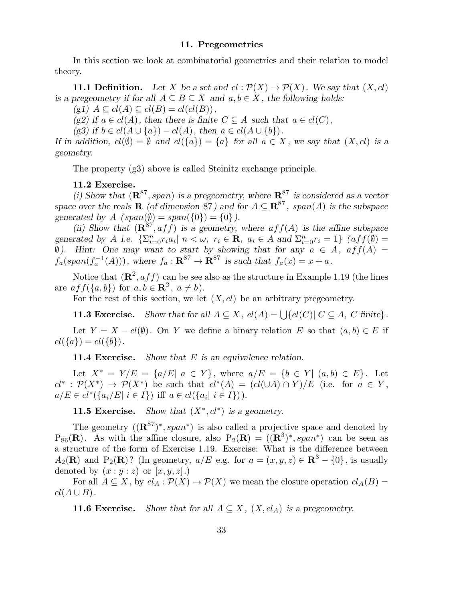### 11. Pregeometries

In this section we look at combinatorial geometries and their relation to model theory.

**11.1 Definition.** Let X be a set and  $cl : \mathcal{P}(X) \to \mathcal{P}(X)$ . We say that  $(X, cl)$ is a pregeometry if for all  $A \subseteq B \subseteq X$  and  $a, b \in X$ , the following holds:

 $(g1)$   $A \subseteq cl(A) \subseteq cl(B) = cl(cl(B)),$ 

(g2) if  $a \in cl(A)$ , then there is finite  $C \subseteq A$  such that  $a \in cl(C)$ ,

(g3) if  $b \in cl(A \cup \{a\}) - cl(A)$ , then  $a \in cl(A \cup \{b\})$ .

If in addition,  $cl(\emptyset) = \emptyset$  and  $cl({a}) = {a}$  for all  $a \in X$ , we say that  $(X, cl)$  is a geometry.

The property (g3) above is called Steinitz exchange principle.

### 11.2 Exercise.

(i) Show that  $(\mathbf{R}^{87}, span)$  is a pregeometry, where  $\mathbf{R}^{87}$  is considered as a vector space over the reals **R** (of dimension 87) and for  $A \subseteq \mathbb{R}^{87}$ , span(A) is the subspace generated by A  $(span(\emptyset) = span({0}) = {0}.$ 

(ii) Show that  $(\mathbb{R}^{87}, aff)$  is a geometry, where  $aff(A)$  is the affine subspace generated by A i.e.  $\{\sum_{i=0}^{n} r_i a_i \mid n < \omega, r_i \in \mathbf{R}, a_i \in A \text{ and } \sum_{i=0}^{n} r_i = 1\}$   $(aff(\emptyset) =$  $\emptyset$ ). Hint: One may want to start by showing that for any  $a \in A$ ,  $aff(A) =$  $f_a(span(f_a^{-1}(A)))$ , where  $f_a: \mathbf{R}^{87} \to \mathbf{R}^{87}$  is such that  $f_a(x) = x + a$ .

Notice that  $(\mathbf{R}^2, aff)$  can be see also as the structure in Example 1.19 (the lines are  $aff({a,b})$  for  $a,b \in \mathbb{R}^2$ ,  $a \neq b$ ).

For the rest of this section, we let  $(X, cl)$  be an arbitrary pregeometry.

**11.3 Exercise.** Show that for all  $A \subseteq X$ ,  $cl(A) = \bigcup \{ cl(C) | C \subseteq A, C \text{ finite} \}.$ 

Let  $Y = X - cl(\emptyset)$ . On Y we define a binary relation E so that  $(a, b) \in E$  if  $cl({a}) = cl({b}).$ 

**11.4 Exercise.** Show that  $E$  is an equivalence relation.

Let  $X^* = Y/E = \{a/E \mid a \in Y\}$ , where  $a/E = \{b \in Y \mid (a, b) \in E\}$ . Let  $cl^*: \mathcal{P}(X^*) \to \mathcal{P}(X^*)$  be such that  $cl^*(A) = (cl(\cup A) \cap Y)/E$  (i.e. for  $a \in Y$ ,  $a/E \in cl^*(\{a_i/E \mid i \in I\})$  iff  $a \in cl(\{a_i \mid i \in I\})$ .

11.5 Exercise. Show that  $(X^*, cl^*)$  is a geometry.

The geometry  $((\mathbf{R}^{87})^*, span^*)$  is also called a projective space and denoted by  $P_{86}(\mathbf{R})$ . As with the affine closure, also  $P_2(\mathbf{R}) = ((\mathbf{R}^3)^*, span^*)$  can be seen as a structure of the form of Exercise 1.19. Exercise: What is the difference between  $A_2(\mathbf{R})$  and  $P_2(\mathbf{R})$ ? (In geometry,  $a/E$  e.g. for  $a = (x, y, z) \in \mathbf{R}^3 - \{0\}$ , is usually denoted by  $(x:y:z)$  or  $[x,y,z]$ .

For all  $A \subseteq X$ , by  $cl_A : \mathcal{P}(X) \to \mathcal{P}(X)$  we mean the closure operation  $cl_A(B) =$  $cl(A\cup B)$ .

**11.6 Exercise.** Show that for all  $A \subseteq X$ ,  $(X, cl<sub>A</sub>)$  is a pregeometry.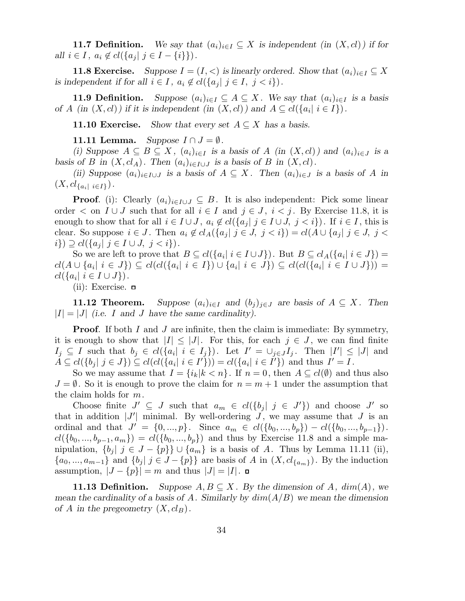**11.7 Definition.** We say that  $(a_i)_{i\in I} \subseteq X$  is independent (in  $(X, cl)$ ) if for all  $i \in I$ ,  $a_i \notin cl({a_i | j \in I - \{i\}})$ .

**11.8 Exercise.** Suppose  $I = (I, <)$  is linearly ordered. Show that  $(a_i)_{i \in I} \subseteq X$ is independent if for all  $i \in I$ ,  $a_i \notin cl({a_j | j \in I, j < i})$ .

**11.9 Definition.** Suppose  $(a_i)_{i\in I} \subseteq A \subseteq X$ . We say that  $(a_i)_{i\in I}$  is a basis of A (in  $(X, cl)$ ) if it is independent (in  $(X, cl)$ ) and  $A \subseteq cl({a_i | i \in I})$ .

**11.10 Exercise.** Show that every set  $A \subseteq X$  has a basis.

**11.11 Lemma.** Suppose  $I \cap J = \emptyset$ .

(i) Suppose  $A \subseteq B \subseteq X$ ,  $(a_i)_{i \in I}$  is a basis of A (in  $(X, cl)$ ) and  $(a_i)_{i \in J}$  is a basis of B in  $(X, cl<sub>A</sub>)$ . Then  $(a<sub>i</sub>)<sub>i∈I∪J</sub>$  is a basis of B in  $(X, cl)$ .

(ii) Suppose  $(a_i)_{i\in I\cup J}$  is a basis of  $A \subseteq X$ . Then  $(a_i)_{i\in J}$  is a basis of A in  $(X, cl_{\{a_i\} \in I\})$ .

**Proof.** (i): Clearly  $(a_i)_{i\in I\cup J} \subseteq B$ . It is also independent: Pick some linear order  $\langle$  on  $I \cup J$  such that for all  $i \in I$  and  $j \in J$ ,  $i \langle j$ . By Exercise 11.8, it is enough to show that for all  $i \in I \cup J$ ,  $a_i \notin cl({a_i | j \in I \cup J, j < i})$ . If  $i \in I$ , this is clear. So suppose  $i \in J$ . Then  $a_i \notin cl_A(\{a_j | j \in J, j < i\}) = cl(A \cup \{a_j | j \in J, j < i\})$  $i\}) \supseteq cl({a_i | j \in I \cup J, j < i}).$ 

So we are left to prove that  $B \subseteq cl({a_i | i \in I \cup J})$ . But  $B \subseteq cl_A({a_i | i \in J})$  =  $cl(A \cup \{a_i | i \in J\}) \subseteq cl(cl(\{a_i | i \in I\}) \cup \{a_i | i \in J\}) \subseteq cl(cl(\{a_i | i \in I \cup J\})) =$  $cl({a_i | i \in I \cup J}).$ 

 $(ii)$ : Exercise.  $\Box$ 

**11.12 Theorem.** Suppose  $(a_i)_{i\in I}$  and  $(b_i)_{i\in J}$  are basis of  $A \subseteq X$ . Then  $|I| = |J|$  (i.e. I and J have the same cardinality).

**Proof.** If both I and J are infinite, then the claim is immediate: By symmetry, it is enough to show that  $|I| \leq |J|$ . For this, for each  $j \in J$ , we can find finite  $I_j \subseteq I$  such that  $b_j \in cl({a_i | i \in I_j})$ . Let  $I' = \bigcup_{j \in J} I_j$ . Then  $|I'| \leq |J|$  and  $A \subseteq cl({b_j | j \in J}) \subseteq cl(cl({a_i | i \in I'}])) = cl({a_i | i \in I'})$  and thus  $I' = I$ .

So we may assume that  $I = \{i_k | k < n\}$ . If  $n = 0$ , then  $A \subseteq cl(\emptyset)$  and thus also  $J = \emptyset$ . So it is enough to prove the claim for  $n = m + 1$  under the assumption that the claim holds for m.

Choose finite  $J' \subseteq J$  such that  $a_m \in cl({b_j | j \in J'})$  and choose J' so that in addition  $|J'|$  minimal. By well-ordering J, we may assume that J is an ordinal and that  $J' = \{0, ..., p\}$ . Since  $a_m \in cl(\{b_0, ..., b_p\}) - cl(\{b_0, ..., b_{p-1}\}).$  $cl({b_0, ..., b_{p-1}, a_m}) = cl({b_0, ..., b_p})$  and thus by Exercise 11.8 and a simple manipulation,  $\{b_j | j \in J - \{p\}\}\cup \{a_m\}$  is a basis of A. Thus by Lemma 11.11 (ii),  ${a_0, ..., a_{m-1}}$  and  ${b_j | j \in J - {p}}$  are basis of A in  $(X, cl_{\{a_m\}})$ . By the induction assumption,  $|J - \{p\}| = m$  and thus  $|J| = |I|$ .  $\Box$ 

**11.13 Definition.** Suppose  $A, B \subseteq X$ . By the dimension of A,  $dim(A)$ , we mean the cardinality of a basis of A. Similarly by  $dim(A/B)$  we mean the dimension of A in the pregeometry  $(X, cl_B)$ .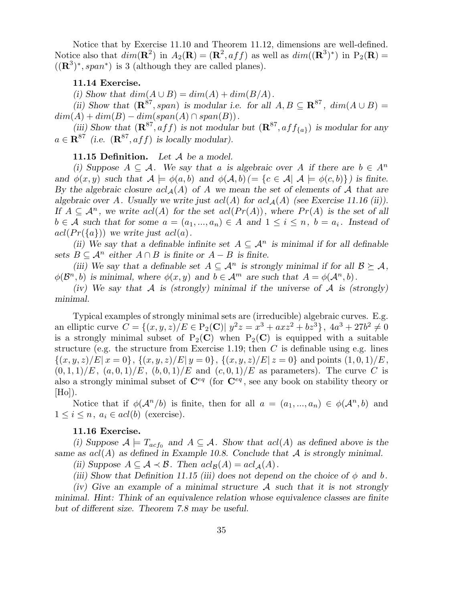Notice that by Exercise 11.10 and Theorem 11.12, dimensions are well-defined. Notice also that  $dim(\mathbf{R}^2)$  in  $A_2(\mathbf{R}) = (\mathbf{R}^2, aff)$  as well as  $dim((\mathbf{R}^3)^*)$  in  $P_2(\mathbf{R}) =$  $((\mathbf{R}^3)^*, span^*)$  is 3 (although they are called planes).

# 11.14 Exercise.

(i) Show that  $dim(A \cup B) = dim(A) + dim(B/A)$ .

(ii) Show that  $(\mathbf{R}^{87}, span)$  is modular i.e. for all  $A, B \subseteq \mathbf{R}^{87}$ ,  $dim(A \cup B) =$  $dim(A) + dim(B) - dim(span(A) \cap span(B)).$ 

(iii) Show that  $(\mathbf{R}^{87}, aff)$  is not modular but  $(\mathbf{R}^{87}, aff_{\{a\}})$  is modular for any  $a \in \mathbf{R}^{87}$  (i.e.  $(\mathbf{R}^{87}, aff)$  is locally modular).

11.15 Definition. Let  $A$  be a model.

(i) Suppose  $A \subseteq \mathcal{A}$ . We say that a is algebraic over A if there are  $b \in A^n$ and  $\phi(x, y)$  such that  $\mathcal{A} \models \phi(a, b)$  and  $\phi(\mathcal{A}, b)$  (= {c  $\in \mathcal{A} | \mathcal{A} \models \phi(c, b)$ }) is finite. By the algebraic closure  $acl_{\mathcal{A}}(A)$  of A we mean the set of elements of A that are algebraic over A. Usually we write just  $acl(A)$  for  $acl_{A}(A)$  (see Exercise 11.16 (ii)). If  $A \subseteq \mathcal{A}^n$ , we write  $acl(A)$  for the set  $acl(Pr(A))$ , where  $Pr(A)$  is the set of all  $b \in \mathcal{A}$  such that for some  $a = (a_1, ..., a_n) \in A$  and  $1 \leq i \leq n$ ,  $b = a_i$ . Instead of  $acl(Pr({a}))$  we write just  $acl(a)$ .

(ii) We say that a definable infinite set  $A \subseteq \mathcal{A}^n$  is minimal if for all definable sets  $B \subset \mathcal{A}^n$  either  $A \cap B$  is finite or  $A - B$  is finite.

(iii) We say that a definable set  $A \subseteq \mathcal{A}^n$  is strongly minimal if for all  $\mathcal{B} \succeq \mathcal{A}$ ,  $\phi(\mathcal{B}^n, b)$  is minimal, where  $\phi(x, y)$  and  $b \in \mathcal{A}^m$  are such that  $A = \phi(\mathcal{A}^n, b)$ .

(iv) We say that A is (strongly) minimal if the universe of A is (strongly) minimal.

Typical examples of strongly minimal sets are (irreducible) algebraic curves. E.g. an elliptic curve  $C = \{(x, y, z) / E \in P_2(\mathbf{C}) | y^2 z = x^3 + axz^2 + bz^3 \}, 4a^3 + 27b^2 \neq 0$ is a strongly minimal subset of  $P_2(C)$  when  $P_2(C)$  is equipped with a suitable structure (e.g. the structure from Exercise 1.19; then  $C$  is definable using e.g. lines  $\{(x, y, z)/E | x = 0\}, \{(x, y, z)/E | y = 0\}, \{(x, y, z)/E | z = 0\}$  and points  $(1, 0, 1)/E$ ,  $(0,1,1)/E$ ,  $(a,0,1)/E$ ,  $(b,0,1)/E$  and  $(c,0,1)/E$  as parameters). The curve C is also a strongly minimal subset of  $\mathbb{C}^{eq}$  (for  $\mathbb{C}^{eq}$ , see any book on stability theory or  $[Ho]$ ).

Notice that if  $\phi(\mathcal{A}^n/b)$  is finite, then for all  $a = (a_1, ..., a_n) \in \phi(\mathcal{A}^n, b)$  and  $1 \leq i \leq n$ ,  $a_i \in \operatorname{acl}(b)$  (exercise).

### 11.16 Exercise.

(i) Suppose  $A \models T_{act_0}$  and  $A \subseteq A$ . Show that  $acl(A)$  as defined above is the same as  $acl(A)$  as defined in Example 10.8. Conclude that A is strongly minimal.

(ii) Suppose  $A \subseteq \mathcal{A} \prec \mathcal{B}$ . Then  $acl_{\mathcal{B}}(A) = acl_{\mathcal{A}}(A)$ .

(iii) Show that Definition 11.15 (iii) does not depend on the choice of  $\phi$  and b.

(iv) Give an example of a minimal structure  $\mathcal A$  such that it is not strongly minimal. Hint: Think of an equivalence relation whose equivalence classes are finite but of different size. Theorem 7.8 may be useful.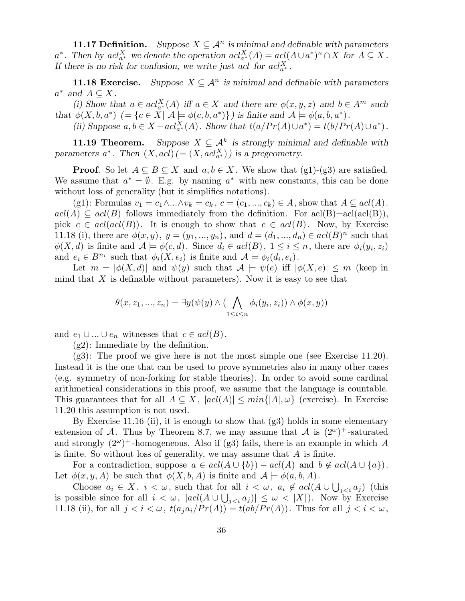**11.17 Definition.** Suppose  $X \subseteq \mathcal{A}^n$  is minimal and definable with parameters  $a^*$ . Then by  $acl_{a^*}^X$  we denote the operation  $acl_{a^*}^X(A) = acl(A\cup a^*)^n \cap X$  for  $A \subseteq X$ . If there is no risk for confusion, we write just acl for  $acl_{a^*}^X$ .

**11.18 Exercise.** Suppose  $X \subseteq \mathcal{A}^n$  is minimal and definable with parameters  $a^*$  and  $A \subseteq X$ .

(i) Show that  $a \in \text{acl}_{a^*}^X(A)$  iff  $a \in X$  and there are  $\phi(x, y, z)$  and  $b \in A^m$  such that  $\phi(X, b, a^*)$   $( = \{c \in X | \mathcal{A} \models \phi(c, b, a^*)\})$  is finite and  $\mathcal{A} \models \phi(a, b, a^*)$ .

(ii) Suppose  $a, b \in X - \text{acl}_{a^*}^X(A)$ . Show that  $t(a/Pr(A) \cup a^*) = t(b/Pr(A) \cup a^*)$ .

**11.19 Theorem.** Suppose  $X \subseteq \mathcal{A}^k$  is strongly minimal and definable with parameters  $a^*$ . Then  $(X, \text{acl})$  (=  $(X, \text{acl}_{a^*}^X)$ ) is a pregeometry.

**Proof.** So let  $A \subseteq B \subseteq X$  and  $a, b \in X$ . We show that (g1)-(g3) are satisfied. We assume that  $a^* = \emptyset$ . E.g. by naming  $a^*$  with new constants, this can be done without loss of generality (but it simplifies notations).

(g1): Formulas  $v_1 = c_1 \wedge ... \wedge v_k = c_k$ ,  $c = (c_1, ..., c_k) \in A$ , show that  $A \subseteq \mathfrak{acl}(A)$ .  $acl(A) \subseteq acl(B)$  follows immediately from the definition. For  $acl(B)=acl(acl(B)),$ pick  $c \in \text{acl}(\text{acl}(B))$ . It is enough to show that  $c \in \text{acl}(B)$ . Now, by Exercise 11.18 (i), there are  $\phi(x, y)$ ,  $y = (y_1, ..., y_n)$ , and  $d = (d_1, ..., d_n) \in acl(B)^n$  such that  $\phi(X, d)$  is finite and  $A \models \phi(c, d)$ . Since  $d_i \in acl(B)$ ,  $1 \leq i \leq n$ , there are  $\phi_i(y_i, z_i)$ and  $e_i \in B^{n_i}$  such that  $\phi_i(X, e_i)$  is finite and  $\mathcal{A} \models \phi_i(d_i, e_i)$ .

Let  $m = |\phi(X, d)|$  and  $\psi(y)$  such that  $\mathcal{A} \models \psi(e)$  iff  $|\phi(X, e)| \leq m$  (keep in mind that  $X$  is definable without parameters). Now it is easy to see that

$$
\theta(x, z_1, ..., z_n) = \exists y (\psi(y) \land (\bigwedge_{1 \leq i \leq n} \phi_i(y_i, z_i)) \land \phi(x, y))
$$

and  $e_1 \cup ... \cup e_n$  witnesses that  $c \in \text{acl}(B)$ .

(g2): Immediate by the definition.

(g3): The proof we give here is not the most simple one (see Exercise 11.20). Instead it is the one that can be used to prove symmetries also in many other cases (e.g. symmetry of non-forking for stable theories). In order to avoid some cardinal arithmetical considerations in this proof, we assume that the language is countable. This guarantees that for all  $A \subseteq X$ ,  $|acl(A)| \leq min\{|A|, \omega\}$  (exercise). In Exercise 11.20 this assumption is not used.

By Exercise 11.16 (ii), it is enough to show that (g3) holds in some elementary extension of A. Thus by Theorem 8.7, we may assume that A is  $(2^{\omega})^+$ -saturated and strongly  $(2^{\omega})^+$ -homogeneous. Also if (g3) fails, there is an example in which A is finite. So without loss of generality, we may assume that A is finite.

For a contradiction, suppose  $a \in \operatorname{acl}(A \cup \{b\}) - \operatorname{acl}(A)$  and  $b \notin \operatorname{acl}(A \cup \{a\})$ . Let  $\phi(x, y, A)$  be such that  $\phi(X, b, A)$  is finite and  $A \models \phi(a, b, A)$ .

Choose  $a_i \in X$ ,  $i < \omega$ , such that for all  $i < \omega$ ,  $a_i \notin \text{acl}(A \cup \bigcup_{j (this$ is possible since for all  $i < \omega$ ,  $|acl(A \cup \bigcup_{j). Now by Exercise$ 11.18 (ii), for all  $j < i < \omega$ ,  $t(a_i a_i/Pr(A)) = t(ab/Pr(A))$ . Thus for all  $j < i < \omega$ ,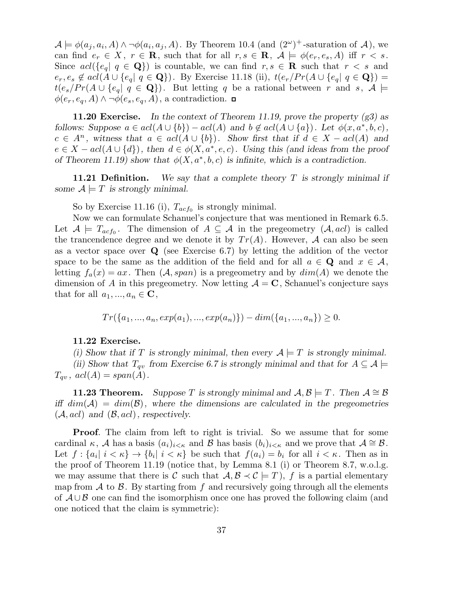$\mathcal{A} \models \phi(a_j, a_i, A) \land \neg \phi(a_i, a_j, A)$ . By Theorem 10.4 (and  $(2^{\omega})^+$ -saturation of  $\mathcal{A}$ ), we can find  $e_r \in X$ ,  $r \in \mathbb{R}$ , such that for all  $r, s \in \mathbb{R}$ ,  $\mathcal{A} \models \phi(e_r, e_s, \mathcal{A})$  iff  $r < s$ . Since  $acl({e_q | q \in \mathbf{Q}})$  is countable, we can find  $r, s \in \mathbf{R}$  such that  $r < s$  and  $e_r, e_s \notin \text{acl}(A \cup \{e_q | q \in \mathbf{Q}\})$ . By Exercise 11.18 (ii),  $t(e_r/Pr(A \cup \{e_q | q \in \mathbf{Q}\})$  =  $t(e_s/Pr(A \cup \{e_q | q \in \mathbf{Q}\})$ . But letting q be a rational between r and s,  $\mathcal{A} \models$  $\phi(e_r, e_q, A) \wedge \neg \phi(e_s, e_q, A)$ , a contradiction.  $\Box$ 

**11.20 Exercise.** In the context of Theorem 11.19, prove the property  $(g3)$  as follows: Suppose  $a \in \text{acl}(A \cup \{b\}) - \text{acl}(A)$  and  $b \notin \text{acl}(A \cup \{a\})$ . Let  $\phi(x, a^*, b, c)$ ,  $c \in A^n$ , witness that  $a \in \operatorname{acl}(A \cup \{b\})$ . Show first that if  $d \in X - \operatorname{acl}(A)$  and  $e \in X - \text{acl}(A \cup \{d\})$ , then  $d \in \phi(X, a^*, e, c)$ . Using this (and ideas from the proof of Theorem 11.19) show that  $\phi(X, a^*, b, c)$  is infinite, which is a contradiction.

**11.21 Definition.** We say that a complete theory  $T$  is strongly minimal if some  $A \models T$  is strongly minimal.

So by Exercise 11.16 (i),  $T_{act_0}$  is strongly minimal.

Now we can formulate Schanuel's conjecture that was mentioned in Remark 6.5. Let  $A \models T_{acf_0}$ . The dimension of  $A \subseteq \mathcal{A}$  in the pregeometry  $(\mathcal{A}, \mathit{acl})$  is called the trancendence degree and we denote it by  $Tr(A)$ . However, A can also be seen as a vector space over Q (see Exercise 6.7) by letting the addition of the vector space to be the same as the addition of the field and for all  $a \in \mathbf{Q}$  and  $x \in \mathcal{A}$ , letting  $f_a(x) = ax$ . Then  $(A, span)$  is a pregeometry and by  $dim(A)$  we denote the dimension of A in this pregeometry. Now letting  $A = C$ , Schanuel's conjecture says that for all  $a_1, ..., a_n \in \mathbb{C}$ ,

$$
Tr({a_1, ..., a_n, exp(a_1), ..., exp(a_n)}) - dim({a_1, ..., a_n}) \ge 0.
$$

### 11.22 Exercise.

(i) Show that if T is strongly minimal, then every  $A \models T$  is strongly minimal. (ii) Show that  $T_{qv}$  from Exercise 6.7 is strongly minimal and that for  $A \subseteq \mathcal{A}$   $\models$  $T_{qv}$ ,  $acl(A)=span(A)$ .

**11.23 Theorem.** Suppose T is strongly minimal and  $\mathcal{A}, \mathcal{B} \models T$ . Then  $\mathcal{A} \cong \mathcal{B}$ iff  $dim(\mathcal{A}) = dim(\mathcal{B})$ , where the dimensions are calculated in the pregeometries  $(A, \text{acl})$  and  $(B, \text{acl})$ , respectively.

Proof. The claim from left to right is trivial. So we assume that for some cardinal  $\kappa$ , A has a basis  $(a_i)_{i<\kappa}$  and B has basis  $(b_i)_{i<\kappa}$  and we prove that  $\mathcal{A} \cong \mathcal{B}$ . Let  $f: \{a_i | i \lt \kappa\} \to \{b_i | i \lt \kappa\}$  be such that  $f(a_i) = b_i$  for all  $i \lt \kappa$ . Then as in the proof of Theorem 11.19 (notice that, by Lemma 8.1 (i) or Theorem 8.7, w.o.l.g. we may assume that there is C such that  $\mathcal{A}, \mathcal{B} \prec \mathcal{C} \models T$ , f is a partial elementary map from  $\mathcal A$  to  $\mathcal B$ . By starting from f and recursively going through all the elements of  $\mathcal{A} \cup \mathcal{B}$  one can find the isomorphism once one has proved the following claim (and one noticed that the claim is symmetric):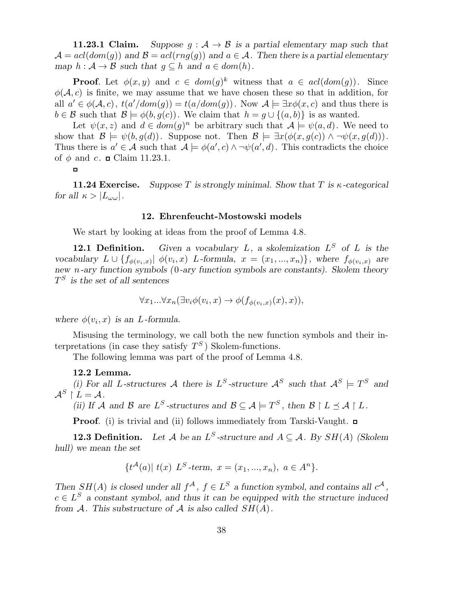**11.23.1 Claim.** Suppose  $g : A \rightarrow B$  is a partial elementary map such that  $\mathcal{A} = \text{acl}(dom(q))$  and  $\mathcal{B} = \text{acl}(rng(q))$  and  $a \in \mathcal{A}$ . Then there is a partial elementary map  $h : A \to B$  such that  $g \subseteq h$  and  $a \in dom(h)$ .

**Proof.** Let  $\phi(x, y)$  and  $c \in dom(g)^k$  witness that  $a \in acl(dom(g))$ . Since  $\phi(\mathcal{A}, c)$  is finite, we may assume that we have chosen these so that in addition, for all  $a' \in \phi(\mathcal{A}, c)$ ,  $t(a'/dom(g)) = t(a/dom(g))$ . Now  $\mathcal{A} \models \exists x \phi(x, c)$  and thus there is  $b \in \mathcal{B}$  such that  $\mathcal{B} \models \phi(b, q(c))$ . We claim that  $h = q \cup \{(a, b)\}\$ is as wanted.

Let  $\psi(x, z)$  and  $d \in dom(g)^n$  be arbitrary such that  $\mathcal{A} \models \psi(a, d)$ . We need to show that  $\mathcal{B} \models \psi(b, g(d))$ . Suppose not. Then  $\mathcal{B} \models \exists x(\phi(x, g(c)) \land \neg \psi(x, g(d)))$ . Thus there is  $a' \in \mathcal{A}$  such that  $\mathcal{A} \models \phi(a', c) \land \neg \psi(a', d)$ . This contradicts the choice of  $\phi$  and c.  $\Box$  Claim 11.23.1.

 $\Box$ 

**11.24 Exercise.** Suppose T is strongly minimal. Show that T is  $\kappa$ -categorical for all  $\kappa > |L_{\omega \omega}|$ .

#### 12. Ehrenfeucht-Mostowski models

We start by looking at ideas from the proof of Lemma 4.8.

**12.1 Definition.** Given a vocabulary L, a skolemization  $L^S$  of L is the vocabulary  $L \cup \{f_{\phi(v_i,x)} | \phi(v_i,x) \mid L\text{-formula}, x = (x_1,...,x_n)\}\,$ , where  $f_{\phi(v_i,x)}$  are new n-ary function symbols (0-ary function symbols are constants). Skolem theory  $T<sup>S</sup>$  is the set of all sentences

$$
\forall x_1...\forall x_n(\exists v_i \phi(v_i, x) \rightarrow \phi(f_{\phi(v_i, x)}(x), x)),
$$

where  $\phi(v_i, x)$  is an *L*-formula.

Misusing the terminology, we call both the new function symbols and their interpretations (in case they satisfy  $T^S$ ) Skolem-functions.

The following lemma was part of the proof of Lemma 4.8.

### 12.2 Lemma.

(i) For all L-structures A there is  $L^S$ -structure  $\mathcal{A}^S$  such that  $\mathcal{A}^S \models T^S$  and  $\mathcal{A}^S \restriction L = \mathcal{A}$ .

(ii) If A and B are  $L^S$ -structures and  $\mathcal{B} \subseteq \mathcal{A} \models T^S$ , then  $\mathcal{B} \restriction L \preceq \mathcal{A} \restriction L$ .

**Proof.** (i) is trivial and (ii) follows immediately from Tarski-Vaught.  $\Box$ 

12.3 Definition. S-structure and  $A \subseteq \mathcal{A}$ . By  $SH(A)$  (Skolem hull) we mean the set

$$
\{t^{\mathcal{A}}(a)| t(x) L^{S}\text{-term}, x = (x_1, ..., x_n), a \in A^n\}.
$$

Then  $SH(A)$  is closed under all  $f^{\mathcal{A}}$ ,  $f \in L^{S}$  a function symbol, and contains all  $c^{\mathcal{A}}$ ,  $c \in L<sup>S</sup>$  a constant symbol, and thus it can be equipped with the structure induced from  $A$ . This substructure of  $A$  is also called  $SH(A)$ .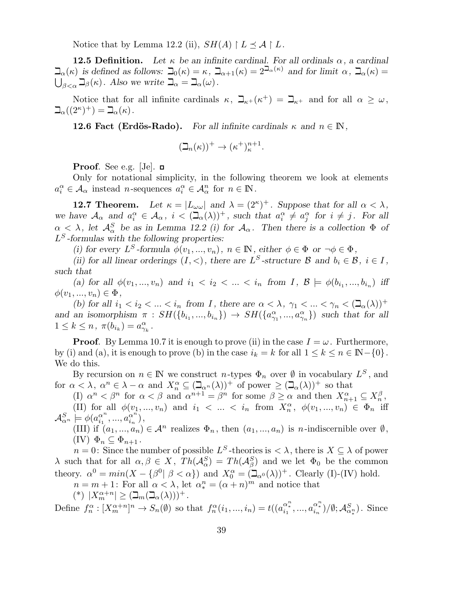Notice that by Lemma 12.2 (ii),  $SH(A) \restriction L \preceq A \restriction L$ .

**12.5 Definition.** Let  $\kappa$  be an infinite cardinal. For all ordinals  $\alpha$ , a cardinal  $\mathcal{L}_{\alpha}(\kappa)$  is defined as follows:  $\mathcal{L}_{0}(\kappa) = \kappa$ ,  $\mathcal{L}_{\alpha+1}(\kappa) = 2^{\mathcal{L}_{\alpha}(\kappa)}$  and for limit  $\alpha$ ,  $\mathcal{L}_{\alpha}(\kappa) =$  $\bigcup_{\beta<\alpha}\beth_{\beta}(\kappa)$ . Also we write  $\beth_{\alpha} = \beth_{\alpha}(\omega)$ .

Notice that for all infinite cardinals  $\kappa$ ,  $\Box_{\kappa^+}(\kappa^+) = \Box_{\kappa^+}$  and for all  $\alpha \geq \omega$ ,  $\beth_\alpha((2^\kappa)^+) = \beth_\alpha(\kappa)$ .

**12.6 Fact (Erdös-Rado).** For all infinite cardinals  $\kappa$  and  $n \in \mathbb{N}$ ,

$$
(\beth_n(\kappa))^+ \to (\kappa^+)^{n+1}_\kappa.
$$

Proof. See e.g. [Je].  $\Box$ 

Only for notational simplicity, in the following theorem we look at elements  $a_i^{\alpha} \in \mathcal{A}_{\alpha}$  instead *n*-sequences  $a_i^{\alpha} \in \mathcal{A}_{\alpha}^n$  for  $n \in \mathbb{N}$ .

**12.7 Theorem.** Let  $\kappa = |L_{\omega \omega}|$  and  $\lambda = (2^{\kappa})^+$ . Suppose that for all  $\alpha < \lambda$ , we have  $\mathcal{A}_{\alpha}$  and  $a_i^{\alpha} \in \mathcal{A}_{\alpha}$ ,  $i < (\mathcal{A}_{\alpha}(\lambda))^+$ , such that  $a_i^{\alpha} \neq a_j^{\alpha}$  for  $i \neq j$ . For all  $\alpha \leq \lambda$ , let  $\mathcal{A}_{\alpha}^S$  be as in Lemma 12.2 (i) for  $\mathcal{A}_{\alpha}$ . Then there is a collection  $\Phi$  of  $L<sup>S</sup>$ -formulas with the following properties:

(i) for every  $L^S$ -formula  $\phi(v_1, ..., v_n), n \in \mathbb{N}$ , either  $\phi \in \Phi$  or  $\neg \phi \in \Phi$ ,

(ii) for all linear orderings  $(I, <)$ , there are  $L^S$ -structure  $\mathcal B$  and  $b_i \in \mathcal B$ ,  $i \in I$ , such that

(a) for all  $\phi(v_1, ..., v_n)$  and  $i_1 < i_2 < ... < i_n$  from  $I, \mathcal{B} \models \phi(b_{i_1}, ..., b_{i_n})$  iff  $\phi(v_1, ..., v_n) \in \Phi$ ,

(b) for all  $i_1 < i_2 < ... < i_n$  from I, there are  $\alpha < \lambda$ ,  $\gamma_1 < ... < \gamma_n < (\mathbb{L}_\alpha(\lambda))^+$ and an isomorphism  $\pi : SH(\{b_{i_1},...,b_{i_n}\}) \to SH(\{a_{\gamma_1}^\alpha,...,a_{\gamma_n}^\alpha\})$  such that for all  $1 \leq k \leq n$ ,  $\pi(b_{i_k}) = a_{\gamma_k}^{\alpha}$ .

**Proof.** By Lemma 10.7 it is enough to prove (ii) in the case  $I = \omega$ . Furthermore, by (i) and (a), it is enough to prove (b) in the case  $i_k = k$  for all  $1 \leq k \leq n \in \mathbb{N}-\{0\}$ . We do this.

By recursion on  $n \in \mathbb{N}$  we construct n-types  $\Phi_n$  over  $\emptyset$  in vocabulary  $L^S$ , and for  $\alpha < \lambda$ ,  $\alpha^n \in \lambda - \alpha$  and  $X_n^{\alpha} \subseteq (\mathbb{L}_{\alpha^n}(\lambda))^+$  of power  $\geq (\mathbb{L}_{\alpha}(\lambda))^+$  so that

(I)  $\alpha^n < \beta^n$  for  $\alpha < \beta$  and  $\alpha^{n+1} = \beta^n$  for some  $\beta \ge \alpha$  and then  $X_{n+1}^{\alpha} \subseteq X_n^{\beta}$ , (II) for all  $\phi(v_1, ..., v_n)$  and  $i_1 < ... < i_n$  from  $X_n^{\alpha}$ ,  $\phi(v_1, ..., v_n) \in \Phi_n$  iff  $\mathcal{A}^S_{\alpha^n} \models \phi(a_{i_1}^{\alpha^n})$  $a^n_{i_1},...,a^{\alpha^n}_{i_n}$  $\binom{\alpha^{n}}{i_{n}},$ 

(III) if  $(a_1, ..., a_n) \in \mathcal{A}^n$  realizes  $\Phi_n$ , then  $(a_1, ..., a_n)$  is *n*-indiscernible over  $\emptyset$ ,  $(IV) \Phi_n \subseteq \Phi_{n+1}$ .

 $n = 0$ : Since the number of possible  $L<sup>S</sup>$ -theories is  $\langle \lambda \rangle$ , there is  $X \subseteq \lambda$  of power λ such that for all  $\alpha, \beta \in X$ ,  $Th(\mathcal{A}_{\alpha}^S) = Th(\mathcal{A}_{\beta}^S)$  and we let  $\Phi_0$  be the common theory.  $\alpha^0 = min(X - \{\beta^0 | \beta < \alpha\})$  and  $X_0^{\alpha} = (\mathbb{L}_{\alpha^0}(\lambda))^+$ . Clearly (I)-(IV) hold.

 $n = m + 1$ : For all  $\alpha < \lambda$ , let  $\alpha_*^n = (\alpha + n)^m$  and notice that

(\*)  $|X_m^{\alpha+n}| \geq (\mathbb{I}_m(\mathbb{I}_\alpha(\lambda)))^+$ .

Define  $f_n^{\alpha}: [X_m^{\alpha+n}]^n \to S_n(\emptyset)$  so that  $f_n^{\alpha}(i_1, ..., i_n) = t((a_{i_1}^{\alpha_1^n}, ..., a_{i_n}^{\alpha_n^n})/\emptyset; \mathcal{A}_{\alpha_*^n}^S)$ . Since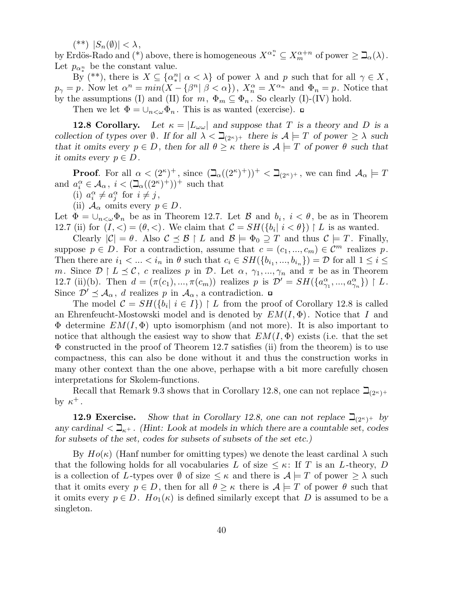$(*^*)$   $|S_n(\emptyset)| < \lambda$ ,

by Erdös-Rado and (\*) above, there is homogeneous  $X^{\alpha^n_*} \subseteq X^{\alpha+n}_m$  of power  $\geq \mathfrak{I}_{\alpha}(\lambda)$ . Let  $p_{\alpha_*^n}$  be the constant value.

By (\*\*), there is  $X \subseteq {\{\alpha_*^n | \alpha < \lambda\}}$  of power  $\lambda$  and p such that for all  $\gamma \in X$ ,  $p_{\gamma} = p$ . Now let  $\alpha^{n} = min(X - \{\beta^{n} | \beta < \alpha\})$ ,  $X_{n}^{\alpha} = X^{\alpha_{n}}$  and  $\Phi_{n} = p$ . Notice that by the assumptions (I) and (II) for  $m, \Phi_m \subseteq \Phi_n$ . So clearly (I)-(IV) hold.

Then we let  $\Phi = \bigcup_{n<\omega} \Phi_n$ . This is as wanted (exercise).  $\Box$ 

**12.8 Corollary.** Let  $\kappa = |L_{\omega \omega}|$  and suppose that T is a theory and D is a collection of types over  $\emptyset$ . If for all  $\lambda < \beth_{(2^{\kappa})^+}$  there is  $\mathcal{A} \models T$  of power  $\geq \lambda$  such that it omits every  $p \in D$ , then for all  $\theta \geq \kappa$  there is  $\mathcal{A} \models T$  of power  $\theta$  such that it omits every  $p \in D$ .

**Proof.** For all  $\alpha < (2^{\kappa})^+$ , since  $(\mathcal{L}_\alpha((2^{\kappa})^+))^+ < \mathcal{L}_{(2^{\kappa})^+}$ , we can find  $\mathcal{A}_\alpha \models T$ and  $a_i^{\alpha} \in \mathcal{A}_{\alpha}, i < (\mathbb{D}_{\alpha}((2^{\kappa})^+))^+$  such that

- (i)  $a_i^{\alpha} \neq a_j^{\alpha}$  for  $i \neq j$ ,
- (ii)  $\mathcal{A}_{\alpha}$  omits every  $p \in D$ .

Let  $\Phi = \bigcup_{n<\omega} \Phi_n$  be as in Theorem 12.7. Let  $\mathcal B$  and  $b_i$ ,  $i < \theta$ , be as in Theorem 12.7 (ii) for  $(I, <) = (\theta, <)$ . We claim that  $C = SH(\lbrace b_i | i < \theta \rbrace) \restriction L$  is as wanted.

Clearly  $|\mathcal{C}| = \theta$ . Also  $\mathcal{C} \preceq \mathcal{B} \restriction L$  and  $\mathcal{B} \models \Phi_0 \supseteq T$  and thus  $\mathcal{C} \models T$ . Finally, suppose  $p \in D$ . For a contradiction, assume that  $c = (c_1, ..., c_m) \in \mathcal{C}^m$  realizes p. Then there are  $i_1 < ... < i_n$  in  $\theta$  such that  $c_i \in SH(\{b_{i_1},...,b_{i_n}\}) = \mathcal{D}$  for all  $1 \leq i \leq$ m. Since  $\mathcal{D} \restriction L \preceq \mathcal{C}$ , c realizes p in  $\mathcal{D}$ . Let  $\alpha$ ,  $\gamma_1, ..., \gamma_n$  and  $\pi$  be as in Theorem 12.7 (ii)(b). Then  $d = (\pi(c_1), ..., \pi(c_m))$  realizes p is  $\mathcal{D}' = SH(\{a_{\gamma_1}^{\alpha}, ..., a_{\gamma_n}^{\alpha}\}) \upharpoonright L$ . Since  $\mathcal{D}' \preceq \mathcal{A}_{\alpha}$ , d realizes p in  $\mathcal{A}_{\alpha}$ , a contradiction.  $\Box$ 

The model  $C = SH(\{b_i | i \in I\}) \upharpoonright L$  from the proof of Corollary 12.8 is called an Ehrenfeucht-Mostowski model and is denoted by  $EM(I, \Phi)$ . Notice that I and  $\Phi$  determine  $EM(I, \Phi)$  upto isomorphism (and not more). It is also important to notice that although the easiest way to show that  $EM(I, \Phi)$  exists (i.e. that the set  $\Phi$  constructed in the proof of Theorem 12.7 satisfies (ii) from the theorem) is to use compactness, this can also be done without it and thus the construction works in many other context than the one above, perhapse with a bit more carefully chosen interpretations for Skolem-functions.

Recall that Remark 9.3 shows that in Corollary 12.8, one can not replace  $\Box_{(2^{\kappa})^+}$ by  $\kappa^+$ .

**12.9 Exercise.** Show that in Corollary 12.8, one can not replace  $\exists_{(2^{\kappa})^+}$  by any cardinal  $\langle \Box_{\kappa^+}$ . (Hint: Look at models in which there are a countable set, codes for subsets of the set, codes for subsets of subsets of the set etc.)

By  $Ho(\kappa)$  (Hanf number for omitting types) we denote the least cardinal  $\lambda$  such that the following holds for all vocabularies L of size  $\leq \kappa$ : If T is an L-theory, D is a collection of L-types over  $\emptyset$  of size  $\leq \kappa$  and there is  $\mathcal{A} \models T$  of power  $\geq \lambda$  such that it omits every  $p \in D$ , then for all  $\theta \geq \kappa$  there is  $\mathcal{A} \models T$  of power  $\theta$  such that it omits every  $p \in D$ .  $Ho_1(\kappa)$  is defined similarly except that D is assumed to be a singleton.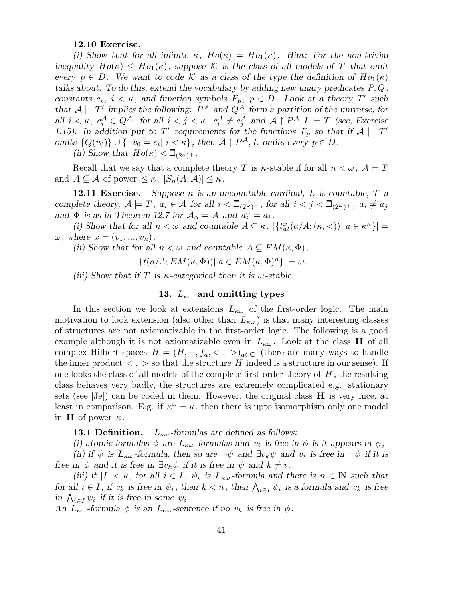### 12.10 Exercise.

(i) Show that for all infinite  $\kappa$ ,  $Ho(\kappa) = Ho_1(\kappa)$ . Hint: For the non-trivial inequality  $Ho(\kappa) \leq Ho_1(\kappa)$ , suppose K is the class of all models of T that omit every  $p \in D$ . We want to code K as a class of the type the definition of  $Ho_1(\kappa)$ talks about. To do this, extend the vocabulary by adding new unary predicates  $P, Q$ , constants  $c_i$ ,  $i < \kappa$ , and function symbols  $F_p$ ,  $p \in D$ . Look at a theory T' such that  $\mathcal{A} \models T'$  implies the following:  $P^{\mathcal{A}}$  and  $Q^{\mathcal{A}}$  form a partition of the universe, for all  $i < \kappa$ ,  $c_i^{\mathcal{A}} \in Q^{\mathcal{A}}$ , for all  $i < j < \kappa$ ,  $c_i^{\mathcal{A}} \neq c_j^{\mathcal{A}}$  and  $\mathcal{A} \restriction P^{\mathcal{A}}, L \models T$  (see, Exercise 1.15). In addition put to T' requirements for the functions  $F_p$  so that if  $\mathcal{A} \models T'$ omits  $\{Q(v_0)\}\cup\{\neg v_0=c_i\vert\ i<\kappa\}$ , then  $\mathcal{A}\restriction P^{\mathcal{A}}, L$  omits every  $p\in D$ .

(ii) Show that  $Ho(\kappa) < \beth_{(2^{\kappa})^+}$ .

Recall that we say that a complete theory T is  $\kappa$ -stable if for all  $n < \omega, \mathcal{A} \models T$ and  $A \subseteq \mathcal{A}$  of power  $\leq \kappa$ ,  $|S_n(A; \mathcal{A})| \leq \kappa$ .

**12.11 Exercise.** Suppose  $\kappa$  is an uncountable cardinal, L is countable, T a complete theory,  $A \models T$ ,  $a_i \in A$  for all  $i < \mathbb{L}_{(2\omega)+}$ , for all  $i < j < \mathbb{L}_{(2\omega)+}$ ,  $a_i \neq a_j$ and  $\Phi$  is as in Theorem 12.7 for  $\mathcal{A}_{\alpha} = \mathcal{A}$  and  $a_i^{\alpha} = a_i$ .

(i) Show that for all  $n < \omega$  and countable  $A \subseteq \kappa$ ,  $|\{t_{at}^x(a/A; (\kappa, <)) | a \in \kappa^n\}| =$  $\omega$ , where  $x = (v_1, ..., v_n)$ .

(ii) Show that for all  $n < \omega$  and countable  $A \subseteq EM(\kappa, \Phi)$ ,

$$
|\{t(a/A; EM(\kappa, \Phi))| a \in EM(\kappa, \Phi)^n\}| = \omega.
$$

(iii) Show that if T is  $\kappa$ -categorical then it is  $\omega$ -stable.

# 13.  $L_{\kappa\omega}$  and omitting types

In this section we look at extensions  $L_{\kappa\omega}$  of the first-order logic. The main motivation to look extension (also other than  $L_{\kappa\omega}$ ) is that many interesting classes of structures are not axiomatizable in the first-order logic. The following is a good example although it is not axiomatizable even in  $L_{\kappa\omega}$ . Look at the class **H** of all complex Hilbert spaces  $H = (H, +, f_a, <, >)_{a \in \mathbb{C}}$  (there are many ways to handle the inner product  $\langle , \rangle$  so that the structure H indeed is a structure in our sense). If one looks the class of all models of the complete first-order theory of  $H$ , the resulting class behaves very badly, the structures are extremely complicated e.g. stationary sets (see [Je]) can be coded in them. However, the original class H is very nice, at least in comparison. E.g. if  $\kappa^{\omega} = \kappa$ , then there is upto isomorphism only one model in **H** of power  $\kappa$ .

**13.1 Definition.**  $L_{\kappa\omega}$ -formulas are defined as follows:

(i) atomic formulas  $\phi$  are  $L_{\kappa\omega}$ -formulas and  $v_i$  is free in  $\phi$  is it appears in  $\phi$ ,

(ii) if  $\psi$  is  $L_{\kappa\omega}$ -formula, then so are  $\neg\psi$  and  $\exists v_k \psi$  and  $v_i$  is free in  $\neg\psi$  if it is free in  $\psi$  and it is free in  $\exists v_k \psi$  if it is free in  $\psi$  and  $k \neq i$ ,

(iii) if  $|I| < \kappa$ , for all  $i \in I$ ,  $\psi_i$  is  $L_{\kappa\omega}$ -formula and there is  $n \in \mathbb{N}$  such that for all  $i \in I$ , if  $v_k$  is free in  $\psi_i$ , then  $k < n$ , then  $\bigwedge_{i \in I} \psi_i$  is a formula and  $v_k$  is free in  $\bigwedge_{i\in I}\psi_i$  if it is free in some  $\psi_i$ .

An  $L_{\kappa\omega}$ -formula  $\phi$  is an  $L_{\kappa\omega}$ -sentence if no  $v_k$  is free in  $\phi$ .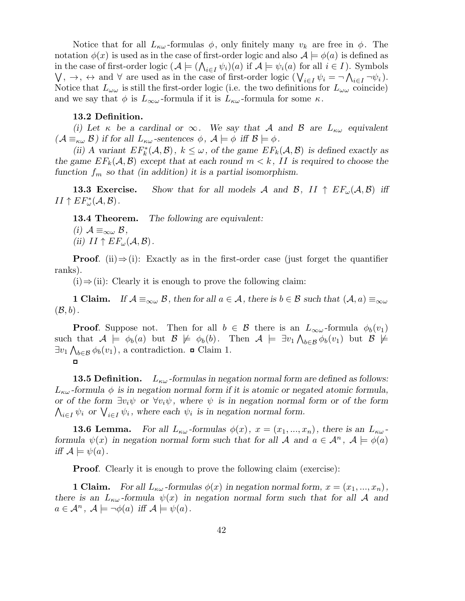Notice that for all  $L_{\kappa\omega}$ -formulas  $\phi$ , only finitely many  $v_k$  are free in  $\phi$ . The notation  $\phi(x)$  is used as in the case of first-order logic and also  $\mathcal{A} \models \phi(a)$  is defined as in the case of first-order logic  $(A \models (\bigwedge_{i \in I} \psi_i)(a)$  if  $A \models \psi_i(a)$  for all  $i \in I$ ). Symbols  $\bigvee$ ,  $\rightarrow$ ,  $\leftrightarrow$  and  $\forall$  are used as in the case of first-order logic  $(\bigvee_{i\in I}\psi_i = \neg \bigwedge_{i\in I}\neg \psi_i)$ . Notice that  $L_{\omega\omega}$  is still the first-order logic (i.e. the two definitions for  $L_{\omega\omega}$  coincide) and we say that  $\phi$  is  $L_{\infty\omega}$ -formula if it is  $L_{\kappa\omega}$ -formula for some  $\kappa$ .

# 13.2 Definition.

 $\Box$ 

(i) Let  $\kappa$  be a cardinal or  $\infty$ . We say that A and B are  $L_{\kappa\omega}$  equivalent  $(\mathcal{A} \equiv_{\kappa \omega} \mathcal{B})$  if for all  $L_{\kappa \omega}$ -sentences  $\phi$ ,  $\mathcal{A} \models \phi$  iff  $\mathcal{B} \models \phi$ .

(ii) A variant  $EF_k^*(A, \mathcal{B})$ ,  $k \leq \omega$ , of the game  $EF_k(A, \mathcal{B})$  is defined exactly as the game  $EF_k(\mathcal{A}, \mathcal{B})$  except that at each round  $m < k$ , II is required to choose the function  $f_m$  so that (in addition) it is a partial isomorphism.

**13.3 Exercise.** Show that for all models A and B,  $II \uparrow EF_{\omega}(A, B)$  iff  $II \uparrow EF_{\omega}^{*}(A, \mathcal{B})$ .

**13.4 Theorem.** The following are equivalent: (i)  $\mathcal{A} \equiv_{\infty \omega} \mathcal{B}$ , (ii)  $II \uparrow EF_{\omega}(\mathcal{A}, \mathcal{B})$ .

**Proof.** (ii)⇒(i): Exactly as in the first-order case (just forget the quantifier ranks).

 $(i) \Rightarrow (ii)$ : Clearly it is enough to prove the following claim:

**1 Claim.** If  $\mathcal{A} \equiv_{\infty \omega} \mathcal{B}$ , then for all  $a \in \mathcal{A}$ , there is  $b \in \mathcal{B}$  such that  $(\mathcal{A}, a) \equiv_{\infty \omega}$  $(\mathcal{B}, b)$ .

**Proof.** Suppose not. Then for all  $b \in \mathcal{B}$  there is an  $L_{\infty}$ -formula  $\phi_b(v_1)$ such that  $A \models \phi_b(a)$  but  $B \not\models \phi_b(b)$ . Then  $A \models \exists v_1 \bigwedge_{b \in B} \phi_b(v_1)$  but  $B \not\models \phi_b(a)$  $\exists v_1 \bigwedge_{b \in \mathcal{B}} \phi_b(v_1)$ , a contradiction.  $\Box$  Claim 1.

**13.6 Lemma.** For all  $L_{\kappa\omega}$ -formulas  $\phi(x)$ ,  $x = (x_1, ..., x_n)$ , there is an  $L_{\kappa\omega}$ formula  $\psi(x)$  in negation normal form such that for all A and  $a \in \mathcal{A}^n$ ,  $\mathcal{A} \models \phi(a)$ iff  $\mathcal{A} \models \psi(a)$ .

**Proof.** Clearly it is enough to prove the following claim (exercise):

**1 Claim.** For all  $L_{\kappa\omega}$ -formulas  $\phi(x)$  in negation normal form,  $x = (x_1, ..., x_n)$ , there is an  $L_{\kappa\omega}$ -formula  $\psi(x)$  in negation normal form such that for all A and  $a \in \mathcal{A}^n$ ,  $\mathcal{A} \models \neg \phi(a)$  iff  $\mathcal{A} \models \psi(a)$ .

**<sup>13.5</sup> Definition.**  $L_{\kappa\omega}$ -formulas in negation normal form are defined as follows:  $L_{\kappa\omega}$ -formula  $\phi$  is in negation normal form if it is atomic or negated atomic formula, or of the form  $\exists v_i \psi$  or  $\forall v_i \psi$ , where  $\psi$  is in negation normal form or of the form  $\bigwedge_{i\in I}\psi_i$  or  $\bigvee_{i\in I}\psi_i$ , where each  $\psi_i$  is in negation normal form.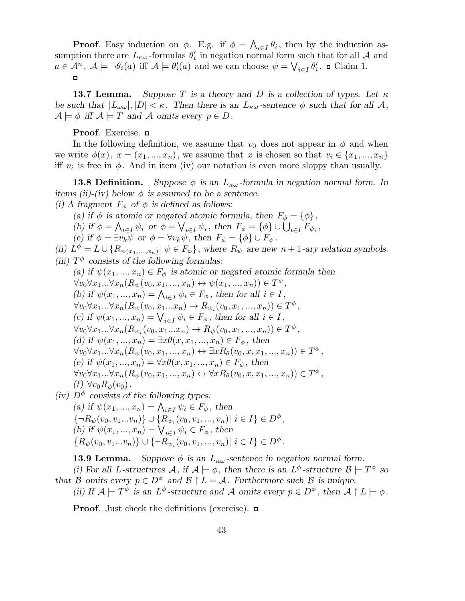**Proof.** Easy induction on  $\phi$ . E.g. if  $\phi = \bigwedge_{i \in I} \theta_i$ , then by the induction assumption there are  $L_{\kappa\omega}$ -formulas  $\theta_i'$  in negation normal form such that for all  $\mathcal A$  and  $a \in \mathcal{A}^n$ ,  $\mathcal{A} \models \neg \theta_i(a)$  iff  $\mathcal{A} \models \theta'_i(a)$  and we can choose  $\psi = \bigvee_{i \in I} \theta'_i$ .  $\Box$  Claim 1.  $\mathbf{\mathsf{m}}$ 

**13.7 Lemma.** Suppose T is a theory and D is a collection of types. Let  $\kappa$ be such that  $|L_{\omega \omega}|, |D| < \kappa$ . Then there is an  $L_{\kappa \omega}$ -sentence  $\phi$  such that for all A,  $\mathcal{A} \models \phi$  iff  $\mathcal{A} \models T$  and  $\mathcal{A}$  omits every  $p \in D$ .

# Proof. Exercise.  $\Box$

In the following definition, we assume that  $v_0$  does not appear in  $\phi$  and when we write  $\phi(x)$ ,  $x = (x_1, ..., x_n)$ , we assume that x is chosen so that  $v_i \in \{x_1, ..., x_n\}$ iff  $v_i$  is free in  $\phi$ . And in item (iv) our notation is even more sloppy than usually.

**13.8 Definition.** Suppose  $\phi$  is an  $L_{\kappa\omega}$ -formula in negation normal form. In items (ii)-(iv) below  $\phi$  is assumed to be a sentence.

(i) A fragment  $F_{\phi}$  of  $\phi$  is defined as follows:

(a) if  $\phi$  is atomic or negated atomic formula, then  $F_{\phi} = {\phi}$ ,

(b) if  $\phi = \bigwedge_{i \in I} \psi_i$  or  $\phi = \bigvee_{i \in I} \psi_i$ , then  $F_{\phi} = \{\phi\} \cup \bigcup_{i \in I} F_{\psi_i}$ ,

(c) if  $\phi = \exists v_k \psi$  or  $\phi = \forall v_k \psi$ , then  $F_{\phi} = {\phi} \cup F_{\psi}$ .

(ii)  $L^{\phi} = L \cup \{ R_{\psi(x_1,...,x_n)} | \psi \in F_{\phi} \}$ , where  $R_{\psi}$  are new  $n+1$ -ary relation symbols.

(iii) 
$$
T^{\phi}
$$
 consists of the following formulas:

(a) if  $\psi(x_1, ..., x_n) \in F_\phi$  is atomic or negated atomic formula then  $\forall v_0 \forall x_1 ... \forall x_n (R_\psi(v_0, x_1, ..., x_n) \leftrightarrow \psi(x_1, ..., x_n)) \in T^\phi,$ (b) if  $\psi(x_1, ..., x_n) = \bigwedge_{i \in I} \psi_i \in F_\phi$ , then for all  $i \in I$ ,  $\forall v_0 \forall x_1 ... \forall x_n (R_{\psi}(v_0, x_1 ... x_n) \to R_{\psi_i}(v_0, x_1, ..., x_n)) \in T^{\phi},$ (c) if  $\psi(x_1, ..., x_n) = \bigvee_{i \in I} \psi_i \in F_\phi$ , then for all  $i \in I$ ,  $\forall v_0 \forall x_1 ... \forall x_n (R_{\psi_i}(v_0, x_1 ... x_n) \to R_{\psi}(v_0, x_1, ..., x_n)) \in T^{\phi},$ (d) if  $\psi(x_1, ..., x_n) = \exists x \theta(x, x_1, ..., x_n) \in F_{\phi}$ , then  $\forall v_0 \forall x_1...\forall x_n (R_\psi(v_0, x_1, ..., x_n) \leftrightarrow \exists x R_\theta(v_0, x, x_1, ..., x_n)) \in T^\phi,$ (e) if  $\psi(x_1, ..., x_n) = \forall x \theta(x, x_1, ..., x_n) \in F_{\phi}$ , then  $\forall v_0 \forall x_1 ... \forall x_n (R_\psi(v_0, x_1, ..., x_n) \leftrightarrow \forall x R_\theta(v_0, x, x_1, ..., x_n)) \in T^\phi,$ (f)  $\forall v_0 R_{\phi}(v_0)$ . (iv)  $D^{\phi}$  consists of the following types:

(a) if  $\psi(x_1, ..., x_n) = \bigwedge_{i \in I} \psi_i \in F_\phi$ , then  $\{\neg R_{\psi}(v_0, v_1...v_n)\} \cup \{R_{\psi_i}(v_0, v_1, ..., v_n)| i \in I\} \in D^{\phi},$ (b) if  $\psi(x_1, ..., x_n) = \bigvee_{i \in I} \psi_i \in F_{\phi}$ , then  ${R_{\psi}(v_0, v_1...v_n)} \cup {\neg R_{\psi_i}(v_0, v_1, ..., v_n)} | i \in I$   $\in D^{\phi}$ .

**13.9 Lemma.** Suppose  $\phi$  is an  $L_{\kappa\omega}$ -sentence in negation normal form.

(i) For all L-structures A, if  $A \models \phi$ , then there is an  $L^{\phi}$ -structure  $\mathcal{B} \models T^{\phi}$  so that B omits every  $p \in D^{\phi}$  and  $\mathcal{B} \restriction L = \mathcal{A}$ . Furthermore such B is unique.

(ii) If  $\mathcal{A} \models T^{\phi}$  is an  $L^{\phi}$ -structure and  $\mathcal{A}$  omits every  $p \in D^{\phi}$ , then  $\mathcal{A} \restriction L \models \phi$ .

**Proof.** Just check the definitions (exercise).  $\Box$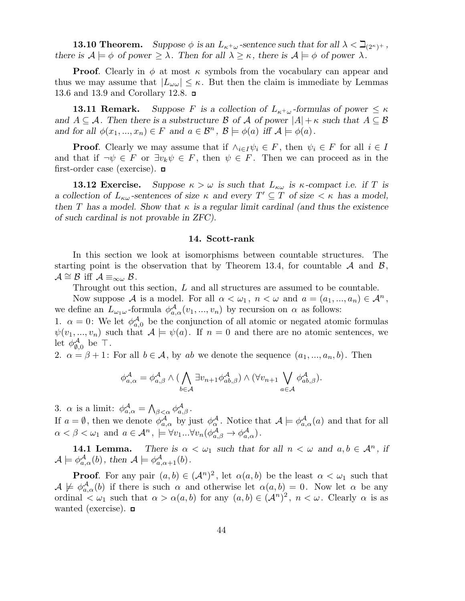**13.10 Theorem.** Suppose  $\phi$  is an  $L_{\kappa+\omega}$ -sentence such that for all  $\lambda < \beth_{(2^{\kappa})^+}$ , there is  $\mathcal{A} \models \phi$  of power  $\geq \lambda$ . Then for all  $\lambda \geq \kappa$ , there is  $\mathcal{A} \models \phi$  of power  $\lambda$ .

**Proof.** Clearly in  $\phi$  at most  $\kappa$  symbols from the vocabulary can appear and thus we may assume that  $|L_{\omega \omega}| \leq \kappa$ . But then the claim is immediate by Lemmas 13.6 and 13.9 and Corollary 12.8.

**13.11 Remark.** Suppose F is a collection of  $L_{\kappa+\omega}$ -formulas of power  $\leq \kappa$ and  $A \subseteq \mathcal{A}$ . Then there is a substructure  $\mathcal{B}$  of  $\mathcal{A}$  of power  $|A| + \kappa$  such that  $A \subseteq \mathcal{B}$ and for all  $\phi(x_1, ..., x_n) \in F$  and  $a \in \mathcal{B}^n$ ,  $\mathcal{B} \models \phi(a)$  iff  $\mathcal{A} \models \phi(a)$ .

**Proof.** Clearly we may assume that if  $\wedge_{i\in I}\psi_i \in F$ , then  $\psi_i \in F$  for all  $i \in I$ and that if  $\neg \psi \in F$  or  $\exists v_k \psi \in F$ , then  $\psi \in F$ . Then we can proceed as in the first-order case (exercise).

**13.12 Exercise.** Suppose  $\kappa > \omega$  is such that  $L_{\kappa\omega}$  is  $\kappa$ -compact i.e. if T is a collection of  $L_{\kappa\omega}$ -sentences of size  $\kappa$  and every  $T' \subseteq T$  of size  $\lt \kappa$  has a model, then T has a model. Show that  $\kappa$  is a regular limit cardinal (and thus the existence of such cardinal is not provable in ZFC).

#### 14. Scott-rank

In this section we look at isomorphisms between countable structures. The starting point is the observation that by Theorem 13.4, for countable  $\mathcal A$  and  $\mathcal B$ ,  $\mathcal{A} \cong \mathcal{B}$  iff  $\mathcal{A} \equiv_{\infty \omega} \mathcal{B}$ .

Throught out this section, L and all structures are assumed to be countable.

Now suppose A is a model. For all  $\alpha < \omega_1$ ,  $n < \omega$  and  $a = (a_1, ..., a_n) \in \mathcal{A}^n$ , we define an  $L_{\omega_1\omega}$ -formula  $\phi_{a,\alpha}^{\mathcal{A}}(v_1,...,v_n)$  by recursion on  $\alpha$  as follows: 1.  $\alpha = 0$ : We let  $\phi_{a,0}^{\mathcal{A}}$  be the conjunction of all atomic or negated atomic formulas  $\psi(v_1, ..., v_n)$  such that  $\mathcal{A} \models \psi(a)$ . If  $n = 0$  and there are no atomic sentences, we

let  $\phi^{\mathcal{A}}_{\emptyset}$  $^{\mathcal{A}}_{\emptyset,0}$  be T.

2.  $\alpha = \beta + 1$ : For all  $b \in \mathcal{A}$ , by ab we denote the sequence  $(a_1, ..., a_n, b)$ . Then

$$
\phi_{a,\alpha}^{\mathcal{A}} = \phi_{a,\beta}^{\mathcal{A}} \wedge (\bigwedge_{b \in \mathcal{A}} \exists v_{n+1} \phi_{ab,\beta}^{\mathcal{A}}) \wedge (\forall v_{n+1} \bigvee_{a \in \mathcal{A}} \phi_{ab,\beta}^{\mathcal{A}}).
$$

3.  $\alpha$  is a limit:  $\phi_{a,\alpha}^{\mathcal{A}} = \bigwedge_{\beta < \alpha} \phi_{a,\beta}^{\mathcal{A}}$ . If  $a = \emptyset$ , then we denote  $\phi_{a,\alpha}^{\mathcal{A}}$  by just  $\phi_{\alpha}^{\mathcal{A}}$ . Notice that  $\mathcal{A} \models \phi_{a,\alpha}^{\mathcal{A}}(a)$  and that for all  $\alpha < \beta < \omega_1$  and  $a \in \mathcal{A}^n$ ,  $\models \forall v_1...\forall v_n(\phi^{\mathcal{A}}_{a,\beta} \rightarrow \phi^{\mathcal{A}}_{a,\alpha})$ .

**14.1 Lemma.** There is  $\alpha < \omega_1$  such that for all  $n < \omega$  and  $a, b \in \mathcal{A}^n$ , if  $\mathcal{A} \models \phi_{a,\alpha}^{\mathcal{A}}(b)$ , then  $\mathcal{A} \models \phi_{a,\alpha+1}^{\mathcal{A}}(b)$ .

**Proof.** For any pair  $(a, b) \in (\mathcal{A}^n)^2$ , let  $\alpha(a, b)$  be the least  $\alpha < \omega_1$  such that  $A \not\models \phi_{a,\alpha}^{\mathcal{A}}(b)$  if there is such  $\alpha$  and otherwise let  $\alpha(a, b) = 0$ . Now let  $\alpha$  be any ordinal  $\langle \omega_1 \rangle$  such that  $\alpha > \alpha(a, b)$  for any  $(a, b) \in (\mathcal{A}^n)^2$ ,  $n < \omega$ . Clearly  $\alpha$  is as wanted (exercise).